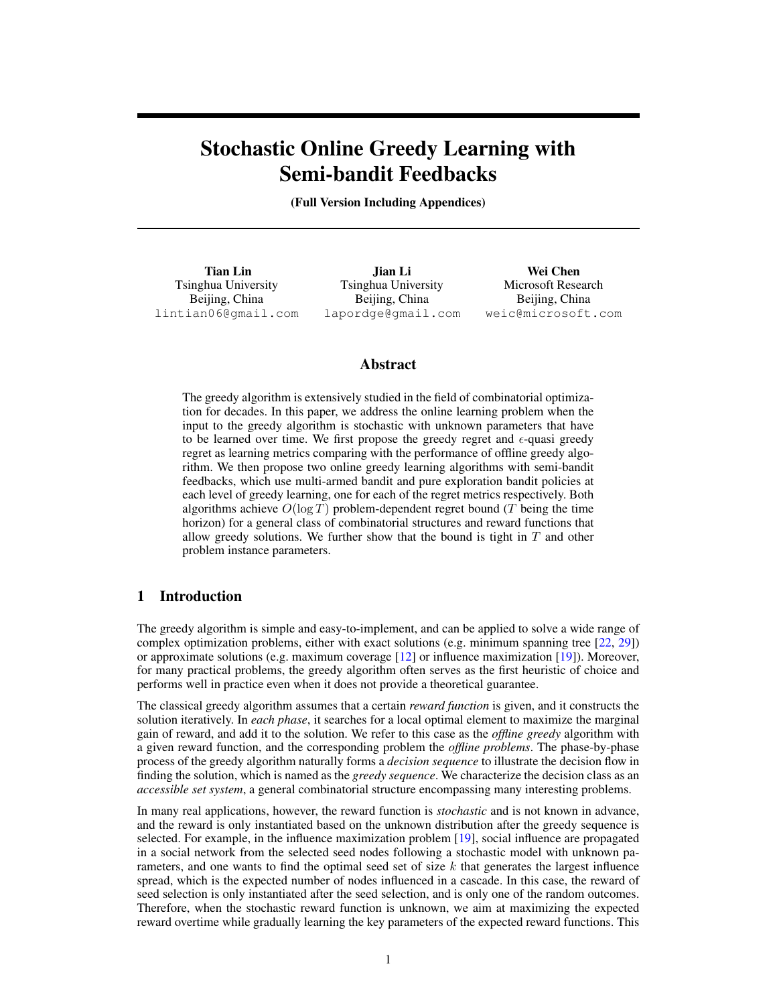# <span id="page-0-0"></span>Stochastic Online Greedy Learning with Semi-bandit Feedbacks

(Full Version Including Appendices)

Tian Lin Tsinghua University Beijing, China lintian06@gmail.com

Jian Li Tsinghua University Beijing, China lapordge@gmail.com

Wei Chen Microsoft Research Beijing, China weic@microsoft.com

## Abstract

The greedy algorithm is extensively studied in the field of combinatorial optimization for decades. In this paper, we address the online learning problem when the input to the greedy algorithm is stochastic with unknown parameters that have to be learned over time. We first propose the greedy regret and  $\epsilon$ -quasi greedy regret as learning metrics comparing with the performance of offline greedy algorithm. We then propose two online greedy learning algorithms with semi-bandit feedbacks, which use multi-armed bandit and pure exploration bandit policies at each level of greedy learning, one for each of the regret metrics respectively. Both algorithms achieve  $O(\log T)$  problem-dependent regret bound (T being the time horizon) for a general class of combinatorial structures and reward functions that allow greedy solutions. We further show that the bound is tight in  $T$  and other problem instance parameters.

## 1 Introduction

The greedy algorithm is simple and easy-to-implement, and can be applied to solve a wide range of complex optimization problems, either with exact solutions (e.g. minimum spanning tree [\[22,](#page-8-0) [29\]](#page-8-1)) or approximate solutions (e.g. maximum coverage [\[12\]](#page-8-2) or influence maximization [\[19\]](#page-8-3)). Moreover, for many practical problems, the greedy algorithm often serves as the first heuristic of choice and performs well in practice even when it does not provide a theoretical guarantee.

The classical greedy algorithm assumes that a certain *reward function* is given, and it constructs the solution iteratively. In *each phase*, it searches for a local optimal element to maximize the marginal gain of reward, and add it to the solution. We refer to this case as the *offline greedy* algorithm with a given reward function, and the corresponding problem the *offline problems*. The phase-by-phase process of the greedy algorithm naturally forms a *decision sequence* to illustrate the decision flow in finding the solution, which is named as the *greedy sequence*. We characterize the decision class as an *accessible set system*, a general combinatorial structure encompassing many interesting problems.

In many real applications, however, the reward function is *stochastic* and is not known in advance, and the reward is only instantiated based on the unknown distribution after the greedy sequence is selected. For example, in the influence maximization problem [\[19\]](#page-8-3), social influence are propagated in a social network from the selected seed nodes following a stochastic model with unknown parameters, and one wants to find the optimal seed set of size  $k$  that generates the largest influence spread, which is the expected number of nodes influenced in a cascade. In this case, the reward of seed selection is only instantiated after the seed selection, and is only one of the random outcomes. Therefore, when the stochastic reward function is unknown, we aim at maximizing the expected reward overtime while gradually learning the key parameters of the expected reward functions. This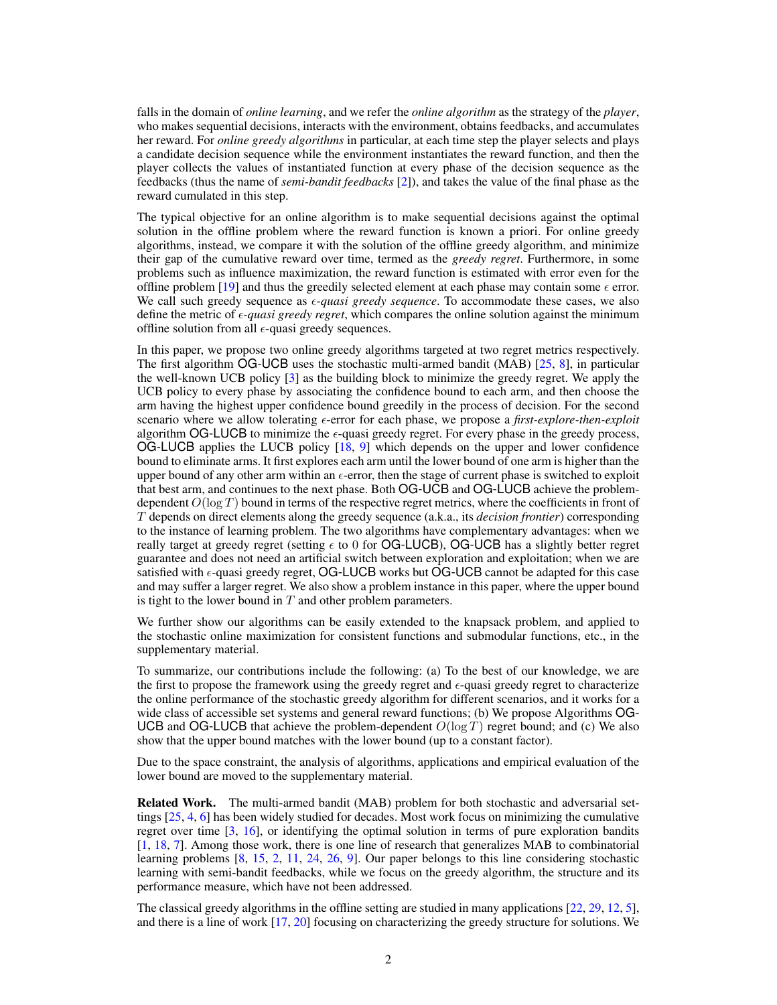falls in the domain of *online learning*, and we refer the *online algorithm* as the strategy of the *player*, who makes sequential decisions, interacts with the environment, obtains feedbacks, and accumulates her reward. For *online greedy algorithms* in particular, at each time step the player selects and plays a candidate decision sequence while the environment instantiates the reward function, and then the player collects the values of instantiated function at every phase of the decision sequence as the feedbacks (thus the name of *semi-bandit feedbacks* [\[2\]](#page-8-4)), and takes the value of the final phase as the reward cumulated in this step.

The typical objective for an online algorithm is to make sequential decisions against the optimal solution in the offline problem where the reward function is known a priori. For online greedy algorithms, instead, we compare it with the solution of the offline greedy algorithm, and minimize their gap of the cumulative reward over time, termed as the *greedy regret*. Furthermore, in some problems such as influence maximization, the reward function is estimated with error even for the offline problem [\[19\]](#page-8-3) and thus the greedily selected element at each phase may contain some  $\epsilon$  error. We call such greedy sequence as  $\epsilon$ -quasi greedy sequence. To accommodate these cases, we also define the metric of *-quasi greedy regret*, which compares the online solution against the minimum offline solution from all  $\epsilon$ -quasi greedy sequences.

In this paper, we propose two online greedy algorithms targeted at two regret metrics respectively. The first algorithm OG-UCB uses the stochastic multi-armed bandit (MAB) [\[25,](#page-8-5) [8\]](#page-8-6), in particular the well-known UCB policy [\[3\]](#page-8-7) as the building block to minimize the greedy regret. We apply the UCB policy to every phase by associating the confidence bound to each arm, and then choose the arm having the highest upper confidence bound greedily in the process of decision. For the second scenario where we allow tolerating  $\epsilon$ -error for each phase, we propose a *first-explore-then-exploit* algorithm OG-LUCB to minimize the  $\epsilon$ -quasi greedy regret. For every phase in the greedy process, OG-LUCB applies the LUCB policy [\[18,](#page-8-8) [9\]](#page-8-9) which depends on the upper and lower confidence bound to eliminate arms. It first explores each arm until the lower bound of one arm is higher than the upper bound of any other arm within an  $\epsilon$ -error, then the stage of current phase is switched to exploit that best arm, and continues to the next phase. Both OG-UCB and OG-LUCB achieve the problemdependent  $O(\log T)$  bound in terms of the respective regret metrics, where the coefficients in front of T depends on direct elements along the greedy sequence (a.k.a., its *decision frontier*) corresponding to the instance of learning problem. The two algorithms have complementary advantages: when we really target at greedy regret (setting  $\epsilon$  to 0 for OG-LUCB), OG-UCB has a slightly better regret guarantee and does not need an artificial switch between exploration and exploitation; when we are satisfied with  $\epsilon$ -quasi greedy regret, OG-LUCB works but OG-UCB cannot be adapted for this case and may suffer a larger regret. We also show a problem instance in this paper, where the upper bound is tight to the lower bound in  $T$  and other problem parameters.

We further show our algorithms can be easily extended to the knapsack problem, and applied to the stochastic online maximization for consistent functions and submodular functions, etc., in the supplementary material.

To summarize, our contributions include the following: (a) To the best of our knowledge, we are the first to propose the framework using the greedy regret and  $\epsilon$ -quasi greedy regret to characterize the online performance of the stochastic greedy algorithm for different scenarios, and it works for a wide class of accessible set systems and general reward functions; (b) We propose Algorithms OG-UCB and OG-LUCB that achieve the problem-dependent  $O(\log T)$  regret bound; and (c) We also show that the upper bound matches with the lower bound (up to a constant factor).

Due to the space constraint, the analysis of algorithms, applications and empirical evaluation of the lower bound are moved to the supplementary material.

Related Work. The multi-armed bandit (MAB) problem for both stochastic and adversarial settings [\[25,](#page-8-5) [4,](#page-8-10) [6\]](#page-8-11) has been widely studied for decades. Most work focus on minimizing the cumulative regret over time [\[3,](#page-8-7) [16\]](#page-8-12), or identifying the optimal solution in terms of pure exploration bandits [\[1,](#page-8-13) [18,](#page-8-8) [7\]](#page-8-14). Among those work, there is one line of research that generalizes MAB to combinatorial learning problems [\[8,](#page-8-6) [15,](#page-8-15) [2,](#page-8-4) [11,](#page-8-16) [24,](#page-8-17) [26,](#page-8-18) [9\]](#page-8-9). Our paper belongs to this line considering stochastic learning with semi-bandit feedbacks, while we focus on the greedy algorithm, the structure and its performance measure, which have not been addressed.

The classical greedy algorithms in the offline setting are studied in many applications [\[22,](#page-8-0) [29,](#page-8-1) [12,](#page-8-2) [5\]](#page-8-19), and there is a line of work [\[17,](#page-8-20) [20\]](#page-8-21) focusing on characterizing the greedy structure for solutions. We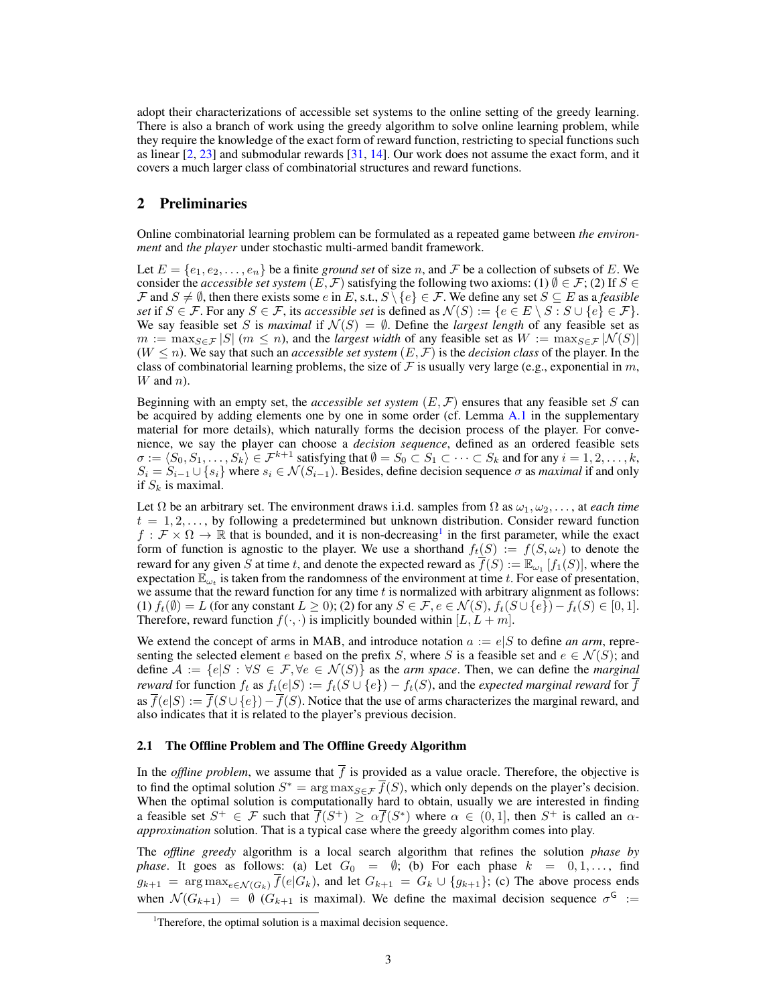adopt their characterizations of accessible set systems to the online setting of the greedy learning. There is also a branch of work using the greedy algorithm to solve online learning problem, while they require the knowledge of the exact form of reward function, restricting to special functions such as linear [\[2,](#page-8-4) [23\]](#page-8-22) and submodular rewards [\[31,](#page-8-23) [14\]](#page-8-24). Our work does not assume the exact form, and it covers a much larger class of combinatorial structures and reward functions.

## <span id="page-2-0"></span>2 Preliminaries

Online combinatorial learning problem can be formulated as a repeated game between *the environment* and *the player* under stochastic multi-armed bandit framework.

Let  $E = \{e_1, e_2, \ldots, e_n\}$  be a finite *ground set* of size n, and F be a collection of subsets of E. We consider the *accessible set system*  $(E, \mathcal{F})$  satisfying the following two axioms: (1)  $\emptyset \in \mathcal{F}$ ; (2) If  $S \in$  $\mathcal F$  and  $S \neq \emptyset$ , then there exists some e in E, s.t.,  $S \setminus \{e\} \in \mathcal F$ . We define any set  $S \subseteq E$  as a *feasible set* if  $S \in \mathcal{F}$ . For any  $S \in \mathcal{F}$ , its *accessible set* is defined as  $\mathcal{N}(S) := \{e \in E \setminus S : S \cup \{e\} \in \mathcal{F}\}.$ We say feasible set S is *maximal* if  $\mathcal{N}(S) = \emptyset$ . Define the *largest length* of any feasible set as  $m := \max_{S \in \mathcal{F}} |S|$  ( $m \leq n$ ), and the *largest width* of any feasible set as  $W := \max_{S \in \mathcal{F}} |\mathcal{N}(S)|$  $(W \leq n)$ . We say that such an *accessible set system*  $(E, \mathcal{F})$  is the *decision class* of the player. In the class of combinatorial learning problems, the size of  $\mathcal F$  is usually very large (e.g., exponential in m,  $W$  and  $n$ ).

Beginning with an empty set, the *accessible set system* (E, F) ensures that any feasible set S can be acquired by adding elements one by one in some order (cf. Lemma [A.1](#page-10-0) in the supplementary material for more details), which naturally forms the decision process of the player. For convenience, we say the player can choose a *decision sequence*, defined as an ordered feasible sets  $\sigma := \langle S_0, S_1, \ldots, S_k \rangle \in \mathcal{F}^{k+1}$  satisfying that  $\emptyset = S_0 \subset S_1 \subset \cdots \subset S_k$  and for any  $i = 1, 2, \ldots, k$ ,  $S_i = S_{i-1} \cup \{s_i\}$  where  $s_i \in \mathcal{N}(S_{i-1})$ . Besides, define decision sequence  $\sigma$  as *maximal* if and only if  $S_k$  is maximal.

Let  $\Omega$  be an arbitrary set. The environment draws i.i.d. samples from  $\Omega$  as  $\omega_1, \omega_2, \ldots$ , at *each time*  $t = 1, 2, \ldots$ , by following a predetermined but unknown distribution. Consider reward function  $f : \mathcal{F} \times \Omega \to \mathbb{R}$  that is bounded, and it is non-decreasing<sup>[1](#page-0-0)</sup> in the first parameter, while the exact form of function is agnostic to the player. We use a shorthand  $f_t(S) := f(S, \omega_t)$  to denote the reward for any given S at time t, and denote the expected reward as  $\overline{f}(S) := \mathbb{E}_{\omega_1}[f_1(S)]$ , where the expectation  $\mathbb{E}_{\omega_t}$  is taken from the randomness of the environment at time t. For ease of presentation, we assume that the reward function for any time  $t$  is normalized with arbitrary alignment as follows: (1)  $f_t(\emptyset) = L$  (for any constant  $L \ge 0$ ); (2) for any  $S \in \mathcal{F}, e \in \mathcal{N}(S), f_t(S \cup \{e\}) - f_t(S) \in [0, 1].$ Therefore, reward function  $f(\cdot, \cdot)$  is implicitly bounded within  $[L, L + m]$ .

We extend the concept of arms in MAB, and introduce notation  $a := e|S$  to define *an arm*, representing the selected element e based on the prefix S, where S is a feasible set and  $e \in \mathcal{N}(S)$ ; and define  $A := \{e|S : \forall S \in \mathcal{F}, \forall e \in \mathcal{N}(S)\}\$ as the *arm space*. Then, we can define the *marginal reward* for function  $f_t$  as  $f_t(e|S) := f_t(S \cup \{e\}) - f_t(S)$ , and the *expected marginal reward* for  $\overline{f}$ as  $\overline{f}(e|S) := \overline{f}(S \cup \{e\}) - \overline{f}(S)$ . Notice that the use of arms characterizes the marginal reward, and also indicates that it is related to the player's previous decision.

## <span id="page-2-1"></span>2.1 The Offline Problem and The Offline Greedy Algorithm

In the *offline problem*, we assume that  $\overline{f}$  is provided as a value oracle. Therefore, the objective is to find the optimal solution  $S^* = \arg \max_{S \in \mathcal{F}} \overline{f}(S)$ , which only depends on the player's decision. When the optimal solution is computationally hard to obtain, usually we are interested in finding a feasible set  $S^+ \in \mathcal{F}$  such that  $\overline{f}(S^+) \geq \alpha \overline{f}(S^*)$  where  $\alpha \in (0,1]$ , then  $S^+$  is called an  $\alpha$ *approximation* solution. That is a typical case where the greedy algorithm comes into play.

The *offline greedy* algorithm is a local search algorithm that refines the solution *phase by phase.* It goes as follows: (a) Let  $G_0 = \emptyset$ ; (b) For each phase  $k = 0, 1, \ldots$ , find  $g_{k+1}$  =  $\arg \max_{e \in \mathcal{N}(G_k)} \overline{f}(e|G_k)$ , and let  $G_{k+1} = G_k \cup \{g_{k+1}\}\$ ; (c) The above process ends when  $\mathcal{N}(G_{k+1}) = \emptyset$  ( $G_{k+1}$  is maximal). We define the maximal decision sequence  $\sigma^{\mathsf{G}} :=$ 

<sup>&</sup>lt;sup>1</sup>Therefore, the optimal solution is a maximal decision sequence.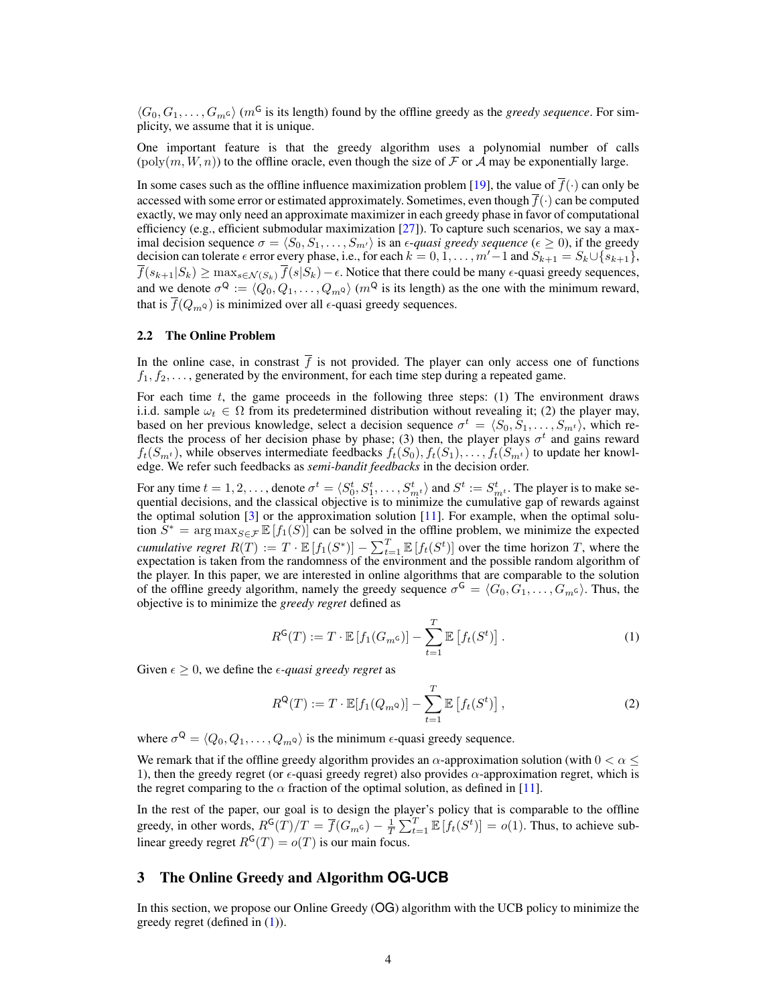$\langle G_0, G_1, \ldots, G_m \varsigma \rangle$  (m<sup>G</sup> is its length) found by the offline greedy as the *greedy sequence*. For simplicity, we assume that it is unique.

One important feature is that the greedy algorithm uses a polynomial number of calls  $(\text{poly}(m, W, n))$  to the offline oracle, even though the size of F or A may be exponentially large.

In some cases such as the offline influence maximization problem [\[19\]](#page-8-3), the value of  $\bar{f}(\cdot)$  can only be accessed with some error or estimated approximately. Sometimes, even though  $\overline{f}(\cdot)$  can be computed exactly, we may only need an approximate maximizer in each greedy phase in favor of computational efficiency (e.g., efficient submodular maximization [\[27\]](#page-8-25)). To capture such scenarios, we say a maximal decision sequence  $\sigma = \langle S_0, S_1, \ldots, S_{m'} \rangle$  is an  $\epsilon$ -quasi greedy sequence ( $\epsilon \ge 0$ ), if the greedy decision can tolerate  $\epsilon$  error every phase, i.e., for each  $k = 0, 1, \ldots, m' - 1$  and  $S_{k+1} = S_k \cup \{s_{k+1}\},$  $\overline{f}(s_{k+1}|S_k) \ge \max_{s \in \mathcal{N}(S_k)} \overline{f}(s|S_k) - \epsilon$ . Notice that there could be many  $\epsilon$ -quasi greedy sequences, and we denote  $\sigma^Q := \langle Q_0, Q_1, \ldots, Q_mQ \rangle$   $(m^Q$  is its length) as the one with the minimum reward, that is  $\overline{f}(Q_m \circ)$  is minimized over all  $\epsilon$ -quasi greedy sequences.

#### <span id="page-3-2"></span>2.2 The Online Problem

In the online case, in constrast  $\overline{f}$  is not provided. The player can only access one of functions  $f_1, f_2, \ldots$ , generated by the environment, for each time step during a repeated game.

For each time  $t$ , the game proceeds in the following three steps: (1) The environment draws i.i.d. sample  $\omega_t \in \Omega$  from its predetermined distribution without revealing it; (2) the player may, based on her previous knowledge, select a decision sequence  $\sigma^t = \langle S_0, S_1, \ldots, S_{m^t} \rangle$ , which reflects the process of her decision phase by phase; (3) then, the player plays  $\sigma^t$  and gains reward  $f_t(S_{m^t})$ , while observes intermediate feedbacks  $f_t(S_0), f_t(S_1), \ldots, f_t(S_{m^t})$  to update her knowledge. We refer such feedbacks as *semi-bandit feedbacks* in the decision order.

For any time  $t = 1, 2, \ldots$ , denote  $\sigma^t = \langle S_0^t, S_1^t, \ldots, S_{m^t}^t \rangle$  and  $S^t := S_{m^t}^t$ . The player is to make sequential decisions, and the classical objective is to minimize the cumulative gap of rewards against the optimal solution [\[3\]](#page-8-7) or the approximation solution [\[11\]](#page-8-16). For example, when the optimal solution  $S^* = \arg \max_{S \in \mathcal{F}} \mathbb{E}[f_1(S)]$  can be solved in the offline problem, we minimize the expected *cumulative regret*  $R(T) := T \cdot \mathbb{E}[f_1(S^*)] - \sum_{t=1}^T \mathbb{E}[f_t(S^t)]$  over the time horizon T, where the expectation is taken from the randomness of the environment and the possible random algorithm of the player. In this paper, we are interested in online algorithms that are comparable to the solution of the offline greedy algorithm, namely the greedy sequence  $\sigma^{\mathsf{G}} = \langle G_0, G_1, \ldots, G_m \varsigma \rangle$ . Thus, the objective is to minimize the *greedy regret* defined as

<span id="page-3-0"></span>
$$
R^{G}(T) := T \cdot \mathbb{E}\left[f_1(G_{m^G})\right] - \sum_{t=1}^{T} \mathbb{E}\left[f_t(S^t)\right].
$$
 (1)

Given  $\epsilon \geq 0$ , we define the  $\epsilon$ -quasi greedy regret as

<span id="page-3-1"></span>
$$
R^{Q}(T) := T \cdot \mathbb{E}[f_1(Q_m \circ)] - \sum_{t=1}^{T} \mathbb{E}[f_t(S^t)], \qquad (2)
$$

where  $\sigma^{\mathsf{Q}} = \langle Q_0, Q_1, \ldots, Q_m \mathsf{Q} \rangle$  is the minimum  $\epsilon$ -quasi greedy sequence.

We remark that if the offline greedy algorithm provides an  $\alpha$ -approximation solution (with  $0 < \alpha \leq$ 1), then the greedy regret (or  $\epsilon$ -quasi greedy regret) also provides  $\alpha$ -approximation regret, which is the regret comparing to the  $\alpha$  fraction of the optimal solution, as defined in [\[11\]](#page-8-16).

In the rest of the paper, our goal is to design the player's policy that is comparable to the offline greedy, in other words,  $R^{\mathsf{G}}(T)/T = \overline{f}(G_{m^{\mathsf{G}}}) - \frac{1}{T} \sum_{t=1}^{T} \mathbb{E}[f_t(S^t)] = o(1)$ . Thus, to achieve sublinear greedy regret  $R^{G}(T) = o(T)$  is our main focus.

## <span id="page-3-3"></span>3 The Online Greedy and Algorithm **OG-UCB**

In this section, we propose our Online Greedy (OG) algorithm with the UCB policy to minimize the greedy regret (defined in [\(1\)](#page-3-0)).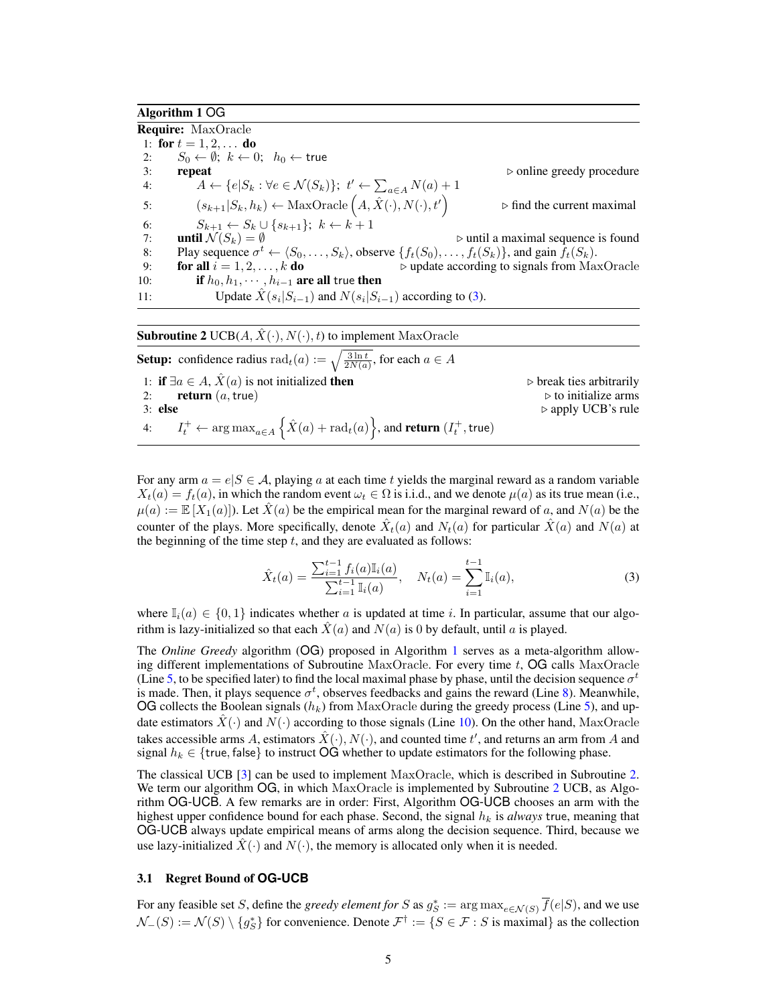## <span id="page-4-1"></span>Algorithm 1 OG

<span id="page-4-8"></span><span id="page-4-2"></span>Require: MaxOracle 1: for  $t = 1, 2, \ldots$  do 2:  $S_0 \leftarrow \emptyset$ ;  $k \leftarrow 0$ ;  $h_0 \leftarrow$  true<br>3: **repeat**  $\therefore$  repeat .  $\therefore$  online greedy procedure 4:  $A \leftarrow \{e | S_k : \forall e \in \mathcal{N}(S_k) \}; t' \leftarrow \sum_{a \in A} N(a) + 1$ 5:  $(s_{k+1}|S_k, h_k) \leftarrow \text{MaxOracle}\left(A, \hat{X}(\cdot), N(\cdot), t'\right)$  $\triangleright$  find the current maximal 6:  $S_{k+1} \leftarrow S_k \cup \{s_{k+1}\}; k \leftarrow k+1$ <br>7: **until**  $\mathcal{N}(S_k) = \emptyset$  $\triangleright$  until a maximal sequence is found 8: Play sequence  $\sigma^t \leftarrow \langle S_0, \ldots, S_k \rangle$ , observe  $\{f_t(S_0), \ldots, f_t(S_k)\}$ , and gain  $\bar{f}_t(S_k)$ . 9: **for all**  $i = 1, 2, \ldots, k$  **do**  $\triangleright$  update according to signals from MaxOracle 10: **if**  $h_0, h_1, \cdots, h_{i-1}$  **are all true then** 11: Update  $\hat{X}(s_i|S_{i-1})$  and  $N(s_i|S_{i-1})$  according to [\(3\)](#page-4-0).

<span id="page-4-7"></span><span id="page-4-5"></span><span id="page-4-4"></span><span id="page-4-3"></span>**Subroutine 2** UCB( $A, \hat{X}(\cdot), N(\cdot), t$ ) to implement MaxOracle

| <b>Setup:</b> confidence radius rad <sub>t</sub> (a) := $\sqrt{\frac{3 \ln t}{2N(a)}}$ , for each $a \in A$                  |                                         |
|------------------------------------------------------------------------------------------------------------------------------|-----------------------------------------|
| 1: if $\exists a \in A$ , $\hat{X}(a)$ is not initialized then                                                               | $\triangleright$ break ties arbitrarily |
| 2: <b>return</b> $(a, true)$                                                                                                 | $\triangleright$ to initialize arms     |
| $3:$ else                                                                                                                    | $\triangleright$ apply UCB's rule       |
| 4: $I_t^+ \leftarrow \arg \max_{a \in A} \left\{ \hat{X}(a) + \text{rad}_t(a) \right\}$ , and <b>return</b> $(I_t^+$ , true) |                                         |

For any arm  $a = e|S \in \mathcal{A}$ , playing a at each time t yields the marginal reward as a random variable  $X_t(a) = f_t(a)$ , in which the random event  $\omega_t \in \Omega$  is i.i.d., and we denote  $\mu(a)$  as its true mean (i.e.,  $\mu(a) := \mathbb{E}[X_1(a)]$ . Let  $X(a)$  be the empirical mean for the marginal reward of a, and  $N(a)$  be the counter of the plays. More specifically, denote  $\hat{X}_t(a)$  and  $N_t(a)$  for particular  $\hat{X}(a)$  and  $N(a)$  at the beginning of the time step  $t$ , and they are evaluated as follows:

<span id="page-4-0"></span>
$$
\hat{X}_t(a) = \frac{\sum_{i=1}^{t-1} f_i(a) \mathbb{I}_i(a)}{\sum_{i=1}^{t-1} \mathbb{I}_i(a)}, \quad N_t(a) = \sum_{i=1}^{t-1} \mathbb{I}_i(a),
$$
\n(3)

where  $\mathbb{I}_i(a) \in \{0,1\}$  indicates whether a is updated at time i. In particular, assume that our algorithm is lazy-initialized so that each  $\ddot{X}(a)$  and  $N(a)$  is 0 by default, until a is played.

The *Online Greedy* algorithm (OG) proposed in Algorithm [1](#page-4-1) serves as a meta-algorithm allowing different implementations of Subroutine MaxOracle. For every time  $t$ , OG calls MaxOracle (Line [5,](#page-4-2) to be specified later) to find the local maximal phase by phase, until the decision sequence  $\sigma^t$ is made. Then, it plays sequence  $\sigma^t$ , observes feedbacks and gains the reward (Line [8\)](#page-4-3). Meanwhile, OG collects the Boolean signals  $(h_k)$  from MaxOracle during the greedy process (Line [5\)](#page-4-2), and update estimators  $X(\cdot)$  and  $N(\cdot)$  according to those signals (Line [10\)](#page-4-4). On the other hand, MaxOracle takes accessible arms A, estimators  $\hat{X}(\cdot), N(\cdot)$ , and counted time  $t'$ , and returns an arm from A and signal  $h_k \in \{$ true, false} to instruct OG whether to update estimators for the following phase.

The classical UCB [\[3\]](#page-8-7) can be used to implement MaxOracle, which is described in Subroutine [2.](#page-4-5) We term our algorithm OG, in which MaxOracle is implemented by Subroutine [2](#page-4-5) UCB, as Algorithm OG-UCB. A few remarks are in order: First, Algorithm OG-UCB chooses an arm with the highest upper confidence bound for each phase. Second, the signal  $h_k$  is *always* true, meaning that OG-UCB always update empirical means of arms along the decision sequence. Third, because we use lazy-initialized  $\hat{X}(\cdot)$  and  $N(\cdot)$ , the memory is allocated only when it is needed.

#### <span id="page-4-6"></span>3.1 Regret Bound of **OG-UCB**

For any feasible set S, define the *greedy element for* S as  $g_S^* := \arg \max_{e \in \mathcal{N}(S)} \overline{f}(e|S)$ , and we use  $\mathcal{N}_{-}(S) := \mathcal{N}(S) \setminus \{g_{S}^{*}\}\$  for convenience. Denote  $\mathcal{F}^{\dagger} := \{S \in \mathcal{F} : S \text{ is maximal}\}\$ as the collection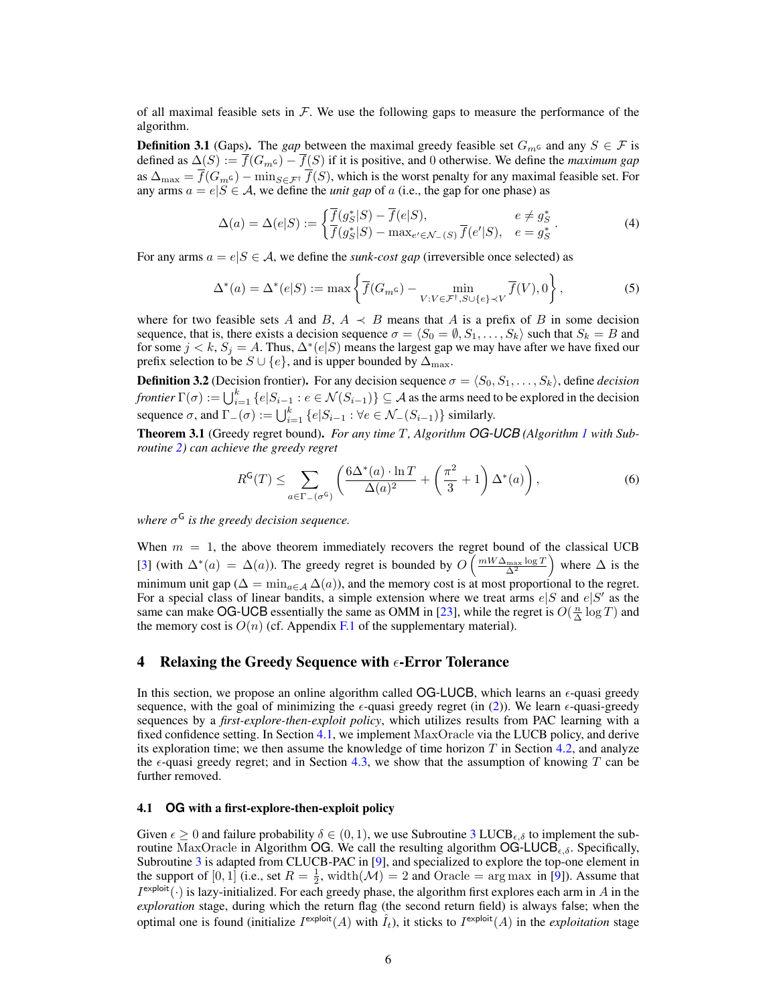of all maximal feasible sets in  $\mathcal F$ . We use the following gaps to measure the performance of the algorithm.

<span id="page-5-3"></span>**Definition 3.1** (Gaps). The *gap* between the maximal greedy feasible set  $G_m$  and any  $S \in \mathcal{F}$  is defined as  $\Delta(S) := \overline{f}(G_m \epsilon) - \overline{f}(S)$  if it is positive, and 0 otherwise. We define the *maximum gap* as  $\Delta_{\max} = f(G_m \epsilon) - \min_{S \in \mathcal{F}^{\dagger}} f(S)$ , which is the worst penalty for any maximal feasible set. For any arms  $a = e|S \in \mathcal{A}$ , we define the *unit gap* of a (i.e., the gap for one phase) as

<span id="page-5-4"></span><span id="page-5-1"></span>
$$
\Delta(a) = \Delta(e|S) := \begin{cases} \overline{f}(g_S^*|S) - \overline{f}(e|S), & e \neq g_S^* \\ \overline{f}(g_S^*|S) - \max_{e' \in \mathcal{N}_-(S)} \overline{f}(e'|S), & e = g_S^* \end{cases} (4)
$$

For any arms  $a = e|S \in \mathcal{A}$ , we define the *sunk-cost gap* (irreversible once selected) as

$$
\Delta^*(a) = \Delta^*(e|S) := \max\left\{ \overline{f}(G_m \mathbf{G}) - \min_{V:V \in \mathcal{F}^{\dagger}, S \cup \{e\} \prec V} \overline{f}(V), 0 \right\},\tag{5}
$$

where for two feasible sets A and B,  $A \prec B$  means that A is a prefix of B in some decision sequence, that is, there exists a decision sequence  $\sigma = \langle S_0 = \emptyset, S_1, \ldots, S_k \rangle$  such that  $S_k = B$  and for some  $j < k$ ,  $S_j = A$ . Thus,  $\Delta^*(e|S)$  means the largest gap we may have after we have fixed our prefix selection to be  $S \cup \{e\}$ , and is upper bounded by  $\Delta_{\text{max}}$ .

<span id="page-5-5"></span>**Definition 3.2** (Decision frontier). For any decision sequence  $\sigma = \langle S_0, S_1, \ldots, S_k \rangle$ , define *decision frontier*  $\Gamma(\sigma) := \bigcup_{i=1}^k \{e|S_{i-1} : e \in \mathcal{N}(S_{i-1})\} \subseteq \mathcal{A}$  as the arms need to be explored in the decision sequence  $\sigma$ , and  $\Gamma_-(\sigma) := \bigcup_{i=1}^k \{e|S_{i-1} : \forall e \in \mathcal{N}_-(S_{i-1})\}$  similarly.

<span id="page-5-2"></span>Theorem 3.1 (Greedy regret bound). *For any time* T*, Algorithm OG-UCB (Algorithm [1](#page-4-1) with Subroutine [2\)](#page-4-5) can achieve the greedy regret*

$$
R^{\mathsf{G}}(T) \leq \sum_{a \in \Gamma_-(\sigma^{\mathsf{G}})} \left( \frac{6\Delta^*(a) \cdot \ln T}{\Delta(a)^2} + \left( \frac{\pi^2}{3} + 1 \right) \Delta^*(a) \right),\tag{6}
$$

*where* σ <sup>G</sup> *is the greedy decision sequence.*

When  $m = 1$ , the above theorem immediately recovers the regret bound of the classical UCB [\[3\]](#page-8-7) (with  $\Delta^*(a) = \Delta(a)$ ). The greedy regret is bounded by  $O\left(\frac{mW\Delta_{\text{max}}\log T}{\Delta^2}\right)$  where  $\Delta$  is the minimum unit gap ( $\Delta = \min_{a \in \mathcal{A}} \Delta(a)$ ), and the memory cost is at most proportional to the regret. For a special class of linear bandits, a simple extension where we treat arms  $e|S$  and  $e|S'$  as the same can make OG-UCB essentially the same as OMM in [\[23\]](#page-8-22), while the regret is  $O(\frac{n}{\Delta} \log T)$  and the memory cost is  $O(n)$  (cf. Appendix [F.1](#page-25-0) of the supplementary material).

## <span id="page-5-6"></span>4 Relaxing the Greedy Sequence with  $\epsilon$ -Error Tolerance

In this section, we propose an online algorithm called  $OG-LUCB$ , which learns an  $\epsilon$ -quasi greedy sequence, with the goal of minimizing the  $\epsilon$ -quasi greedy regret (in [\(2\)](#page-3-1)). We learn  $\epsilon$ -quasi-greedy sequences by a *first-explore-then-exploit policy*, which utilizes results from PAC learning with a fixed confidence setting. In Section [4.1,](#page-5-0) we implement MaxOracle via the LUCB policy, and derive its exploration time; we then assume the knowledge of time horizon  $T$  in Section [4.2,](#page-6-0) and analyze the  $\epsilon$ -quasi greedy regret; and in Section [4.3,](#page-7-0) we show that the assumption of knowing T can be further removed.

## <span id="page-5-0"></span>4.1 **OG** with a first-explore-then-exploit policy

Given  $\epsilon \geq 0$  and failure probability  $\delta \in (0,1)$ , we use Subroutine [3](#page-6-1) LUCB<sub> $\epsilon, \delta$ </sub> to implement the subroutine MaxOracle in Algorithm OG. We call the resulting algorithm  $OG\text{-}LUCB_{\epsilon,\delta}$ . Specifically, Subroutine [3](#page-6-1) is adapted from CLUCB-PAC in [\[9\]](#page-8-9), and specialized to explore the top-one element in the support of  $[0,1]$  (i.e., set  $R = \frac{1}{2}$ , width $(\mathcal{M}) = 2$  and Oracle = arg max in [\[9\]](#page-8-9)). Assume that  $I^{\text{exploit}}(\cdot)$  is lazy-initialized. For each greedy phase, the algorithm first explores each arm in A in the *exploration* stage, during which the return flag (the second return field) is always false; when the optimal one is found (initialize  $I^{\text{exploit}}(A)$  with  $\hat{I}_t$ ), it sticks to  $I^{\text{exploit}}(A)$  in the *exploitation* stage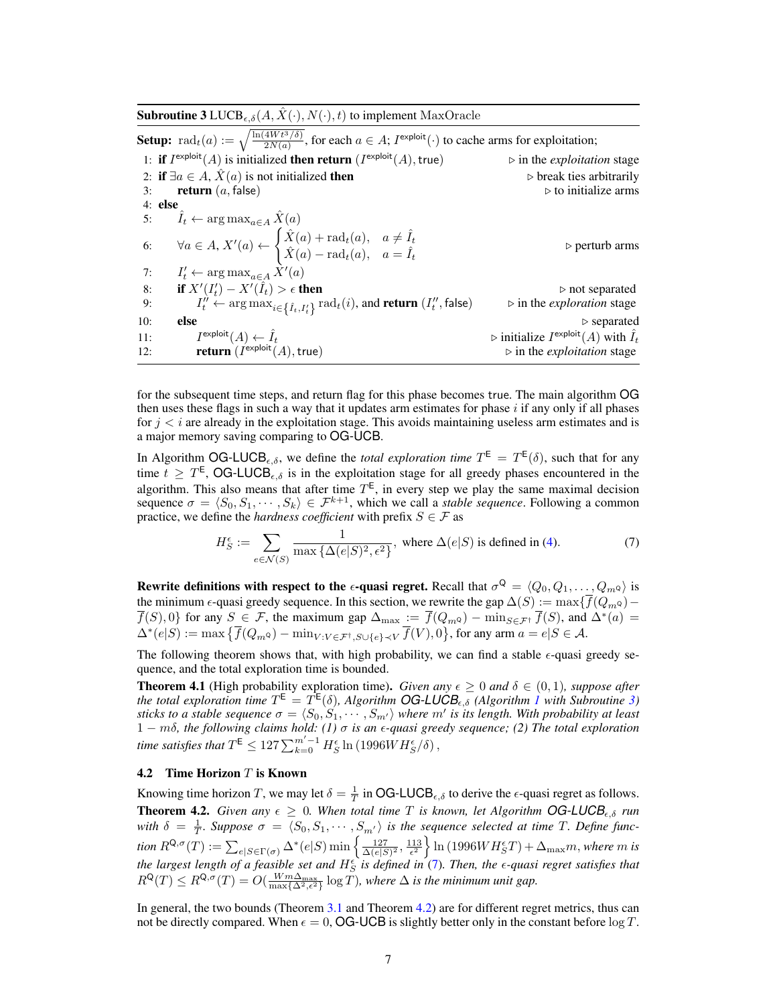<span id="page-6-1"></span>**Subroutine 3** LUCB<sub> $\epsilon, \delta$ </sub> $(A, \hat{X}(\cdot), N(\cdot), t)$  to implement MaxOracle **Setup:**  $\text{rad}_t(a) := \sqrt{\frac{\ln(4W t^3/\delta)}{2N(a)}}$ , for each  $a \in A$ ;  $I^{\text{exploit}}(\cdot)$  to cache arms for exploitation; 1: if  $I^{\text{exploit}}(A)$  is initialized then return (*I*  $\triangleright$  in the *exploitation* stage 2: if  $\exists a \in A$ ,  $\hat{X}(a)$  is not initialized then  $\triangleright$  break ties arbitrarily 3: **return**  $(a, false)$  .  $\triangleright$  to initialize arms 4: else 5:  $\hat{I}_t \leftarrow \arg \max_{a \in A} \hat{X}(a)$ 6:  $\forall a \in A, X'(a) \leftarrow$  $\int \hat{X}(a) + \mathrm{rad}_t(a), a \neq \hat{I}_t$  $\hat{X}(a) - \text{rad}_{t}(a), \quad a = \hat{I}_{t}$  $\rhd$  perturb arms  $7:$  $\chi'_t \leftarrow \arg \max_{a \in A} \dot{X}'(a)$ 8: if  $X'(I'_t) - X'(\hat{I}_t) > \epsilon$  then  $\triangleright$  not separated 9:  $I_t^{\hat{\mu}} \leftarrow \arg \max_{i \in \{ \hat{I}_t, I_t^{\prime} \}} \text{rad}_t(i)$ , and **return**  $(I_t^{\prime\prime})$  $\triangleright$  in the *exploration* stage 10: **else**  $\triangleright$  separated  $11:$  $\text{e}^{\text{explot}}(A) \leftarrow \hat{I}_t$  b initialize  $I$  $\triangleright$  initialize  $I^{\text{exploit}}(A)$  with  $\hat{I}_t$ 12:  $return (I)$  $\triangleright$  in the *exploitation* stage

<span id="page-6-4"></span>for the subsequent time steps, and return flag for this phase becomes true. The main algorithm OG then uses these flags in such a way that it updates arm estimates for phase  $i$  if any only if all phases for  $j < i$  are already in the exploitation stage. This avoids maintaining useless arm estimates and is a major memory saving comparing to OG-UCB.

In Algorithm OG-LUCB<sub> $\epsilon, \delta$ </sub>, we define the *total exploration time*  $T^{\epsilon} = T^{\epsilon}(\delta)$ , such that for any time  $t \geq T^{\text{E}}$ , OG-LUCB<sub> $\epsilon, \delta$ </sub> is in the exploitation stage for all greedy phases encountered in the algorithm. This also means that after time  $T^{\text{E}}$ , in every step we play the same maximal decision sequence  $\sigma = \langle S_0, S_1, \cdots, S_k \rangle \in \mathcal{F}^{k+1}$ , which we call a *stable sequence*. Following a common practice, we define the *hardness coefficient* with prefix  $S \in \mathcal{F}$  as

<span id="page-6-2"></span>
$$
H_S^{\epsilon} := \sum_{e \in \mathcal{N}(S)} \frac{1}{\max{\{\Delta(e|S)^2, \epsilon^2\}}}, \text{ where } \Delta(e|S) \text{ is defined in (4).}
$$
 (7)

Rewrite definitions with respect to the  $\epsilon$ -quasi regret. Recall that  $\sigma^Q = \langle Q_0, Q_1, \ldots, Q_m$  $\rangle$  is the minimum  $\epsilon$ -quasi greedy sequence. In this section, we rewrite the gap  $\Delta(S) := \max{\{\overline{f}(Q_m\alpha) - \overline{f}(Q_m\alpha)\}}$  $\overline{f}(S),0$  for any  $S \in \mathcal{F}$ , the maximum gap  $\Delta_{\max} := \overline{f}(Q_m \circ) - \min_{S \in \mathcal{F}^{\dagger}} \overline{f}(S)$ , and  $\Delta^*(a) =$  $\Delta^*(e|S) := \max \left\{ \overline{f}(Q_{m}a) - \min_{V:V \in \mathcal{F}^{\dagger}, S \cup \{e\} \prec V} \overline{f}(V), 0 \right\}$ , for any arm  $a = e|S \in \mathcal{A}$ .

The following theorem shows that, with high probability, we can find a stable  $\epsilon$ -quasi greedy sequence, and the total exploration time is bounded.

<span id="page-6-5"></span>**Theorem 4.1** (High probability exploration time). *Given any*  $\epsilon \geq 0$  *and*  $\delta \in (0,1)$ *, suppose after* the total exploration time  $T^{\text{E}} = T^{\text{E}}(\delta)$ , Algorithm **OG-LUCB**<sub> $\epsilon,\delta$ </sub> (Algorithm [1](#page-4-1) with Subroutine [3\)](#page-6-1) *sticks to a stable sequence*  $\sigma = \langle S_0, S_1, \cdots, S_{m'} \rangle$  where  $m'$  is its length. With probability at least 1 − mδ*, the following claims hold: (1)* σ *is an -quasi greedy sequence; (2) The total exploration* time satisfies that  $T^\mathsf{E} \le 127 \sum_{k=0}^{m'-1} H_S^\epsilon \ln{(1996WH_S^\epsilon/\delta)}$  ,

## <span id="page-6-0"></span>**4.2** Time Horizon  $T$  is Known

<span id="page-6-3"></span>Knowing time horizon T, we may let  $\delta = \frac{1}{T}$  in OG-LUCB<sub> $\epsilon, \delta$ </sub> to derive the  $\epsilon$ -quasi regret as follows. **Theorem 4.2.** *Given any*  $\epsilon \geq 0$ *. When total time T is known, let Algorithm OG-LUCB*<sub> $\epsilon, \delta$ </sub> *run* with  $\delta = \frac{1}{T}$ . Suppose  $\sigma = \langle S_0, S_1, \cdots, S_{m'} \rangle$  is the sequence selected at time T. Define func- $\displaystyle{ \hbox{tion } R^{\mathsf{Q},\sigma}(T):=\sum_{e|S\in \Gamma(\sigma)}\Delta^*(e|S) \min\left\lbrace \frac{127}{\Delta(e|S)^2},\frac{113}{\epsilon^2}\right\rbrace \ln{(1996WH^{\epsilon}_S T)}+\Delta_{\max}m, \hbox{where $m$ is} }$ *the largest length of a feasible set and* H S *is defined in* [\(7\)](#page-6-2)*. Then, the -quasi regret satisfies that*  $R^{\mathsf{Q}}(T) \leq R^{\mathsf{Q}, \sigma}(T) = O(\frac{Wm\Delta_{\max}}{\max\{\Delta^2, \epsilon^2\}}\log T)$ *, where*  $\Delta$  *is the minimum unit gap.* 

In general, the two bounds (Theorem [3.1](#page-5-2) and Theorem [4.2\)](#page-6-3) are for different regret metrics, thus can not be directly compared. When  $\epsilon = 0$ , OG-UCB is slightly better only in the constant before  $\log T$ .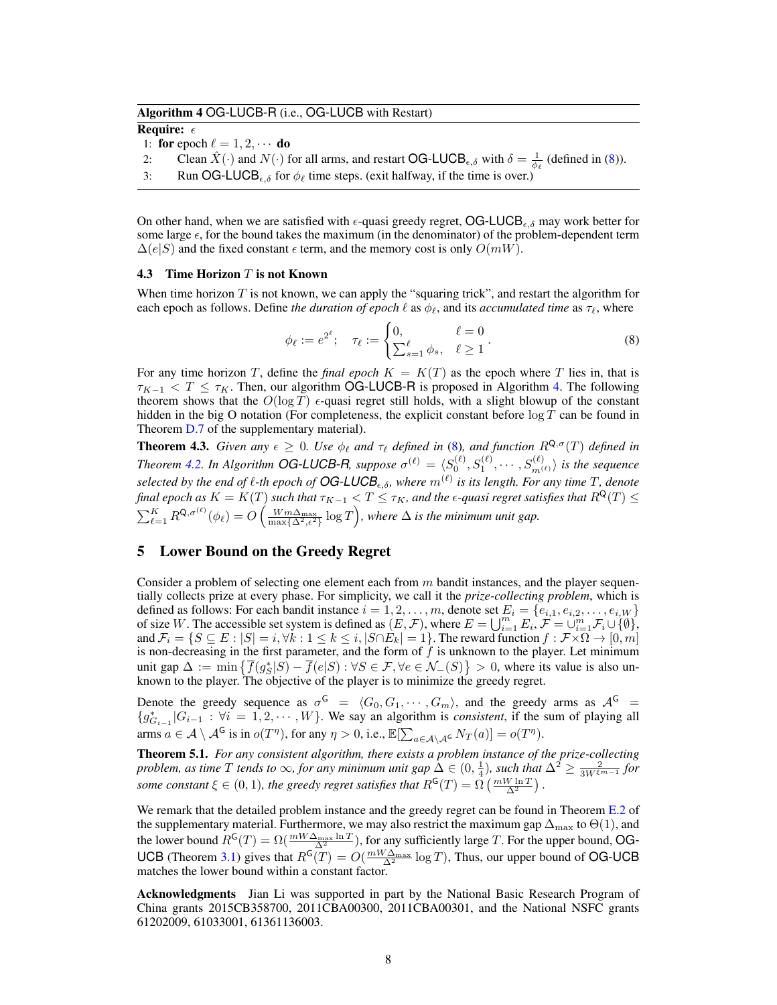## <span id="page-7-2"></span>Algorithm 4 OG-LUCB-R (i.e., OG-LUCB with Restart)

Require:  $\epsilon$ 

1: for epoch  $\ell = 1, 2, \cdots$  do

- 2: Clean  $\hat{X}(\cdot)$  and  $N(\cdot)$  for all arms, and restart OG-LUCB<sub> $\epsilon, \delta$ </sub> with  $\delta = \frac{1}{\phi_{\ell}}$  (defined in [\(8\)](#page-7-1)).
- 3: Run OG-LUCB<sub> $\epsilon, \delta$ </sub> for  $\phi_\ell$  time steps. (exit halfway, if the time is over.)

On other hand, when we are satisfied with  $\epsilon$ -quasi greedy regret, OG-LUCB $_{\epsilon,\delta}$  may work better for some large  $\epsilon$ , for the bound takes the maximum (in the denominator) of the problem-dependent term  $\Delta(e|S)$  and the fixed constant  $\epsilon$  term, and the memory cost is only  $O(mW)$ .

#### <span id="page-7-0"></span>**4.3** Time Horizon  $T$  is not Known

When time horizon  $T$  is not known, we can apply the "squaring trick", and restart the algorithm for each epoch as follows. Define *the duration of epoch*  $\ell$  as  $\phi_{\ell}$ , and its *accumulated time* as  $\tau_{\ell}$ , where

<span id="page-7-1"></span>
$$
\phi_{\ell} := e^{2^{\ell}}; \quad \tau_{\ell} := \begin{cases} 0, & \ell = 0 \\ \sum_{s=1}^{\ell} \phi_s, & \ell \ge 1 \end{cases}.
$$
 (8)

For any time horizon T, define the *final epoch*  $K = K(T)$  as the epoch where T lies in, that is  $\tau_{K-1}$  < T  $\leq$   $\tau_K$ . Then, our algorithm OG-LUCB-R is proposed in Algorithm [4.](#page-7-2) The following theorem shows that the  $O(\log T)$  e-quasi regret still holds, with a slight blowup of the constant hidden in the big O notation (For completeness, the explicit constant before  $\log T$  can be found in Theorem [D.7](#page-19-0) of the supplementary material).

<span id="page-7-3"></span>**Theorem 4.3.** *Given any*  $\epsilon \geq 0$ *. Use*  $\phi_{\ell}$  *and*  $\tau_{\ell}$  *defined in* [\(8\)](#page-7-1)*, and function*  $R^{Q,\sigma}(T)$  *defined in Theorem [4.2.](#page-6-3) In Algorithm OG-LUCB-R, suppose*  $\sigma^{(\ell)} = \langle S_0^{(\ell)}, S_1^{(\ell)}, \cdots, S_{m^{(\ell)}}^{(\ell)} \rangle$  is the sequence selected by the end of  $\ell$ -th epoch of  $OG$ -LUCB<sub> $\epsilon, \delta$ </sub>, where  $m^{(\ell)}$  is its length. For any time T, denote *final epoch as*  $K = K(T)$  *such that*  $\tau_{K-1} < T \leq \tau_K$ *, and the*  $\epsilon$ *-quasi regret satisfies that*  $R^\mathsf{Q}(T) \leq$  $\sum_{\ell=1}^K R^{\mathsf{Q},\sigma^{(\ell)}}(\phi_\ell) = O\left(\frac{Wm\Delta_{\max}}{\max\{\Delta^2,\epsilon^2\}}\log T\right)$ , where  $\Delta$  is the minimum unit gap.

## <span id="page-7-4"></span>5 Lower Bound on the Greedy Regret

Consider a problem of selecting one element each from  $m$  bandit instances, and the player sequentially collects prize at every phase. For simplicity, we call it the *prize-collecting problem*, which is defined as follows: For each bandit instance  $i = 1, 2, \ldots, m$ , denote set  $E_i = \{e_{i,1}, e_{i,2}, \ldots, e_{i,W}\}\$ of size W. The accessible set system is defined as  $(E, \mathcal{F})$ , where  $E = \bigcup_{i=1}^{m} E_i$ ,  $\mathcal{F} = \bigcup_{i=1}^{m} \mathcal{F}_i \cup \{0\}$ , and  $\mathcal{F}_i = \{S \subseteq E : |S| = i, \forall k : 1 \le k \le i, |S \cap E_k| = 1\}.$  The reward function  $f : \mathcal{F} \times \Omega \to [0, m]$ is non-decreasing in the first parameter, and the form of  $f$  is unknown to the player. Let minimum unit gap  $\Delta := \min \{ \overline{f}(g_S^* | S) - \overline{f}(e | S) : \forall S \in \mathcal{F}, \forall e \in \mathcal{N}_-(S) \} > 0$ , where its value is also unknown to the player. The objective of the player is to minimize the greedy regret.

Denote the greedy sequence as  $\sigma^{\mathsf{G}} = \langle G_0, G_1, \cdots, G_m \rangle$ , and the greedy arms as  $\mathcal{A}^{\mathsf{G}} =$  ${g_{G_{i-1}}^*|G_{i-1} : \forall i = 1,2,\cdots,W}$ . We say an algorithm is *consistent*, if the sum of playing all arms  $a \in \mathcal{A} \setminus \mathcal{A}^{\mathsf{G}}$  is in  $o(T^{\eta})$ , for any  $\eta > 0$ , i.e.,  $\mathbb{E}[\sum_{a \in \mathcal{A} \setminus \mathcal{A}^{\mathsf{G}}} N_T(a)] = o(T^{\eta})$ .

Theorem 5.1. *For any consistent algorithm, there exists a problem instance of the prize-collecting problem, as time*  $T$  *tends to*  $\infty$ *, for any minimum unit gap*  $\hat{\Delta} \in (0, \frac{1}{4})$ *, such that*  $\Delta^2 \ge \frac{2}{3W^{\xi m-1}}$  *for some constant*  $\xi \in (0,1)$ *, the greedy regret satisfies that*  $R^{\mathsf{G}}(T) = \Omega\left(\frac{mW\ln T}{\Delta^2}\right)$ .

We remark that the detailed problem instance and the greedy regret can be found in Theorem [E.2](#page-24-0) of the supplementary material. Furthermore, we may also restrict the maximum gap  $\Delta_{\max}$  to  $\Theta(1)$ , and the lower bound  $R^{\mathsf{G}}(T) = \Omega(\frac{mW\Delta_{\max}\ln T}{\Delta^2})$ , for any sufficiently large T. For the upper bound, OG-UCB (Theorem [3.1\)](#page-5-2) gives that  $R^{G}(T) = O(\frac{mW\Delta_{\max}}{\Delta^2} \log T)$ , Thus, our upper bound of OG-UCB matches the lower bound within a constant factor.

Acknowledgments Jian Li was supported in part by the National Basic Research Program of China grants 2015CB358700, 2011CBA00300, 2011CBA00301, and the National NSFC grants 61202009, 61033001, 61361136003.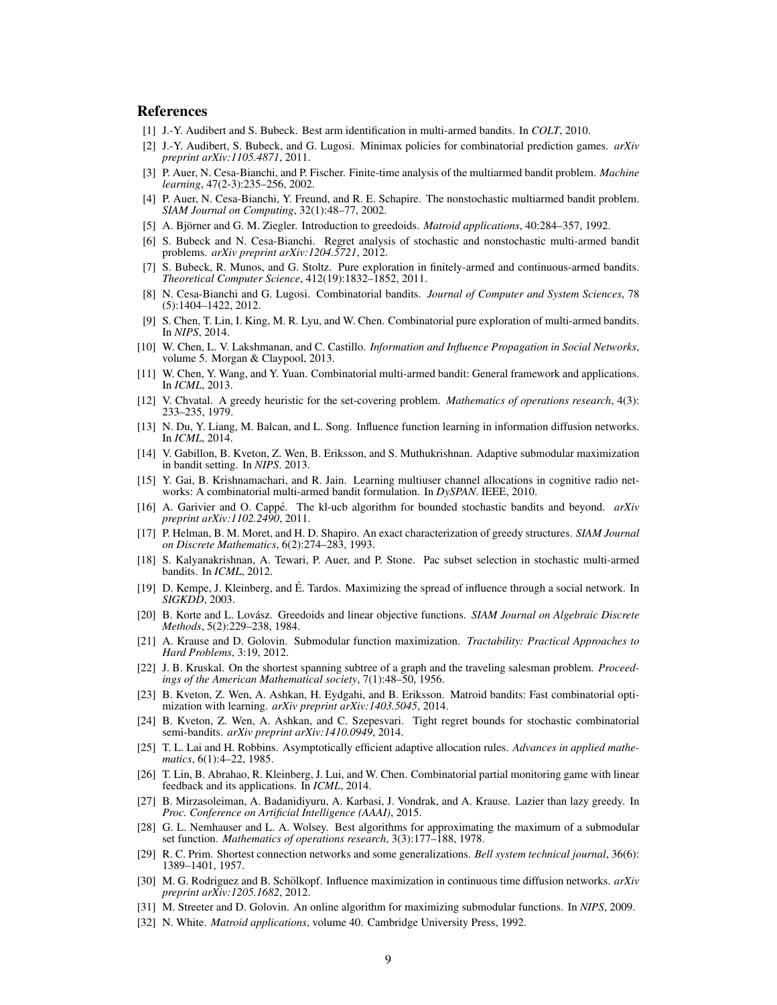## References

- <span id="page-8-13"></span>[1] J.-Y. Audibert and S. Bubeck. Best arm identification in multi-armed bandits. In *COLT*, 2010.
- <span id="page-8-4"></span>[2] J.-Y. Audibert, S. Bubeck, and G. Lugosi. Minimax policies for combinatorial prediction games. *arXiv preprint arXiv:1105.4871*, 2011.
- <span id="page-8-7"></span>[3] P. Auer, N. Cesa-Bianchi, and P. Fischer. Finite-time analysis of the multiarmed bandit problem. *Machine learning*, 47(2-3):235–256, 2002.
- <span id="page-8-10"></span>[4] P. Auer, N. Cesa-Bianchi, Y. Freund, and R. E. Schapire. The nonstochastic multiarmed bandit problem. *SIAM Journal on Computing*, 32(1):48–77, 2002.
- <span id="page-8-19"></span>[5] A. Björner and G. M. Ziegler. Introduction to greedoids. *Matroid applications*, 40:284–357, 1992.
- <span id="page-8-11"></span>[6] S. Bubeck and N. Cesa-Bianchi. Regret analysis of stochastic and nonstochastic multi-armed bandit problems. *arXiv preprint arXiv:1204.5721*, 2012.
- <span id="page-8-14"></span>[7] S. Bubeck, R. Munos, and G. Stoltz. Pure exploration in finitely-armed and continuous-armed bandits. *Theoretical Computer Science*, 412(19):1832–1852, 2011.
- <span id="page-8-6"></span>[8] N. Cesa-Bianchi and G. Lugosi. Combinatorial bandits. *Journal of Computer and System Sciences*, 78 (5):1404–1422, 2012.
- <span id="page-8-9"></span>[9] S. Chen, T. Lin, I. King, M. R. Lyu, and W. Chen. Combinatorial pure exploration of multi-armed bandits. In *NIPS*, 2014.
- <span id="page-8-30"></span>[10] W. Chen, L. V. Lakshmanan, and C. Castillo. *Information and Influence Propagation in Social Networks*, volume 5. Morgan & Claypool, 2013.
- <span id="page-8-16"></span>[11] W. Chen, Y. Wang, and Y. Yuan. Combinatorial multi-armed bandit: General framework and applications. In *ICML*, 2013.
- <span id="page-8-2"></span>[12] V. Chvatal. A greedy heuristic for the set-covering problem. *Mathematics of operations research*, 4(3): 233–235, 1979.
- <span id="page-8-31"></span>[13] N. Du, Y. Liang, M. Balcan, and L. Song. Influence function learning in information diffusion networks. In *ICML*, 2014.
- <span id="page-8-24"></span>[14] V. Gabillon, B. Kveton, Z. Wen, B. Eriksson, and S. Muthukrishnan. Adaptive submodular maximization in bandit setting. In *NIPS*. 2013.
- <span id="page-8-15"></span>[15] Y. Gai, B. Krishnamachari, and R. Jain. Learning multiuser channel allocations in cognitive radio networks: A combinatorial multi-armed bandit formulation. In *DySPAN*. IEEE, 2010.
- <span id="page-8-12"></span>[16] A. Garivier and O. Cappé. The kl-ucb algorithm for bounded stochastic bandits and beyond.  $arXiv$ *preprint arXiv:1102.2490*, 2011.
- <span id="page-8-20"></span>[17] P. Helman, B. M. Moret, and H. D. Shapiro. An exact characterization of greedy structures. *SIAM Journal on Discrete Mathematics*, 6(2):274–283, 1993.
- <span id="page-8-8"></span>[18] S. Kalyanakrishnan, A. Tewari, P. Auer, and P. Stone. Pac subset selection in stochastic multi-armed bandits. In *ICML*, 2012.
- <span id="page-8-3"></span>[19] D. Kempe, J. Kleinberg, and E. Tardos. Maximizing the spread of influence through a social network. In ´ *SIGKDD*, 2003.
- <span id="page-8-21"></span>[20] B. Korte and L. Lovász. Greedoids and linear objective functions. *SIAM Journal on Algebraic Discrete Methods*, 5(2):229–238, 1984.
- <span id="page-8-27"></span>[21] A. Krause and D. Golovin. Submodular function maximization. *Tractability: Practical Approaches to Hard Problems*, 3:19, 2012.
- <span id="page-8-0"></span>[22] J. B. Kruskal. On the shortest spanning subtree of a graph and the traveling salesman problem. *Proceedings of the American Mathematical society*, 7(1):48–50, 1956.
- <span id="page-8-22"></span>[23] B. Kveton, Z. Wen, A. Ashkan, H. Eydgahi, and B. Eriksson. Matroid bandits: Fast combinatorial optimization with learning. *arXiv preprint arXiv:1403.5045*, 2014.
- <span id="page-8-17"></span>[24] B. Kveton, Z. Wen, A. Ashkan, and C. Szepesvari. Tight regret bounds for stochastic combinatorial semi-bandits. *arXiv preprint arXiv:1410.0949*, 2014.
- <span id="page-8-5"></span>[25] T. L. Lai and H. Robbins. Asymptotically efficient adaptive allocation rules. *Advances in applied mathematics*, 6(1):4–22, 1985.
- <span id="page-8-18"></span>[26] T. Lin, B. Abrahao, R. Kleinberg, J. Lui, and W. Chen. Combinatorial partial monitoring game with linear feedback and its applications. In *ICML*, 2014.
- <span id="page-8-25"></span>[27] B. Mirzasoleiman, A. Badanidiyuru, A. Karbasi, J. Vondrak, and A. Krause. Lazier than lazy greedy. In *Proc. Conference on Artificial Intelligence (AAAI)*, 2015.
- <span id="page-8-28"></span>[28] G. L. Nemhauser and L. A. Wolsey. Best algorithms for approximating the maximum of a submodular set function. *Mathematics of operations research*, 3(3):177–188, 1978.
- <span id="page-8-1"></span>[29] R. C. Prim. Shortest connection networks and some generalizations. *Bell system technical journal*, 36(6): 1389–1401, 1957.
- <span id="page-8-29"></span>[30] M. G. Rodriguez and B. Schölkopf. Influence maximization in continuous time diffusion networks. *arXiv preprint arXiv:1205.1682*, 2012.
- <span id="page-8-23"></span>[31] M. Streeter and D. Golovin. An online algorithm for maximizing submodular functions. In *NIPS*, 2009.
- <span id="page-8-26"></span>[32] N. White. *Matroid applications*, volume 40. Cambridge University Press, 1992.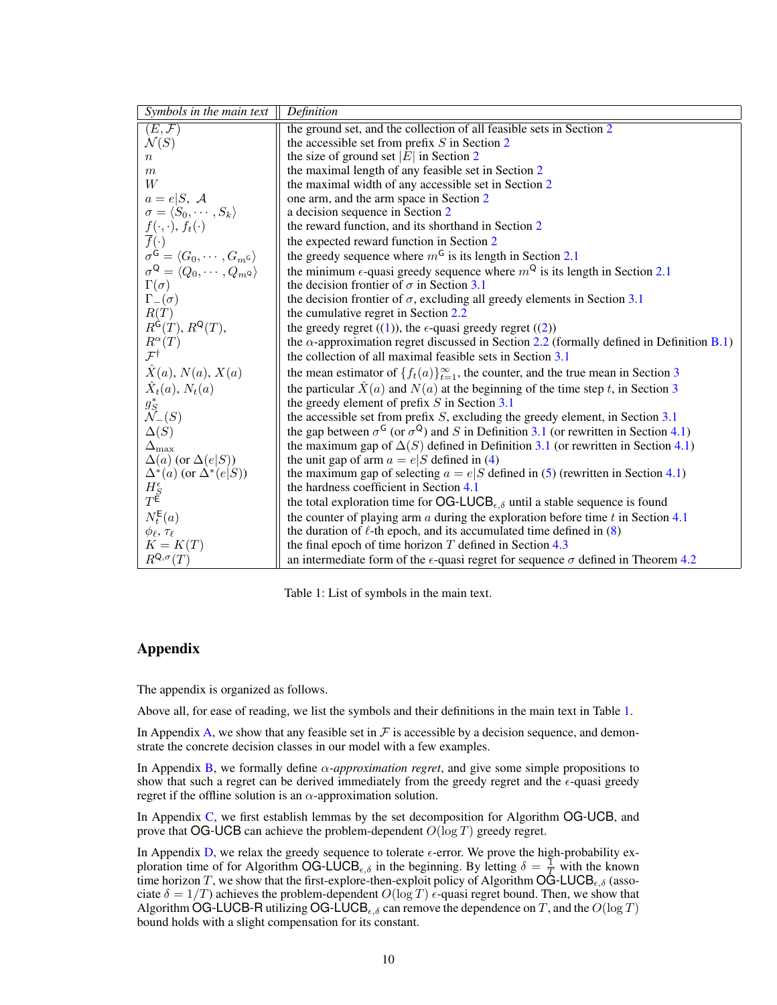| Symbols in the main text                                                                                                 | Definition                                                                                                              |
|--------------------------------------------------------------------------------------------------------------------------|-------------------------------------------------------------------------------------------------------------------------|
| $(E, \mathcal{F})$                                                                                                       | the ground set, and the collection of all feasible sets in Section 2                                                    |
| $\mathcal{N}(S)$                                                                                                         | the accessible set from prefix $S$ in Section 2                                                                         |
| $\,n$                                                                                                                    | the size of ground set $ E $ in Section 2                                                                               |
| m                                                                                                                        | the maximal length of any feasible set in Section 2                                                                     |
| W                                                                                                                        | the maximal width of any accessible set in Section 2                                                                    |
| $a=e S, \mathcal{A}$                                                                                                     | one arm, and the arm space in Section 2                                                                                 |
| $\sigma = \langle S_0, \cdots, S_k \rangle$                                                                              | a decision sequence in Section 2                                                                                        |
| $\frac{f(\cdot,\cdot)}{f(\cdot)}$ , $f_t(\cdot)$                                                                         | the reward function, and its shorthand in Section 2                                                                     |
| $J(\cdot, \cdot), J_t(\cdot)$<br>$\overline{f}(\cdot)$<br>$\sigma^{\mathsf{G}} = \langle G_0, \cdots, G_m \circ \rangle$ | the expected reward function in Section 2                                                                               |
|                                                                                                                          | the greedy sequence where $m6$ is its length in Section 2.1                                                             |
| $\sigma^{\mathsf{Q}} = \langle Q_0, \cdots, Q_m$<br>o $\rangle$                                                          | the minimum $\epsilon$ -quasi greedy sequence where $m^{Q}$ is its length in Section 2.1                                |
| $\Gamma(\sigma)$                                                                                                         | the decision frontier of $\sigma$ in Section 3.1                                                                        |
| $\Gamma_-(\sigma)$                                                                                                       | the decision frontier of $\sigma$ , excluding all greedy elements in Section 3.1                                        |
| R(T)                                                                                                                     | the cumulative regret in Section 2.2                                                                                    |
| $R^{\hat{\mathsf{G}}}(T), R^{\mathsf{Q}}(T),$                                                                            | the greedy regret $((1))$ , the $\epsilon$ -quasi greedy regret $((2))$                                                 |
| $R^{\alpha}(T)$                                                                                                          | the $\alpha$ -approximation regret discussed in Section 2.2 (formally defined in Definition B.1)                        |
| $\mathcal{F}^{\dagger}$                                                                                                  | the collection of all maximal feasible sets in Section 3.1                                                              |
| $\hat{X}(a)$ , $N(a)$ , $X(a)$                                                                                           | the mean estimator of $\{f_t(a)\}_{t=1}^{\infty}$ , the counter, and the true mean in Section 3                         |
| $\hat{X}_t(a), N_t(a)$                                                                                                   | the particular $\hat{X}(a)$ and $N(a)$ at the beginning of the time step t, in Section 3                                |
| $g_S^*$<br>$\mathcal{N}_{-}(S)$                                                                                          | the greedy element of prefix $S$ in Section 3.1                                                                         |
|                                                                                                                          | the accessible set from prefix $S$ , excluding the greedy element, in Section $3.1$                                     |
| $\Delta(S)$                                                                                                              | the gap between $\sigma^{\mathsf{G}}$ (or $\sigma^{\mathsf{Q}}$ ) and S in Definition 3.1 (or rewritten in Section 4.1) |
| $\Delta_{\text{max}}$                                                                                                    | the maximum gap of $\Delta(S)$ defined in Definition 3.1 (or rewritten in Section 4.1)                                  |
| $\Delta(a)$ (or $\Delta(e S)$ )                                                                                          | the unit gap of arm $a = e S$ defined in (4)                                                                            |
| $\begin{array}{l} \Delta^*(a)\;(\text{or}\;\Delta^*(e S))\\ H_S^\epsilon\\ T^\mathsf{E} \end{array}$                     | the maximum gap of selecting $a = e/S$ defined in (5) (rewritten in Section 4.1)                                        |
|                                                                                                                          | the hardness coefficient in Section 4.1                                                                                 |
|                                                                                                                          | the total exploration time for OG-LUCB <sub><math>\epsilon, \delta</math></sub> until a stable sequence is found        |
| $N_t^{\mathsf{E}}(a)$                                                                                                    | the counter of playing arm $a$ during the exploration before time $t$ in Section 4.1                                    |
| $\phi_{\ell}, \tau_{\ell}$                                                                                               | the duration of $\ell$ -th epoch, and its accumulated time defined in (8)                                               |
| $K = K(T)$                                                                                                               | the final epoch of time horizon $T$ defined in Section 4.3                                                              |
| $R^{\mathsf{Q},\sigma}(T)$                                                                                               | an intermediate form of the $\epsilon$ -quasi regret for sequence $\sigma$ defined in Theorem 4.2                       |

<span id="page-9-0"></span>Table 1: List of symbols in the main text.

# Appendix

The appendix is organized as follows.

Above all, for ease of reading, we list the symbols and their definitions in the main text in Table [1.](#page-9-0)

In Appendix [A,](#page-10-1) we show that any feasible set in  $\mathcal F$  is accessible by a decision sequence, and demonstrate the concrete decision classes in our model with a few examples.

In Appendix [B,](#page-11-1) we formally define α*-approximation regret*, and give some simple propositions to show that such a regret can be derived immediately from the greedy regret and the  $\epsilon$ -quasi greedy regret if the offline solution is an  $\alpha$ -approximation solution.

In Appendix [C,](#page-11-2) we first establish lemmas by the set decomposition for Algorithm OG-UCB, and prove that OG-UCB can achieve the problem-dependent  $O(\log T)$  greedy regret.

In Appendix [D,](#page-15-0) we relax the greedy sequence to tolerate  $\epsilon$ -error. We prove the high-probability exploration time of for Algorithm OG-LUCB<sub> $\epsilon, \delta$ </sub> in the beginning. By letting  $\delta = \frac{1}{T}$  with the known time horizon T, we show that the first-explore-then-exploit policy of Algorithm OG-LUCB<sub> $\epsilon, \delta$ </sub> (associate  $\delta = 1/T$ ) achieves the problem-dependent  $O(\log T)$   $\epsilon$ -quasi regret bound. Then, we show that Algorithm OG-LUCB-R utilizing OG-LUCB<sub> $\epsilon, \delta$ </sub> can remove the dependence on T, and the  $O(\log T)$ bound holds with a slight compensation for its constant.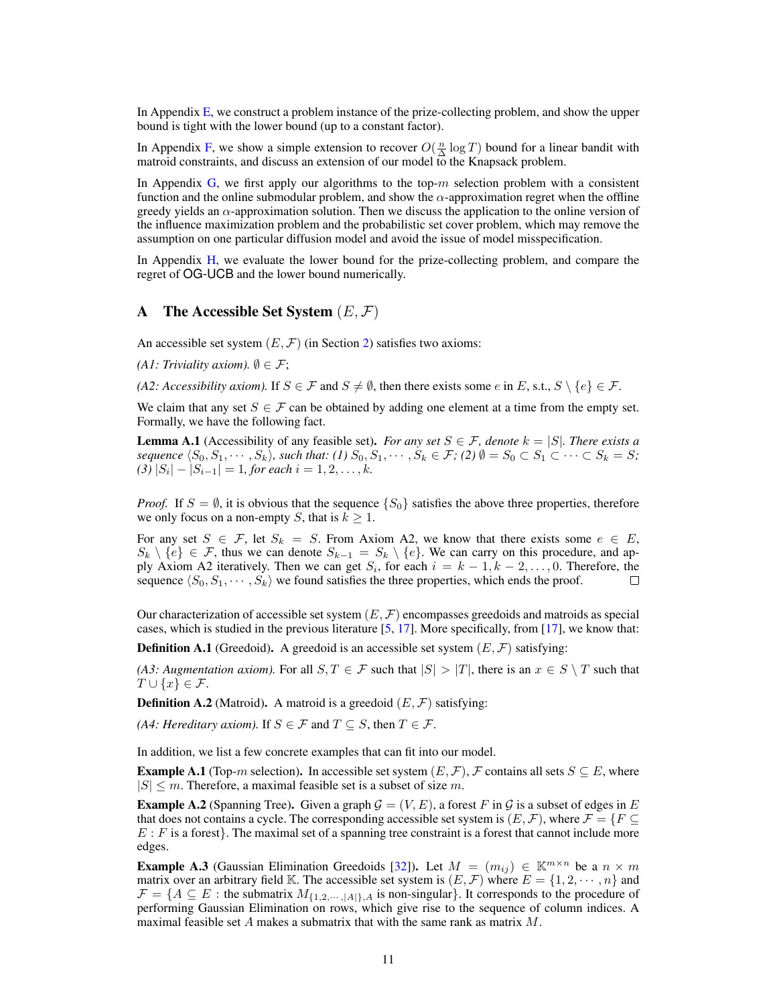In Appendix [E,](#page-20-0) we construct a problem instance of the prize-collecting problem, and show the upper bound is tight with the lower bound (up to a constant factor).

In Appendix [F,](#page-25-1) we show a simple extension to recover  $O(\frac{n}{\Delta} \log T)$  bound for a linear bandit with matroid constraints, and discuss an extension of our model to the Knapsack problem.

In Appendix [G,](#page-26-0) we first apply our algorithms to the top- $m$  selection problem with a consistent function and the online submodular problem, and show the  $\alpha$ -approximation regret when the offline greedy yields an  $\alpha$ -approximation solution. Then we discuss the application to the online version of the influence maximization problem and the probabilistic set cover problem, which may remove the assumption on one particular diffusion model and avoid the issue of model misspecification.

In Appendix [H,](#page-29-0) we evaluate the lower bound for the prize-collecting problem, and compare the regret of OG-UCB and the lower bound numerically.

## <span id="page-10-1"></span>A The Accessible Set System  $(E, F)$

An accessible set system  $(E, \mathcal{F})$  (in Section [2\)](#page-2-0) satisfies two axioms:

*(A1: Triviality axiom).*  $\emptyset \in \mathcal{F}$ ;

*(A2: Accessibility axiom).* If  $S \in \mathcal{F}$  and  $S \neq \emptyset$ , then there exists some e in E, s.t.,  $S \setminus \{e\} \in \mathcal{F}$ .

We claim that any set  $S \in \mathcal{F}$  can be obtained by adding one element at a time from the empty set. Formally, we have the following fact.

<span id="page-10-0"></span>**Lemma A.1** (Accessibility of any feasible set). *For any set*  $S \in \mathcal{F}$ , denote  $k = |S|$ *. There exists a sequence*  $\langle S_0, S_1, \cdots, S_k \rangle$ *, such that:* (1)  $S_0, S_1, \cdots, S_k \in \mathcal{F}$ ; (2)  $\emptyset = S_0 \subset S_1 \subset \cdots \subset S_k = S$ ;  $(3) |S_i| - |S_{i-1}| = 1$ , for each  $i = 1, 2, ..., k$ .

*Proof.* If  $S = \emptyset$ , it is obvious that the sequence  $\{S_0\}$  satisfies the above three properties, therefore we only focus on a non-empty S, that is  $k \geq 1$ .

For any set  $S \in \mathcal{F}$ , let  $S_k = S$ . From Axiom A2, we know that there exists some  $e \in E$ ,  $S_k \setminus \{e\} \in \mathcal{F}$ , thus we can denote  $S_{k-1} = S_k \setminus \{e\}$ . We can carry on this procedure, and apply Axiom A2 iteratively. Then we can get  $S_i$ , for each  $i = k - 1, k - 2, \ldots, 0$ . Therefore, the sequence  $\langle S_0, S_1, \cdots, S_k \rangle$  we found satisfies the three properties, which ends the proof.  $\Box$ 

Our characterization of accessible set system  $(E, \mathcal{F})$  encompasses greedoids and matroids as special cases, which is studied in the previous literature [\[5,](#page-8-19) [17\]](#page-8-20). More specifically, from [\[17\]](#page-8-20), we know that:

**Definition A.1** (Greedoid). A greedoid is an accessible set system  $(E, \mathcal{F})$  satisfying:

*(A3: Augmentation axiom).* For all  $S, T \in \mathcal{F}$  such that  $|S| > |T|$ , there is an  $x \in S \setminus T$  such that  $T \cup \{x\} \in \mathcal{F}.$ 

**Definition A.2** (Matroid). A matroid is a greedoid  $(E, \mathcal{F})$  satisfying:

*(A4: Hereditary axiom).* If  $S \in \mathcal{F}$  and  $T \subseteq S$ , then  $T \in \mathcal{F}$ .

In addition, we list a few concrete examples that can fit into our model.

**Example A.1** (Top-m selection). In accessible set system  $(E, \mathcal{F})$ , F contains all sets  $S \subseteq E$ , where  $|S| \leq m$ . Therefore, a maximal feasible set is a subset of size m.

**Example A.2** (Spanning Tree). Given a graph  $\mathcal{G} = (V, E)$ , a forest F in G is a subset of edges in E that does not contains a cycle. The corresponding accessible set system is  $(E, \mathcal{F})$ , where  $\mathcal{F} = \{F \subseteq$  $E: F$  is a forest. The maximal set of a spanning tree constraint is a forest that cannot include more edges.

**Example A.3** (Gaussian Elimination Greedoids [\[32\]](#page-8-26)). Let  $M = (m_{ij}) \in \mathbb{K}^{m \times n}$  be a  $n \times m$ matrix over an arbitrary field K. The accessible set system is  $(E, \mathcal{F})$  where  $E = \{1, 2, \dots, n\}$  and  $\mathcal{F} = \{A \subseteq E : \text{the submatrix } M_{\{1,2,\dots,|A|\},A} \text{ is non-singular}\}\.$  It corresponds to the procedure of performing Gaussian Elimination on rows, which give rise to the sequence of column indices. A maximal feasible set A makes a submatrix that with the same rank as matrix M.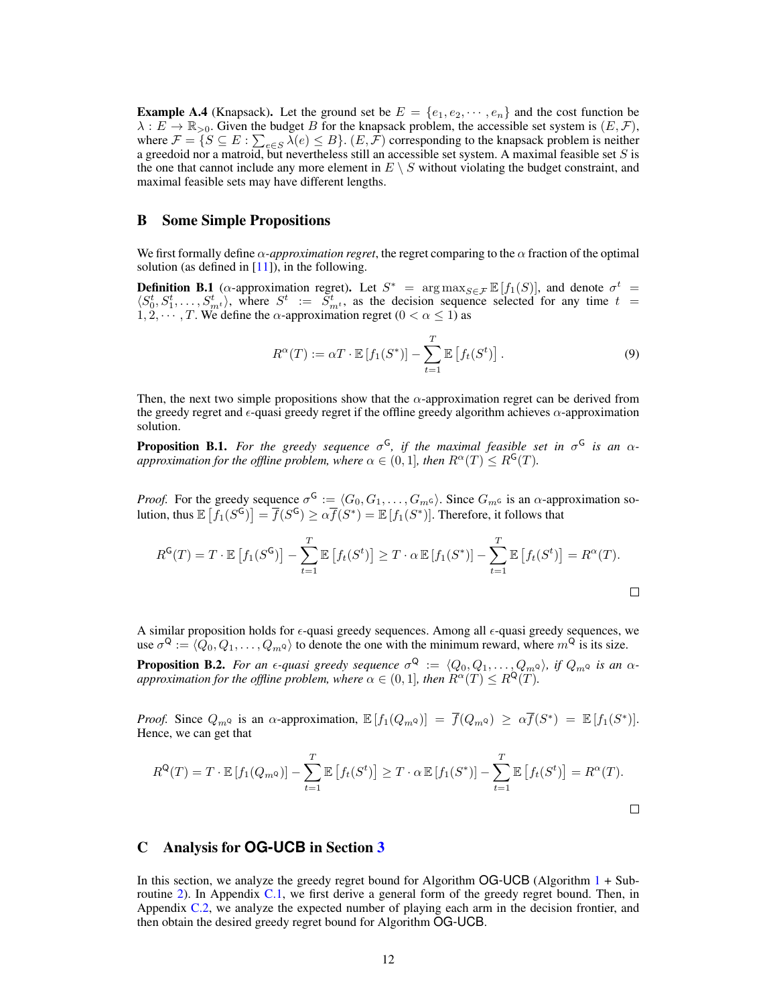<span id="page-11-3"></span>**Example A.4** (Knapsack). Let the ground set be  $E = \{e_1, e_2, \dots, e_n\}$  and the cost function be  $\lambda : E \to \mathbb{R}_{>0}$ . Given the budget B for the knapsack problem, the accessible set system is  $(E, \mathcal{F})$ , where  $\mathcal{F} = \{ S \subseteq E : \sum_{e \in S} \lambda(e) \leq B \}.$  (*E*, *F*) corresponding to the knapsack problem is neither a greedoid nor a matroid, but nevertheless still an accessible set system. A maximal feasible set S is the one that cannot include any more element in  $E \setminus S$  without violating the budget constraint, and maximal feasible sets may have different lengths.

## <span id="page-11-1"></span>B Some Simple Propositions

We first formally define  $\alpha$ -*approximation regret*, the regret comparing to the  $\alpha$  fraction of the optimal solution (as defined in  $[11]$ ), in the following.

<span id="page-11-0"></span>**Definition B.1** ( $\alpha$ -approximation regret). Let  $S^*$  =  $\arg \max_{S \in \mathcal{F}} \mathbb{E}[f_1(S)]$ , and denote  $\sigma^t$  =  $\langle S_0^t, S_1^t, \ldots, S_{m^t}^t \rangle$ , where  $S^t := \overline{S}_{m^t}^t$ , as the decision sequence selected for any time  $t =$  $1, 2, \dots, T$ . We define the  $\alpha$ -approximation regret ( $0 < \alpha \leq 1$ ) as

$$
R^{\alpha}(T) := \alpha T \cdot \mathbb{E}\left[f_1(S^*)\right] - \sum_{t=1}^T \mathbb{E}\left[f_t(S^t)\right].\tag{9}
$$

Then, the next two simple propositions show that the  $\alpha$ -approximation regret can be derived from the greedy regret and  $\epsilon$ -quasi greedy regret if the offline greedy algorithm achieves  $\alpha$ -approximation solution.

<span id="page-11-4"></span>**Proposition B.1.** For the greedy sequence  $\sigma$ <sup>G</sup>, if the maximal feasible set in  $\sigma$ <sup>G</sup> is an  $\alpha$ *approximation for the offline problem, where*  $\alpha \in (0, 1]$ *, then*  $R^{\alpha}(T) \leq R^{\mathsf{G}}(T)$ *.* 

*Proof.* For the greedy sequence  $\sigma^{\mathsf{G}} := \langle G_0, G_1, \ldots, G_m \varsigma \rangle$ . Since  $G_m \varsigma$  is an  $\alpha$ -approximation solution, thus  $\mathbb{E}\left[f_1(S^{\mathsf{G}})\right] = \overline{f}(S^{\mathsf{G}}) \geq \alpha \overline{f}(S^*) = \mathbb{E}\left[f_1(S^*)\right]$ . Therefore, it follows that

$$
R^{\mathsf{G}}(T) = T \cdot \mathbb{E}\left[f_1(S^{\mathsf{G}})\right] - \sum_{t=1}^T \mathbb{E}\left[f_t(S^t)\right] \ge T \cdot \alpha \mathbb{E}\left[f_1(S^*)\right] - \sum_{t=1}^T \mathbb{E}\left[f_t(S^t)\right] = R^{\alpha}(T).
$$

A similar proposition holds for  $\epsilon$ -quasi greedy sequences. Among all  $\epsilon$ -quasi greedy sequences, we use  $\sigma^Q := \langle \overline{Q}_0, Q_1, \ldots, Q_m \circ \rangle$  to denote the one with the minimum reward, where  $m^Q$  is its size.

<span id="page-11-5"></span>**Proposition B.2.** For an  $\epsilon$ -quasi greedy sequence  $\sigma^Q := \langle Q_0, Q_1, \ldots, Q_m$ <sub>Q</sub>), if  $Q_m$ <sub>Q</sub> is an  $\alpha$ *approximation for the offline problem, where*  $\alpha \in (0, 1]$ *, then*  $R^{\alpha}(T) \leq R^{\mathsf{Q}}(T)$ *.* 

*Proof.* Since  $Q_{m^Q}$  is an  $\alpha$ -approximation,  $\mathbb{E}[f_1(Q_{m^Q})] = \overline{f}(Q_{m^Q}) \ge \alpha \overline{f}(S^*) = \mathbb{E}[f_1(S^*)]$ . Hence, we can get that

$$
R^{Q}(T) = T \cdot \mathbb{E}\left[f_1(Q_m \circ \mathbf{q})\right] - \sum_{t=1}^T \mathbb{E}\left[f_t(S^t)\right] \geq T \cdot \alpha \mathbb{E}\left[f_1(S^*)\right] - \sum_{t=1}^T \mathbb{E}\left[f_t(S^t)\right] = R^{\alpha}(T).
$$

## <span id="page-11-2"></span>C Analysis for **OG-UCB** in Section [3](#page-3-3)

In this section, we analyze the greedy regret bound for Algorithm  $OG-UCB$  (Algorithm  $1 + Sub 1 + Sub$ routine [2\)](#page-4-5). In Appendix [C.1,](#page-12-0) we first derive a general form of the greedy regret bound. Then, in Appendix [C.2,](#page-12-1) we analyze the expected number of playing each arm in the decision frontier, and then obtain the desired greedy regret bound for Algorithm OG-UCB.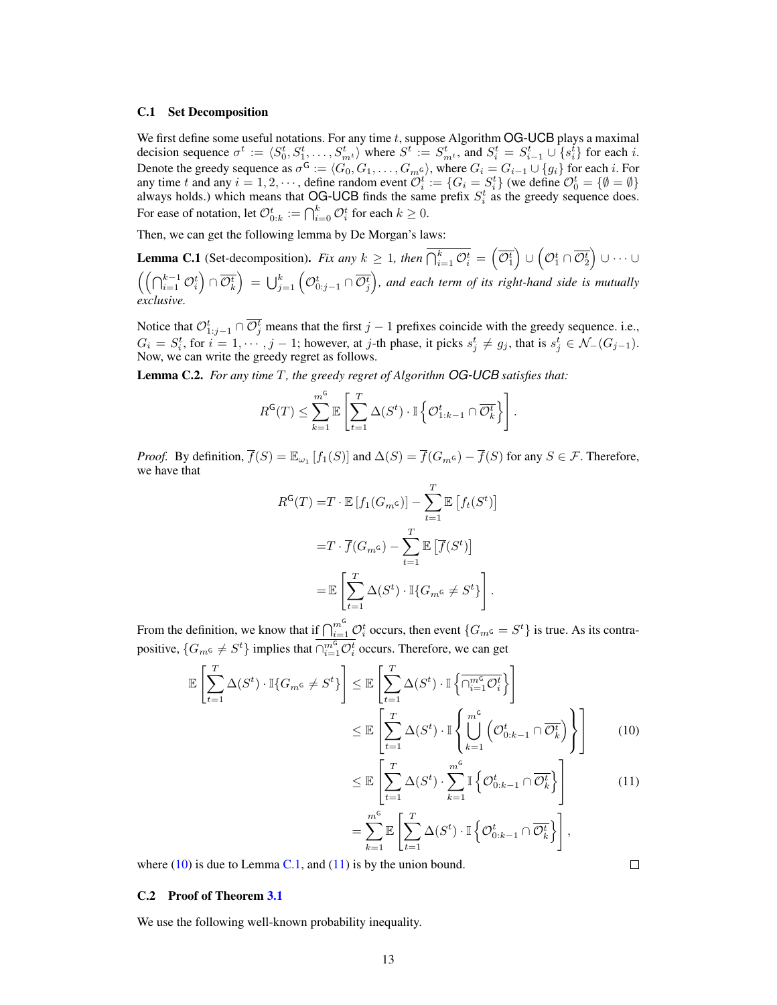#### <span id="page-12-0"></span>C.1 Set Decomposition

We first define some useful notations. For any time  $t$ , suppose Algorithm OG-UCB plays a maximal decision sequence  $\sigma^t := \langle S_0^t, S_1^t, \dots, S_{m^t}^t \rangle$  where  $S^t := S_{m^t}^t$ , and  $S_i^t = S_{i-1}^t \cup \{s_i^t\}$  for each i. Denote the greedy sequence as  $\sigma^{\mathsf{G}} := \langle G_0, G_1, \ldots, G_m \varsigma \rangle$ , where  $G_i = G_{i-1} \cup \{g_i\}$  for each i. For any time t and any  $i = 1, 2, \dots$ , define random event  $\mathcal{O}_i^t := \{ G_i = S_i^t \}$  (we define  $\mathcal{O}_0^t = \{ \emptyset = \emptyset \}$ always holds.) which means that OG-UCB finds the same prefix  $S_i^t$  as the greedy sequence does. For ease of notation, let  $\mathcal{O}_{0:k}^t := \bigcap_{i=0}^k \mathcal{O}_i^t$  for each  $k \geq 0$ .

Then, we can get the following lemma by De Morgan's laws:

<span id="page-12-3"></span>**Lemma C.1** (Set-decomposition). Fix any  $k \ge 1$ , then  $\overline{\bigcap_{i=1}^k \mathcal{O}_i^t} = \left(\overline{\mathcal{O}_1^t}\right) \cup \left(\mathcal{O}_1^t \cap \overline{\mathcal{O}_2^t}\right) \cup \cdots \cup$  $\left(\left(\bigcap_{i=1}^{k-1}\mathcal{O}_i^t\right)\cap\overline{\mathcal{O}_k^t}\right) \,=\, \bigcup_{j=1}^k\left(\mathcal{O}_{0:j-1}^t\cap\overline{\mathcal{O}_j^t}\right)$ , and each term of its right-hand side is mutually *exclusive.*

Notice that  $\mathcal{O}_{1:j-1}^t \cap \overline{\mathcal{O}_j^t}$  means that the first  $j-1$  prefixes coincide with the greedy sequence. i.e.,  $G_i = S_i^t$ , for  $i = 1, \dots, j - 1$ ; however, at j-th phase, it picks  $s_j^t \neq g_j$ , that is  $s_j^t \in \mathcal{N}_-(G_{j-1})$ . Now, we can write the greedy regret as follows.

<span id="page-12-5"></span>Lemma C.2. *For any time* T*, the greedy regret of Algorithm OG-UCB satisfies that:*

$$
R^{\mathsf{G}}(T) \leq \sum_{k=1}^{m^{\mathsf{G}}} \mathbb{E}\left[\sum_{t=1}^{T} \Delta(S^{t}) \cdot \mathbb{I}\left\{\mathcal{O}_{1:k-1}^{t} \cap \overline{\mathcal{O}_{k}^{t}}\right\}\right].
$$

*Proof.* By definition,  $\overline{f}(S) = \mathbb{E}_{\omega_1} [f_1(S)]$  and  $\Delta(S) = \overline{f}(G_m \epsilon) - \overline{f}(S)$  for any  $S \in \mathcal{F}$ . Therefore, we have that

$$
R^{G}(T) = T \cdot \mathbb{E}\left[f_{1}(G_{m^{G}})\right] - \sum_{t=1}^{T} \mathbb{E}\left[f_{t}(S^{t})\right]
$$

$$
= T \cdot \overline{f}(G_{m^{G}}) - \sum_{t=1}^{T} \mathbb{E}\left[\overline{f}(S^{t})\right]
$$

$$
= \mathbb{E}\left[\sum_{t=1}^{T} \Delta(S^{t}) \cdot \mathbb{I}\{G_{m^{G}} \neq S^{t}\}\right].
$$

From the definition, we know that if  $\bigcap_{i=1}^{m} \mathcal{O}_i^t$  occurs, then event  $\{G_{m} \in S^t\}$  is true. As its contrapositive,  $\{G_{m^G} \neq S^t\}$  implies that  $\cap_{i=1}^{m^G} \mathcal{O}_i^t$  occurs. Therefore, we can get

$$
\mathbb{E}\left[\sum_{t=1}^{T} \Delta(S^{t}) \cdot \mathbb{I}\{G_{m} \in \mathcal{S}^{t}\}\right] \leq \mathbb{E}\left[\sum_{t=1}^{T} \Delta(S^{t}) \cdot \mathbb{I}\left\{\overline{\bigcap_{i=1}^{m} \mathcal{O}_{i}^{t}}\right\}\right]
$$
\n
$$
\leq \mathbb{E}\left[\sum_{t=1}^{T} \Delta(S^{t}) \cdot \mathbb{I}\left\{\bigcup_{k=1}^{m} \left(\mathcal{O}_{0:k-1}^{t} \cap \overline{\mathcal{O}_{k}^{t}}\right)\right\}\right]
$$
\n(10)

$$
\leq \mathbb{E}\left[\sum_{t=1}^{T} \Delta(S^t) \cdot \sum_{k=1}^{m^G} \mathbb{I}\left\{\mathcal{O}_{0:k-1}^t \cap \overline{\mathcal{O}_k^t}\right\}\right]
$$
(11)

$$
= \sum_{k=1}^{m^{\mathsf{G}}} \mathbb{E}\left[\sum_{t=1}^T \Delta(S^t) \cdot \mathbb{I}\left\{\mathcal{O}^t_{0:k-1} \cap \overline{\mathcal{O}^t_k}\right\}\right],
$$

where  $(10)$  is due to Lemma [C.1,](#page-12-3) and  $(11)$  is by the union bound.

## <span id="page-12-1"></span>C.2 Proof of Theorem [3.1](#page-5-2)

We use the following well-known probability inequality.

<span id="page-12-4"></span><span id="page-12-2"></span> $\Box$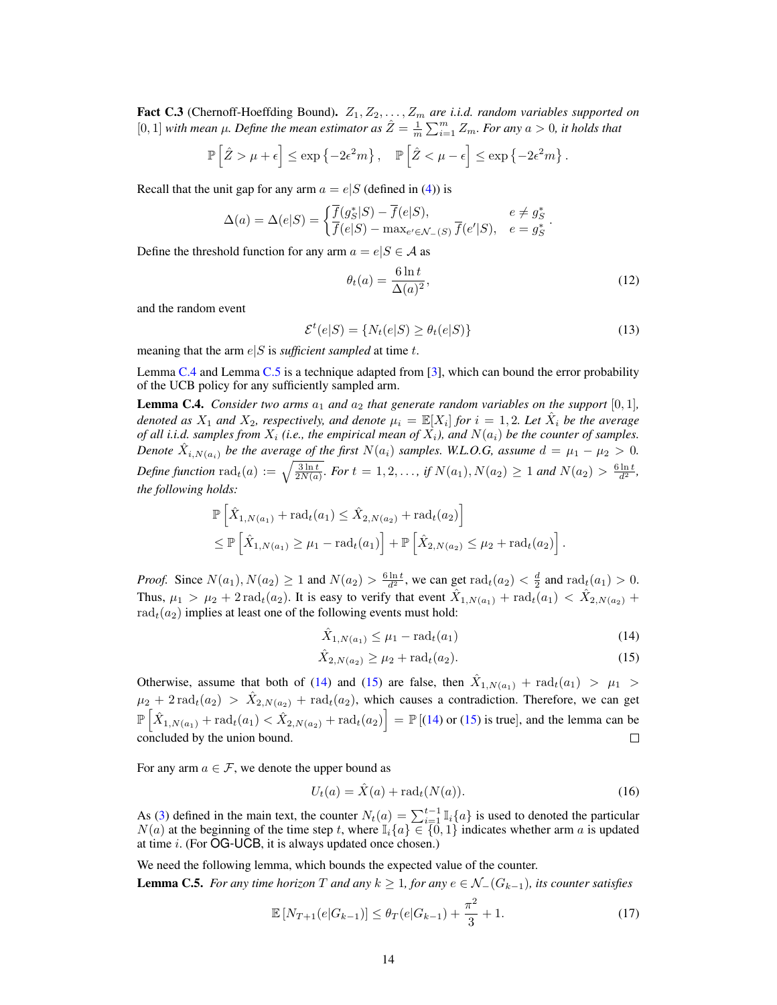<span id="page-13-4"></span>Fact C.3 (Chernoff-Hoeffding Bound).  $Z_1, Z_2, \ldots, Z_m$  are *i.i.d. random variables supported on* [0, 1] *with mean*  $\mu$ *. Define the mean estimator as*  $\hat{Z} = \frac{1}{m} \sum_{i=1}^{m} Z_m$ *. For any*  $a > 0$ *, it holds that* 

$$
\mathbb{P}\left[\hat{Z} > \mu + \epsilon\right] \le \exp\left\{-2\epsilon^2 m\right\}, \quad \mathbb{P}\left[\hat{Z} < \mu - \epsilon\right] \le \exp\left\{-2\epsilon^2 m\right\}.
$$

Recall that the unit gap for any arm  $a = e|S$  (defined in [\(4\)](#page-5-1)) is

$$
\Delta(a) = \Delta(e|S) = \begin{cases} \overline{f}(g_S^*|S) - \overline{f}(e|S), & e \neq g_S^* \\ \overline{f}(e|S) - \max_{e' \in \mathcal{N}_-(S)} \overline{f}(e'|S), & e = g_S^* \end{cases}
$$

Define the threshold function for any arm  $a = e|S \in A$  as

$$
\theta_t(a) = \frac{6 \ln t}{\Delta(a)^2},\tag{12}
$$

.

and the random event

$$
\mathcal{E}^t(e|S) = \{ N_t(e|S) \ge \theta_t(e|S) \}
$$
\n(13)

meaning that the arm  $e|S$  is *sufficient sampled* at time t.

Lemma [C.4](#page-13-0) and Lemma [C.5](#page-13-1) is a technique adapted from [\[3\]](#page-8-7), which can bound the error probability of the UCB policy for any sufficiently sampled arm.

<span id="page-13-0"></span>**Lemma C.4.** *Consider two arms*  $a_1$  *and*  $a_2$  *that generate random variables on the support* [0, 1]*, denoted as*  $X_1$  and  $X_2$ , respectively, and denote  $\mu_i = \mathbb{E}[X_i]$  for  $i = 1, 2$ . Let  $\hat{X}_i$  be the average *of all i.i.d. samples from*  $X_i$  *(i.e., the empirical mean of*  $X_i$ *), and*  $N(a_i)$  *be the counter of samples. Denote*  $\hat{X}_{i,N(a_i)}$  *be the average of the first*  $N(a_i)$  *samples. W.L.O.G, assume*  $d = \mu_1 - \mu_2 > 0$ *. Define function*  $\text{rad}_t(a) := \sqrt{\frac{3 \ln t}{2N(a)}}$ *. For*  $t = 1, 2, ...,$  *if*  $N(a_1), N(a_2) \ge 1$  *and*  $N(a_2) > \frac{6 \ln t}{d^2}$ *, the following holds:*

$$
\mathbb{P}\left[\hat{X}_{1,N(a_1)} + \text{rad}_t(a_1) \le \hat{X}_{2,N(a_2)} + \text{rad}_t(a_2)\right] \le \mathbb{P}\left[\hat{X}_{1,N(a_1)} \ge \mu_1 - \text{rad}_t(a_1)\right] + \mathbb{P}\left[\hat{X}_{2,N(a_2)} \le \mu_2 + \text{rad}_t(a_2)\right].
$$

*Proof.* Since  $N(a_1)$ ,  $N(a_2) \ge 1$  and  $N(a_2) > \frac{6 \ln t}{d^2}$ , we can get  $\text{rad}_t(a_2) < \frac{d}{2}$  and  $\text{rad}_t(a_1) > 0$ . Thus,  $\mu_1 > \mu_2 + 2 \text{rad}_t(a_2)$ . It is easy to verify that event  $\hat{X}_{1,N(a_1)} + \text{rad}_t(a_1) < \hat{X}_{2,N(a_2)}$  +  $\text{rad}_t(a_2)$  implies at least one of the following events must hold:

<span id="page-13-3"></span><span id="page-13-2"></span>
$$
\hat{X}_{1,N(a_1)} \le \mu_1 - \text{rad}_t(a_1) \tag{14}
$$

$$
\hat{X}_{2,N(a_2)} \ge \mu_2 + \text{rad}_t(a_2). \tag{15}
$$

Otherwise, assume that both of [\(14\)](#page-13-2) and [\(15\)](#page-13-3) are false, then  $\hat{X}_{1,N(a_1)} + \text{rad}_t(a_1) > \mu_1 >$  $\mu_2 + 2 \text{rad}_t(a_2) > \hat{X}_{2,N(a_2)} + \text{rad}_t(a_2)$ , which causes a contradiction. Therefore, we can get  $\mathbb{P}\left[\hat{X}_{1,N(a_1)}+\text{rad}_t(a_1)<\hat{X}_{2,N(a_2)}+\text{rad}_t(a_2)\right]=\mathbb{P}\left[(14)\text{ or }(15)\text{ is true}\right],$  $\mathbb{P}\left[\hat{X}_{1,N(a_1)}+\text{rad}_t(a_1)<\hat{X}_{2,N(a_2)}+\text{rad}_t(a_2)\right]=\mathbb{P}\left[(14)\text{ or }(15)\text{ is true}\right],$  $\mathbb{P}\left[\hat{X}_{1,N(a_1)}+\text{rad}_t(a_1)<\hat{X}_{2,N(a_2)}+\text{rad}_t(a_2)\right]=\mathbb{P}\left[(14)\text{ or }(15)\text{ is true}\right],$  $\mathbb{P}\left[\hat{X}_{1,N(a_1)}+\text{rad}_t(a_1)<\hat{X}_{2,N(a_2)}+\text{rad}_t(a_2)\right]=\mathbb{P}\left[(14)\text{ or }(15)\text{ is true}\right],$  $\mathbb{P}\left[\hat{X}_{1,N(a_1)}+\text{rad}_t(a_1)<\hat{X}_{2,N(a_2)}+\text{rad}_t(a_2)\right]=\mathbb{P}\left[(14)\text{ or }(15)\text{ is true}\right],$  and the lemma can be concluded by the union bound. П

For any arm  $a \in \mathcal{F}$ , we denote the upper bound as

$$
U_t(a) = \hat{X}(a) + \text{rad}_t(N(a)).
$$
 (16)

As [\(3\)](#page-4-0) defined in the main text, the counter  $N_t(a) = \sum_{i=1}^{t-1} \mathbb{I}_i\{a\}$  is used to denoted the particular  $N(a)$  at the beginning of the time step t, where  $\mathbb{I}_{i}\{a\} \in \{0,1\}$  indicates whether arm a is updated at time i. (For OG-UCB, it is always updated once chosen.)

<span id="page-13-1"></span>We need the following lemma, which bounds the expected value of the counter. **Lemma C.5.** For any time horizon T and any  $k \geq 1$ , for any  $e \in \mathcal{N}_-(G_{k-1})$ , its counter satisfies

$$
\mathbb{E}\left[N_{T+1}(e|G_{k-1})\right] \leq \theta_T(e|G_{k-1}) + \frac{\pi^2}{3} + 1. \tag{17}
$$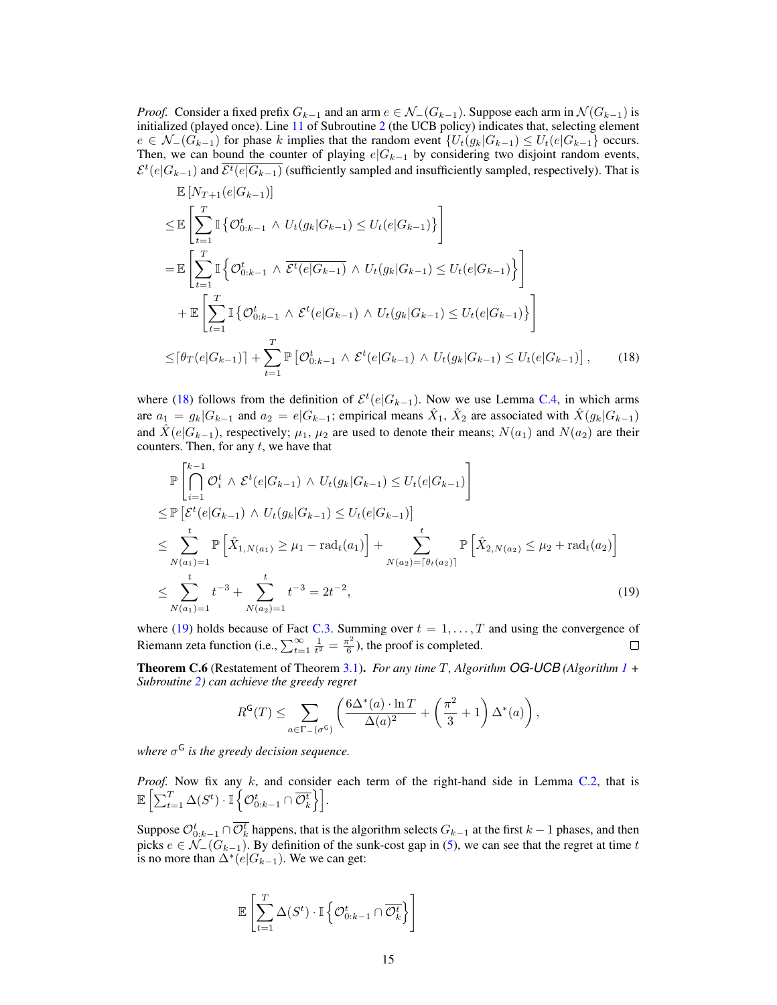*Proof.* Consider a fixed prefix  $G_{k-1}$  and an arm  $e \in \mathcal{N}_-(G_{k-1})$ . Suppose each arm in  $\mathcal{N}(G_{k-1})$  is initialized (played once). Line [11](#page-4-7) of Subroutine [2](#page-4-5) (the UCB policy) indicates that, selecting element  $e \in \mathcal{N}_-(G_{k-1})$  for phase k implies that the random event  $\{U_t(g_k|G_{k-1}) \leq U_t(e|G_{k-1})\}$  occurs. Then, we can bound the counter of playing  $e|G_{k-1}$  by considering two disjoint random events,  $\mathcal{E}^t(e|G_{k-1})$  and  $\overline{\mathcal{E}^t(e|G_{k-1})}$  (sufficiently sampled and insufficiently sampled, respectively). That is  $E = \frac{1}{2} \sum_{n=1}^{n} \frac{1}{n^2}$ 

$$
\mathbb{E}\left[N_{T+1}(e|G_{k-1})\right] \n\leq \mathbb{E}\left[\sum_{t=1}^{T} \mathbb{I}\left\{\mathcal{O}_{0:k-1}^{t} \wedge U_{t}(g_{k}|G_{k-1}) \leq U_{t}(e|G_{k-1})\right\}\right] \n= \mathbb{E}\left[\sum_{t=1}^{T} \mathbb{I}\left\{\mathcal{O}_{0:k-1}^{t} \wedge \overline{\mathcal{E}^{t}(e|G_{k-1})} \wedge U_{t}(g_{k}|G_{k-1}) \leq U_{t}(e|G_{k-1})\right\}\right] \n+ \mathbb{E}\left[\sum_{t=1}^{T} \mathbb{I}\left\{\mathcal{O}_{0:k-1}^{t} \wedge \mathcal{E}^{t}(e|G_{k-1}) \wedge U_{t}(g_{k}|G_{k-1}) \leq U_{t}(e|G_{k-1})\right\}\right] \n\leq [\theta_{T}(e|G_{k-1})] + \sum_{t=1}^{T} \mathbb{P}\left[\mathcal{O}_{0:k-1}^{t} \wedge \mathcal{E}^{t}(e|G_{k-1}) \wedge U_{t}(g_{k}|G_{k-1}) \leq U_{t}(e|G_{k-1})\right], \quad (18)
$$

where [\(18\)](#page-14-0) follows from the definition of  $\mathcal{E}^t(e|G_{k-1})$ . Now we use Lemma [C.4,](#page-13-0) in which arms are  $a_1 = g_k | G_{k-1}$  and  $a_2 = e | G_{k-1}$ ; empirical means  $\hat{X}_1, \hat{X}_2$  are associated with  $\hat{X}(g_k | G_{k-1})$ and  $\hat{X}(e|G_{k-1})$ , respectively;  $\mu_1$ ,  $\mu_2$  are used to denote their means;  $N(a_1)$  and  $N(a_2)$  are their counters. Then, for any  $t$ , we have that

<span id="page-14-0"></span>
$$
\mathbb{P}\left[\bigcap_{i=1}^{k-1} O_i^t \wedge \mathcal{E}^t(e|G_{k-1}) \wedge U_t(g_k|G_{k-1}) \leq U_t(e|G_{k-1})\right] \n\leq \mathbb{P}\left[\mathcal{E}^t(e|G_{k-1}) \wedge U_t(g_k|G_{k-1}) \leq U_t(e|G_{k-1})\right] \n\leq \sum_{N(a_1)=1}^t \mathbb{P}\left[\hat{X}_{1,N(a_1)} \geq \mu_1 - \text{rad}_t(a_1)\right] + \sum_{N(a_2)=\lceil\theta_t(a_2)\rceil}^t \mathbb{P}\left[\hat{X}_{2,N(a_2)} \leq \mu_2 + \text{rad}_t(a_2)\right] \n\leq \sum_{N(a_1)=1}^t t^{-3} + \sum_{N(a_2)=1}^t t^{-3} = 2t^{-2},
$$
\n(19)

where [\(19\)](#page-14-1) holds because of Fact [C.3.](#page-13-4) Summing over  $t = 1, \ldots, T$  and using the convergence of Riemann zeta function (i.e.,  $\sum_{t=1}^{\infty} \frac{1}{t^2} = \frac{\pi^2}{6}$  $\frac{\pi^2}{6}$ ), the proof is completed.

Theorem C.6 (Restatement of Theorem [3.1\)](#page-5-2). *For any time* T*, Algorithm OG-UCB (Algorithm [1](#page-4-1) + Subroutine [2\)](#page-4-5) can achieve the greedy regret*

<span id="page-14-1"></span>
$$
R^{\mathsf{G}}(T) \leq \sum_{a \in \Gamma_-(\sigma^{\mathsf{G}})} \left( \frac{6\Delta^*(a) \cdot \ln T}{\Delta(a)^2} + \left( \frac{\pi^2}{3} + 1 \right) \Delta^*(a) \right),
$$

*where* σ <sup>G</sup> *is the greedy decision sequence.*

*Proof.* Now fix any k, and consider each term of the right-hand side in Lemma [C.2,](#page-12-5) that is  $\mathbb{E} \left[ \sum_{t=1}^T \Delta(S^t) \cdot \mathbb{I} \left\{ \mathcal{O}_{0:k-1}^t \cap \overline{\mathcal{O}_{k}^t} \right\} \right].$ 

Suppose  $\mathcal{O}_{0:k-1}^t \cap \overline{\mathcal{O}_{k}^t}$  happens, that is the algorithm selects  $G_{k-1}$  at the first  $k-1$  phases, and then picks  $e \in \mathcal{N}_-(G_{k-1})$ . By definition of the sunk-cost gap in [\(5\)](#page-5-4), we can see that the regret at time t is no more than  $\Delta^*(e|G_{k-1})$ . We we can get:

$$
\mathbb{E}\left[\sum_{t=1}^T \Delta(S^t) \cdot \mathbb{I}\left\{\mathcal{O}^t_{0:k-1} \cap \overline{\mathcal{O}^t_k}\right\}\right]
$$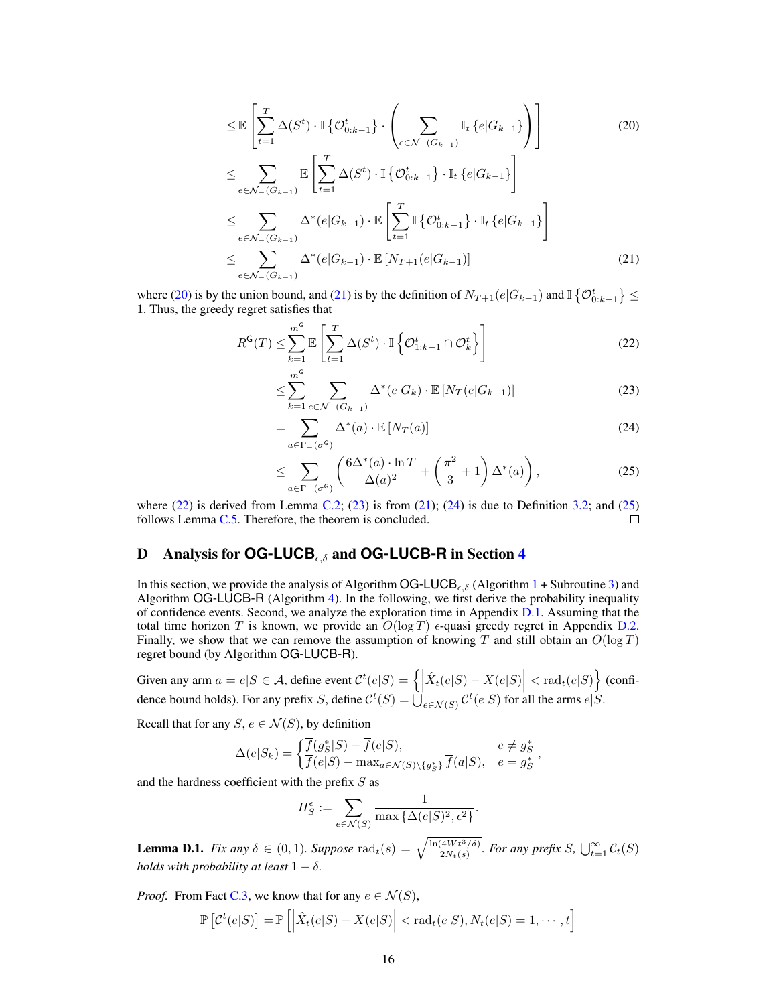<span id="page-15-1"></span>
$$
\leq \mathbb{E}\left[\sum_{t=1}^{T} \Delta(S^{t}) \cdot \mathbb{I}\left\{\mathcal{O}_{0:k-1}^{t}\right\} \cdot \left(\sum_{e \in \mathcal{N}_{-}(G_{k-1})} \mathbb{I}_{t}\left\{e|G_{k-1}\right\}\right)\right]
$$
\n
$$
\leq \sum_{e \in \mathcal{N}_{-}(G_{k-1})} \mathbb{E}\left[\sum_{t=1}^{T} \Delta(S^{t}) \cdot \mathbb{I}\left\{\mathcal{O}_{0:k-1}^{t}\right\} \cdot \mathbb{I}_{t}\left\{e|G_{k-1}\right\}\right]
$$
\n
$$
\leq \sum_{e \in \mathcal{N}_{-}(G_{k-1})} \Delta^{*}(e|G_{k-1}) \cdot \mathbb{E}\left[\sum_{t=1}^{T} \mathbb{I}\left\{\mathcal{O}_{0:k-1}^{t}\right\} \cdot \mathbb{I}_{t}\left\{e|G_{k-1}\right\}\right]
$$
\n
$$
\leq \sum_{e \in \mathcal{N}_{-}(G_{k-1})} \Delta^{*}(e|G_{k-1}) \cdot \mathbb{E}\left[N_{T+1}(e|G_{k-1})\right]
$$
\n
$$
(21)
$$

where [\(20\)](#page-15-1) is by the union bound, and [\(21\)](#page-15-2) is by the definition of  $N_{T+1}(e|G_{k-1})$  and  $\mathbb{I} \left\{ \mathcal{O}_{0:k-1}^{t} \right\} \leq$ 1. Thus, the greedy regret satisfies that

$$
R^{\mathsf{G}}(T) \leq \sum_{k=1}^{m^{\mathsf{G}}} \mathbb{E}\left[\sum_{t=1}^{T} \Delta(S^{t}) \cdot \mathbb{I}\left\{\mathcal{O}_{1:k-1}^{t} \cap \overline{\mathcal{O}_{k}^{t}}\right\}\right]
$$
(22)

<span id="page-15-4"></span><span id="page-15-3"></span><span id="page-15-2"></span>
$$
\leq \sum_{k=1}^{m^{\mathsf{G}}} \sum_{e \in \mathcal{N}_{-}(G_{k-1})} \Delta^{*}(e|G_{k}) \cdot \mathbb{E}\left[N_{T}(e|G_{k-1})\right]
$$
\n(23)

<span id="page-15-5"></span>
$$
=\sum_{a\in\Gamma -(\sigma^{\mathsf{G}})}\Delta^{*}(a)\cdot\mathbb{E}\left[N_{T}(a)\right]
$$
\n(24)

<span id="page-15-6"></span>
$$
\leq \sum_{a \in \Gamma_{-}(\sigma^{\mathsf{G}})} \left( \frac{6\Delta^{*}(a) \cdot \ln T}{\Delta(a)^{2}} + \left( \frac{\pi^{2}}{3} + 1 \right) \Delta^{*}(a) \right), \tag{25}
$$

where [\(22\)](#page-15-3) is derived from Lemma [C.2;](#page-12-5) [\(23\)](#page-15-4) is from [\(21\)](#page-15-2); [\(24\)](#page-15-5) is due to Definition [3.2;](#page-5-5) and [\(25\)](#page-15-6) follows Lemma [C.5.](#page-13-1) Therefore, the theorem is concluded.  $\Box$ 

# <span id="page-15-0"></span>D Analysis for **OG-LUCB**,δ and **OG-LUCB-R** in Section [4](#page-5-6)

In this section, we provide the analysis of Algorithm OG-LUCB<sub> $\epsilon,\delta$ </sub> (Algorithm [1](#page-4-1) + Subroutine [3\)](#page-6-1) and Algorithm OG-LUCB-R (Algorithm [4\)](#page-7-2). In the following, we first derive the probability inequality of confidence events. Second, we analyze the exploration time in Appendix [D.1.](#page-16-0) Assuming that the total time horizon T is known, we provide an  $O(\log T)$  e-quasi greedy regret in Appendix [D.2.](#page-18-0) Finally, we show that we can remove the assumption of knowing T and still obtain an  $O(\log T)$ regret bound (by Algorithm OG-LUCB-R).

Given any arm  $a = e|S \in \mathcal{A}$ , define event  $\mathcal{C}^t(e|S) = \left\{ \left| \hat{X}_t(e|S) - X(e|S) \right| < \text{rad}_t(e|S) \right\}$  (confidence bound holds). For any prefix S, define  $\mathcal{C}^t(S) = \bigcup_{e \in \mathcal{N}(S)} \mathcal{C}^t(e|S)$  for all the arms  $e|S$ .

Recall that for any  $S, e \in \mathcal{N}(S)$ , by definition

$$
\Delta(e|S_k) = \begin{cases} \overline{f}(g_S^*|S) - \overline{f}(e|S), & e \neq g_S^* \\ \overline{f}(e|S) - \max_{a \in \mathcal{N}(S) \backslash \{g_S^*\}} \overline{f}(a|S), & e = g_S^* \end{cases}
$$

and the hardness coefficient with the prefix  $S$  as

$$
H_S^{\epsilon} := \sum_{e \in \mathcal{N}(S)} \frac{1}{\max \{ \Delta(e|S)^2, \epsilon^2 \}}.
$$

<span id="page-15-7"></span>**Lemma D.1.** *Fix any*  $\delta \in (0,1)$ *. Suppose*  $\text{rad}_t(s) = \sqrt{\frac{\ln(4Wt^3/\delta)}{2N_t(s)}}$ *. For any prefix S*,  $\bigcup_{t=1}^{\infty} C_t(S)$ *holds with probability at least*  $1 - \delta$ *.* 

*Proof.* From Fact [C.3,](#page-13-4) we know that for any  $e \in \mathcal{N}(S)$ ,

$$
\mathbb{P}\left[\mathcal{C}^t(e|S)\right] = \mathbb{P}\left[\left|\hat{X}_t(e|S) - X(e|S)\right| < \mathrm{rad}_t(e|S), N_t(e|S) = 1, \cdots, t\right]
$$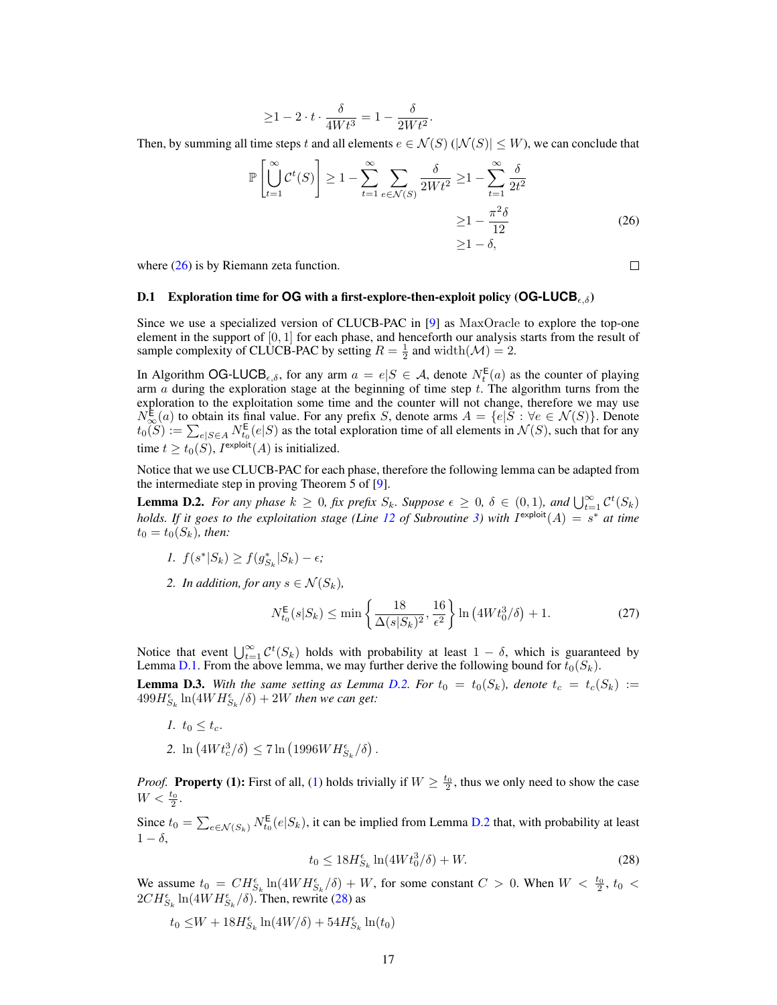$$
\geq 1 - 2 \cdot t \cdot \frac{\delta}{4Wt^3} = 1 - \frac{\delta}{2Wt^2}.
$$

Then, by summing all time steps t and all elements  $e \in \mathcal{N}(S)$  ( $|\mathcal{N}(S)| \leq W$ ), we can conclude that

$$
\mathbb{P}\left[\bigcup_{t=1}^{\infty} \mathcal{C}^t(S)\right] \ge 1 - \sum_{t=1}^{\infty} \sum_{e \in \mathcal{N}(S)} \frac{\delta}{2Wt^2} \ge 1 - \sum_{t=1}^{\infty} \frac{\delta}{2t^2}
$$

$$
\ge 1 - \frac{\pi^2 \delta}{12}
$$

$$
\ge 1 - \delta,
$$
 (26)

where  $(26)$  is by Riemann zeta function.

#### <span id="page-16-0"></span>**D.1** Exploration time for **OG** with a first-explore-then-exploit policy (**OG-LUCB**<sub>εδ</sub>)

Since we use a specialized version of CLUCB-PAC in [\[9\]](#page-8-9) as MaxOracle to explore the top-one element in the support of  $[0, 1]$  for each phase, and henceforth our analysis starts from the result of sample complexity of CLUCB-PAC by setting  $R = \frac{1}{2}$  and width $(\mathcal{M}) = 2$ .

In Algorithm OG-LUCB<sub> $\epsilon,\delta$ </sub>, for any arm  $a = e|S \in A$ , denote  $N_t^{\mathsf{E}}(a)$  as the counter of playing arm  $a$  during the exploration stage at the beginning of time step  $t$ . The algorithm turns from the exploration to the exploitation some time and the counter will not change, therefore we may use  $N_{\infty}^{\mathsf{E}}(a)$  to obtain its final value. For any prefix S, denote arms  $A = \{e | S : \forall e \in \mathcal{N}(S) \}$ . Denote  $t_0(S) := \sum_{e|S \in A} N_{t_0}^{\mathsf{E}}(e|S)$  as the total exploration time of all elements in  $\mathcal{N}(S)$ , such that for any time  $t \ge t_0(S)$ ,  $I^{\text{exploit}}(A)$  is initialized.

Notice that we use CLUCB-PAC for each phase, therefore the following lemma can be adapted from the intermediate step in proving Theorem 5 of [\[9\]](#page-8-9).

<span id="page-16-2"></span>**Lemma D.2.** For any phase  $k \ge 0$ , fix prefix  $S_k$ . Suppose  $\epsilon \ge 0$ ,  $\delta \in (0,1)$ , and  $\bigcup_{t=1}^{\infty} C^t(S_k)$ *holds. If it goes to the exploitation stage (Line [12](#page-6-4) of Subroutine [3\)](#page-6-1) with*  $I^{\text{exploit}}(A) = s^*$  *at time*  $t_0 = t_0(S_k)$ *, then:* 

- *1.*  $f(s^* | S_k) \ge f(g_{S_k}^* | S_k) \epsilon;$
- *2. In addition, for any*  $s \in \mathcal{N}(S_k)$ *,*

$$
N_{t_0}^{\mathsf{E}}(s|S_k) \le \min\left\{\frac{18}{\Delta(s|S_k)^2}, \frac{16}{\epsilon^2}\right\} \ln\left(4Wt_0^3/\delta\right) + 1. \tag{27}
$$

<span id="page-16-6"></span>Notice that event  $\bigcup_{t=1}^{\infty} C^t(S_k)$  holds with probability at least  $1 - \delta$ , which is guaranteed by Lemma [D.1.](#page-15-7) From the above lemma, we may further derive the following bound for  $t_0(S_k)$ . **Lemma D.3.** With the same setting as Lemma [D.2.](#page-16-2) For  $t_0 = t_0(S_k)$ , denote  $t_c = t_c(S_k) :=$  $499H_{S_k}^{\epsilon} \ln(4W H_{S_k}^{\epsilon}/\delta) + 2W$  then we can get:

- <span id="page-16-3"></span>*1.*  $t_0 \leq t_c$ .
- 2. ln  $(4Wt_c^3/\delta) \le 7 \ln (1996W H_{S_k}^{\epsilon}/\delta)$ .

*Proof.* **Property [\(1\)](#page-16-3):** First of all, (1) holds trivially if  $W \ge \frac{t_0}{2}$ , thus we only need to show the case  $W < \frac{t_0}{2}.$ 

Since  $t_0 = \sum_{e \in \mathcal{N}(S_k)} N_{t_0}^{\mathsf{E}}(e|S_k)$ , it can be implied from Lemma [D.2](#page-16-2) that, with probability at least  $1 - \delta$ .

<span id="page-16-4"></span>
$$
t_0 \le 18H_{S_k}^{\epsilon} \ln(4Wt_0^3/\delta) + W. \tag{28}
$$

We assume  $t_0 = CH_{S_k}^{\epsilon} \ln(4WH_{S_k}^{\epsilon}/\delta) + W$ , for some constant  $C > 0$ . When  $W < \frac{t_0}{2}$ ,  $t_0 <$  $2CH_{S_k}^{\epsilon} \ln(4WH_{S_k}^{\epsilon}/\delta)$ . Then, rewrite [\(28\)](#page-16-4) as

 $t_0 \leq W + 18H_{S_k}^{\epsilon} \ln(4W/\delta) + 54H_{S_k}^{\epsilon} \ln(t_0)$ 

<span id="page-16-5"></span><span id="page-16-1"></span>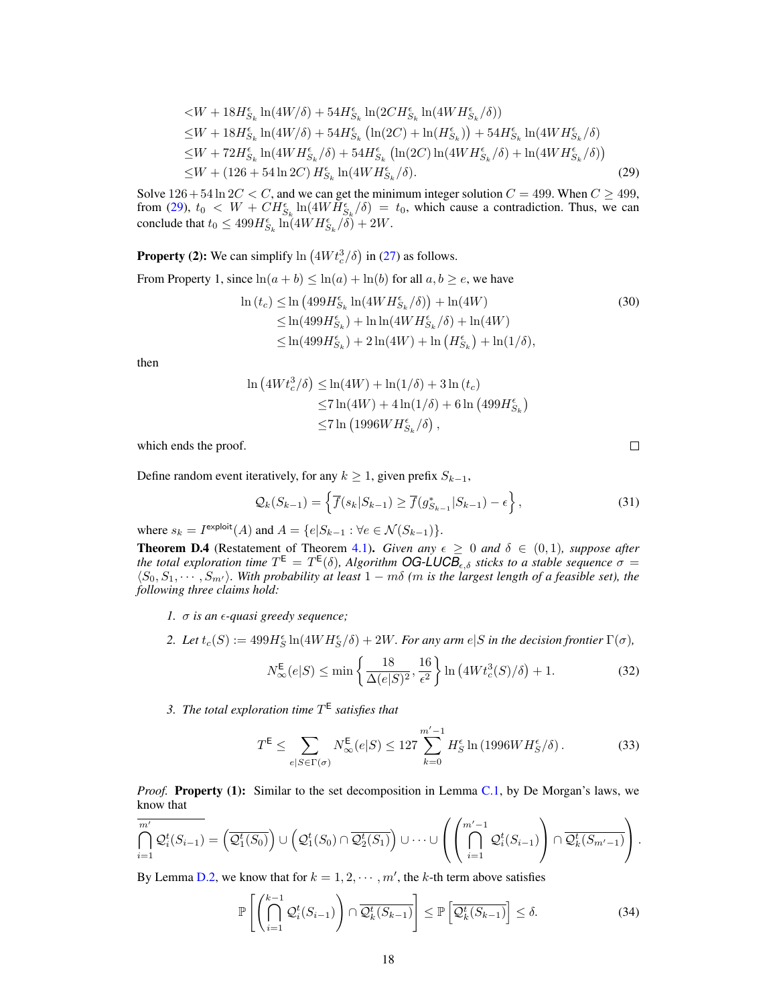$$
\langle W + 18H_{S_k}^{\epsilon} \ln(4W/\delta) + 54H_{S_k}^{\epsilon} \ln(2CH_{S_k}^{\epsilon} \ln(4WH_{S_k}^{\epsilon}/\delta))
$$
  
\n
$$
\leq W + 18H_{S_k}^{\epsilon} \ln(4W/\delta) + 54H_{S_k}^{\epsilon} (\ln(2C) + \ln(H_{S_k}^{\epsilon})) + 54H_{S_k}^{\epsilon} \ln(4WH_{S_k}^{\epsilon}/\delta)
$$
  
\n
$$
\leq W + 72H_{S_k}^{\epsilon} \ln(4WH_{S_k}^{\epsilon}/\delta) + 54H_{S_k}^{\epsilon} (\ln(2C) \ln(4WH_{S_k}^{\epsilon}/\delta) + \ln(4WH_{S_k}^{\epsilon}/\delta))
$$
  
\n
$$
\leq W + (126 + 54 \ln 2C) H_{S_k}^{\epsilon} \ln(4WH_{S_k}^{\epsilon}/\delta).
$$
 (29)

Solve  $126 + 54 \ln 2C < C$ , and we can get the minimum integer solution  $C = 499$ . When  $C \ge 499$ , from [\(29\)](#page-17-0),  $t_0 < W + CH_{S_k}^{\epsilon} \ln(4W\dot{H}_{S_k}^{\epsilon}/\delta) = t_0$ , which cause a contradiction. Thus, we can conclude that  $t_0 \leq 499 H_{S_k}^{\epsilon} \ln(4W H_{S_k}^{\epsilon}/\delta) + 2W$ .

**Property (2):** We can simplify  $\ln \left( 4W t_c^3 / \delta \right)$  in [\(27\)](#page-16-5) as follows.

From Property 1, since  $ln(a + b) \leq ln(a) + ln(b)$  for all  $a, b \geq e$ , we have

$$
\ln(t_c) \leq \ln(499H_{S_k}^{\epsilon} \ln(4WH_{S_k}^{\epsilon}/\delta)) + \ln(4W) \tag{30}
$$
  
\n
$$
\leq \ln(499H_{S_k}^{\epsilon}) + \ln\ln(4WH_{S_k}^{\epsilon}/\delta) + \ln(4W) \leq \ln(499H_{S_k}^{\epsilon}) + 2\ln(4W) + \ln(H_{S_k}^{\epsilon}) + \ln(1/\delta),
$$

then

$$
\ln(4Wt_c^3/\delta) \le \ln(4W) + \ln(1/\delta) + 3\ln(t_c)
$$
  
\n
$$
\le 7\ln(4W) + 4\ln(1/\delta) + 6\ln(499H_{S_k}^{\epsilon})
$$
  
\n
$$
\le 7\ln(1996WH_{S_k}^{\epsilon}/\delta),
$$

which ends the proof.

Define random event iteratively, for any  $k \ge 1$ , given prefix  $S_{k-1}$ ,

$$
\mathcal{Q}_k(S_{k-1}) = \left\{ \overline{f}(s_k | S_{k-1}) \ge \overline{f}(g_{S_{k-1}}^* | S_{k-1}) - \epsilon \right\},\tag{31}
$$

<span id="page-17-0"></span> $\Box$ 

where  $s_k = I^{\text{exploit}}(A)$  and  $A = \{e|S_{k-1} : \forall e \in \mathcal{N}(S_{k-1})\}.$ 

<span id="page-17-1"></span>**Theorem D.4** (Restatement of Theorem [4.1\)](#page-6-5). *Given any*  $\epsilon \geq 0$  *and*  $\delta \in (0,1)$ *, suppose after the total exploration time*  $T^E = T^E(\delta)$ , Algorithm **OG-LUCB**<sub> $\epsilon, \delta$ </sub> sticks to a stable sequence  $\sigma =$  $\langle S_0, S_1, \cdots, S_{m'} \rangle$ . With probability at least  $1 - m\delta$  (m is the largest length of a feasible set), the *following three claims hold:*

- *1.* σ *is an -quasi greedy sequence;*
- 2. Let  $t_c(S) := 499H_S^{\epsilon} \ln(4WH_S^{\epsilon}/\delta) + 2W$ . For any arm  $e|S$  in the decision frontier  $\Gamma(\sigma)$ *,*

$$
N_{\infty}^{\mathsf{E}}(e|S) \le \min\left\{\frac{18}{\Delta(e|S)^2}, \frac{16}{\epsilon^2}\right\} \ln\left(4Wt_c^3(S)/\delta\right) + 1. \tag{32}
$$

*3. The total exploration time* T E *satisfies that*

$$
T^{\mathsf{E}} \le \sum_{e|S \in \Gamma(\sigma)} N_{\infty}^{\mathsf{E}}(e|S) \le 127 \sum_{k=0}^{m'-1} H_S^{\epsilon} \ln\left(1996WH_S^{\epsilon}/\delta\right). \tag{33}
$$

*Proof.* **Property (1):** Similar to the set decomposition in Lemma [C.1,](#page-12-3) by De Morgan's laws, we know that

$$
\bigcap_{i=1}^{m'} \mathcal{Q}_i^t(S_{i-1}) = \left(\overline{\mathcal{Q}_1^t(S_0)}\right) \cup \left(\mathcal{Q}_1^t(S_0) \cap \overline{\mathcal{Q}_2^t(S_1)}\right) \cup \cdots \cup \left(\left(\bigcap_{i=1}^{m'-1} \mathcal{Q}_i^t(S_{i-1})\right) \cap \overline{\mathcal{Q}_k^t(S_{m'-1})}\right).
$$

By Lemma [D.2,](#page-16-2) we know that for  $k = 1, 2, \cdots, m'$ , the k-th term above satisfies

$$
\mathbb{P}\left[\left(\bigcap_{i=1}^{k-1} \mathcal{Q}_i^t(S_{i-1})\right) \cap \overline{\mathcal{Q}_k^t(S_{k-1})}\right] \le \mathbb{P}\left[\overline{\mathcal{Q}_k^t(S_{k-1})}\right] \le \delta. \tag{34}
$$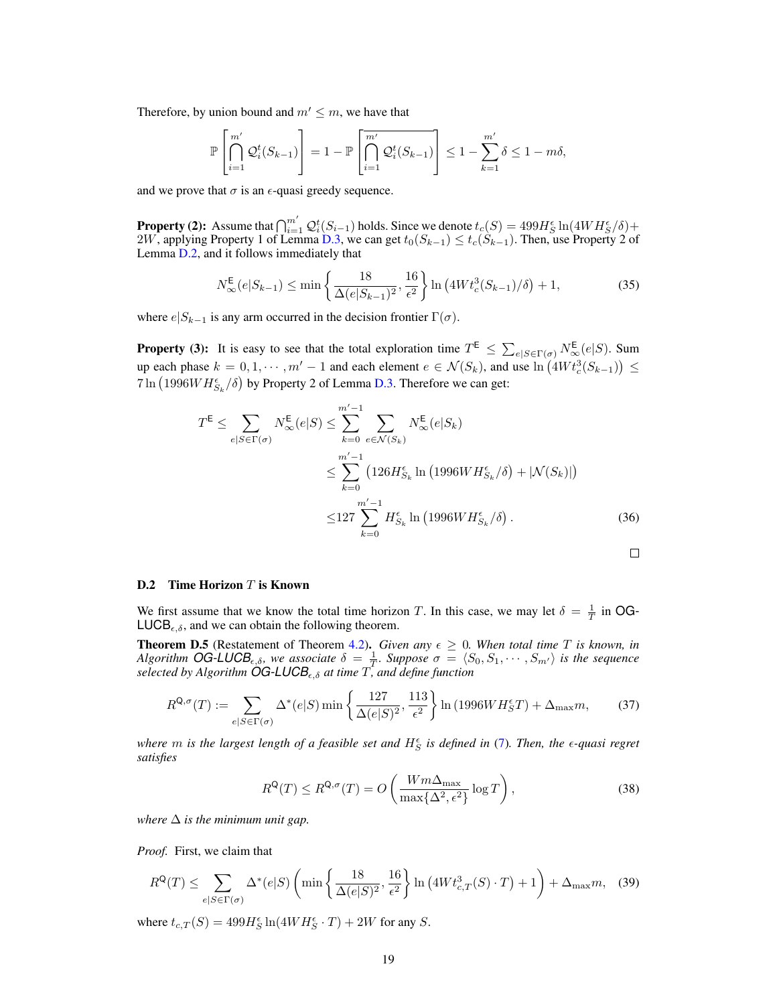Therefore, by union bound and  $m' \leq m$ , we have that

$$
\mathbb{P}\left[\bigcap_{i=1}^{m'} \mathcal{Q}_i^t(S_{k-1})\right] = 1 - \mathbb{P}\left[\bigcap_{i=1}^{m'} \mathcal{Q}_i^t(S_{k-1})\right] \le 1 - \sum_{k=1}^{m'} \delta \le 1 - m\delta,
$$

and we prove that  $\sigma$  is an  $\epsilon$ -quasi greedy sequence.

**Property (2):** Assume that  $\bigcap_{i=1}^{m'} \mathcal{Q}_i^t(S_{i-1})$  holds. Since we denote  $t_c(S) = 499H_S^{\epsilon} \ln(4WH_S^{\epsilon}/\delta) +$ 2W, applying Property 1 of Lemma [D.3,](#page-16-6) we can get  $t_0(S_{k-1}) \le t_c(S_{k-1})$ . Then, use Property 2 of Lemma [D.2,](#page-16-2) and it follows immediately that

$$
N_{\infty}^{\mathsf{E}}(e|S_{k-1}) \le \min\left\{\frac{18}{\Delta(e|S_{k-1})^2}, \frac{16}{\epsilon^2}\right\} \ln\left(4Wt_c^3(S_{k-1})/\delta\right) + 1,\tag{35}
$$

where  $e|S_{k-1}$  is any arm occurred in the decision frontier  $\Gamma(\sigma)$ .

**Property (3):** It is easy to see that the total exploration time  $T^{\mathsf{E}} \le \sum_{e|S \in \Gamma(\sigma)} N^{\mathsf{E}}_{\infty}(e|S)$ . Sum up each phase  $k = 0, 1, \cdots, m' - 1$  and each element  $e \in \mathcal{N}(S_k)$ , and use  $\ln(4W t_c^3(S_{k-1})) \le$  $7 \ln \left( 1996 W H_{S_k}^{\epsilon}/\delta \right)$  by Property 2 of Lemma [D.3.](#page-16-6) Therefore we can get:

$$
T^{\mathsf{E}} \leq \sum_{e|S \in \Gamma(\sigma)} N_{\infty}^{\mathsf{E}}(e|S) \leq \sum_{k=0}^{m'-1} \sum_{e \in \mathcal{N}(S_k)} N_{\infty}^{\mathsf{E}}(e|S_k)
$$
  

$$
\leq \sum_{k=0}^{m'-1} \left(126H_{S_k}^{\epsilon} \ln\left(1996WH_{S_k}^{\epsilon}/\delta\right) + |\mathcal{N}(S_k)|\right)
$$
  

$$
\leq 127 \sum_{k=0}^{m'-1} H_{S_k}^{\epsilon} \ln\left(1996WH_{S_k}^{\epsilon}/\delta\right).
$$
 (36)

#### <span id="page-18-0"></span>D.2 Time Horizon T is Known

We first assume that we know the total time horizon T. In this case, we may let  $\delta = \frac{1}{T}$  in OG- $LUCB_{\epsilon,\delta}$ , and we can obtain the following theorem.

<span id="page-18-3"></span>**Theorem D.5** (Restatement of Theorem [4.2\)](#page-6-3). *Given any*  $\epsilon \geq 0$ *. When total time T is known, in Algorithm*  $\overline{OG-LUCB_{\epsilon,\delta}}$ , we associate  $\delta = \frac{1}{T}$ . Suppose  $\sigma = \langle S_0, S_1, \cdots, S_{m'} \rangle$  is the sequence *selected by Algorithm*  $\overline{\text{OG-LUCB}_{\epsilon,\delta}}$  *at time*  $T$ , *and define function* 

$$
R^{Q,\sigma}(T) := \sum_{e|S\in\Gamma(\sigma)} \Delta^*(e|S) \min\left\{\frac{127}{\Delta(e|S)^2}, \frac{113}{\epsilon^2}\right\} \ln\left(1996WH_S^{\epsilon}T\right) + \Delta_{\max}m,\tag{37}
$$

*where* m *is the largest length of a feasible set and* H S *is defined in* [\(7\)](#page-6-2)*. Then, the -quasi regret satisfies*

<span id="page-18-2"></span><span id="page-18-1"></span>
$$
R^{\mathsf{Q}}(T) \le R^{\mathsf{Q}, \sigma}(T) = O\left(\frac{Wm\Delta_{\max}}{\max\{\Delta^2, \epsilon^2\}}\log T\right),\tag{38}
$$

*where*  $\Delta$  *is the minimum unit gap.* 

*Proof.* First, we claim that

$$
R^{Q}(T) \leq \sum_{e|S \in \Gamma(\sigma)} \Delta^{*}(e|S) \left( \min\left\{ \frac{18}{\Delta(e|S)^{2}}, \frac{16}{\epsilon^{2}} \right\} \ln\left( 4Wt_{c,T}^{3}(S) \cdot T \right) + 1 \right) + \Delta_{\max} m, \quad (39)
$$

where  $t_{c,T}(S) = 499H_S^{\epsilon} \ln(4W H_S^{\epsilon} \cdot T) + 2W$  for any S.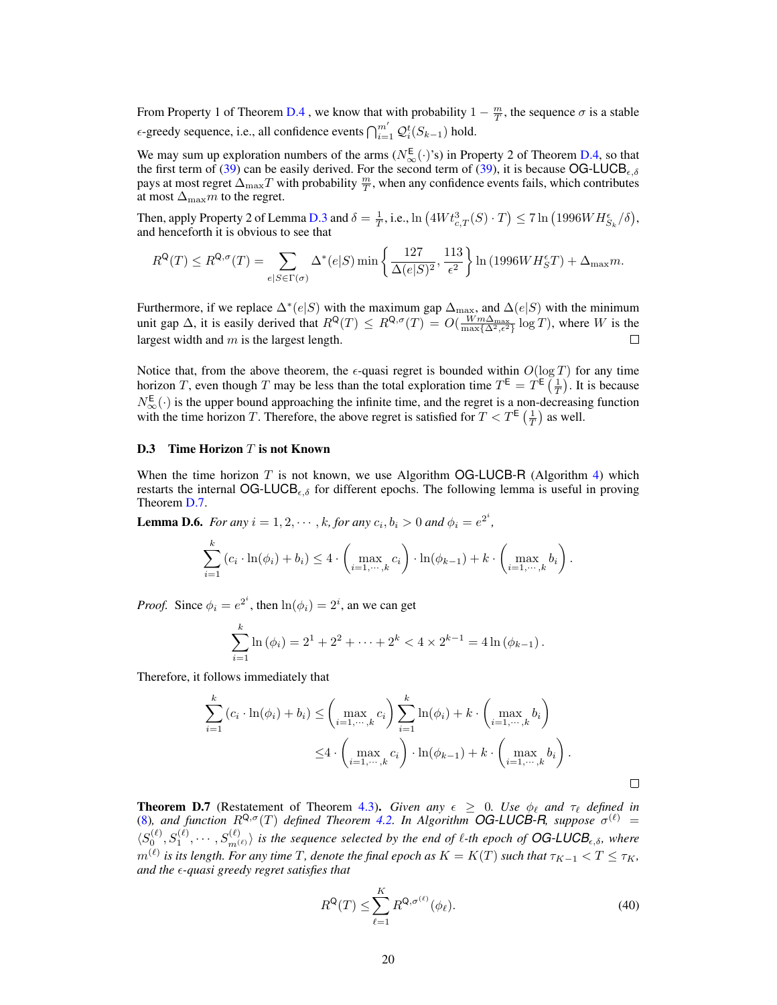From Property 1 of Theorem [D.4](#page-17-1), we know that with probability  $1 - \frac{m}{T}$ , the sequence  $\sigma$  is a stable  $\epsilon$ -greedy sequence, i.e., all confidence events  $\bigcap_{i=1}^{m'} \mathcal{Q}_i^t(S_{k-1})$  hold.

We may sum up exploration numbers of the arms  $(N_{\infty}^{E}(\cdot)$ 's) in Property 2 of Theorem [D.4,](#page-17-1) so that the first term of [\(39\)](#page-18-1) can be easily derived. For the second term of (39), it is because OG-LUCB<sub> $\epsilon, \delta$ </sub> pays at most regret  $\Delta_{\max}T$  with probability  $\frac{m}{T}$ , when any confidence events fails, which contributes at most  $\Delta_{\text{max}}m$  to the regret.

Then, apply Property 2 of Lemma [D.3](#page-16-6) and  $\delta = \frac{1}{T}$ , i.e.,  $\ln(4W t_{c,T}^3(S) \cdot T) \le 7 \ln(1996W H_{S_k}^{\epsilon}/\delta)$ , and henceforth it is obvious to see that

$$
R^{\mathsf{Q}}(T) \leq R^{\mathsf{Q},\sigma}(T) = \sum_{e|S \in \Gamma(\sigma)} \Delta^*(e|S) \min\left\{\frac{127}{\Delta(e|S)^2}, \frac{113}{\epsilon^2}\right\} \ln\left(1996WH_S^{\epsilon}T\right) + \Delta_{\max}m.
$$

Furthermore, if we replace  $\Delta^*(e|S)$  with the maximum gap  $\Delta_{\text{max}}$ , and  $\Delta(e|S)$  with the minimum unit gap  $\Delta$ , it is easily derived that  $R^{\mathsf{Q}}(T) \leq R^{\mathsf{Q}, \sigma}(T) = O(\frac{Wm\Delta_{\max}}{\max\{\Delta^2, \epsilon^2\}} \log T)$ , where W is the largest width and  $m$  is the largest length.  $\Box$ 

Notice that, from the above theorem, the  $\epsilon$ -quasi regret is bounded within  $O(\log T)$  for any time horizon T, even though T may be less than the total exploration time  $T^{\text{E}} = T^{\text{E}}\left(\frac{1}{T}\right)$ . It is because  $N_{\infty}^{\text{E}}(\cdot)$  is the upper bound approaching the infinite time, and the regret is a non-decreasing function with the time horizon T. Therefore, the above regret is satisfied for  $T < T^{\text{E}}\left(\frac{1}{T}\right)$  as well.

#### D.3 Time Horizon  $T$  is not Known

When the time horizon  $T$  is not known, we use Algorithm OG-LUCB-R (Algorithm [4\)](#page-7-2) which restarts the internal OG-LUCB<sub> $\epsilon, \delta$ </sub> for different epochs. The following lemma is useful in proving Theorem [D.7.](#page-19-0)

<span id="page-19-2"></span>**Lemma D.6.** *For any*  $i = 1, 2, \dots, k$ , *for any*  $c_i, b_i > 0$  *and*  $\phi_i = e^{2^i}$ ,

$$
\sum_{i=1}^k (c_i \cdot \ln(\phi_i) + b_i) \le 4 \cdot \left( \max_{i=1,\dots,k} c_i \right) \cdot \ln(\phi_{k-1}) + k \cdot \left( \max_{i=1,\dots,k} b_i \right).
$$

*Proof.* Since  $\phi_i = e^{2^i}$ , then  $\ln(\phi_i) = 2^i$ , an we can get

$$
\sum_{i=1}^{k} \ln (\phi_i) = 2^1 + 2^2 + \dots + 2^k < 4 \times 2^{k-1} = 4 \ln (\phi_{k-1}).
$$

Therefore, it follows immediately that

$$
\sum_{i=1}^{k} (c_i \cdot \ln(\phi_i) + b_i) \leq \left(\max_{i=1,\dots,k} c_i\right) \sum_{i=1}^{k} \ln(\phi_i) + k \cdot \left(\max_{i=1,\dots,k} b_i\right)
$$

$$
\leq 4 \cdot \left(\max_{i=1,\dots,k} c_i\right) \cdot \ln(\phi_{k-1}) + k \cdot \left(\max_{i=1,\dots,k} b_i\right).
$$

<span id="page-19-0"></span>**Theorem D.7** (Restatement of Theorem [4.3\)](#page-7-3). *Given any*  $\epsilon \geq 0$ . Use  $\phi_{\ell}$  *and*  $\tau_{\ell}$  *defined in* [\(8\)](#page-7-1), and function  $R^{Q,\sigma}(T)$  defined Theorem [4.2.](#page-6-3) In Algorithm OG-LUCB-R, suppose  $\sigma^{(\ell)}$  =  $\langle S_0^{(\ell)}, S_1^{(\ell)}, \cdots, S_{m^{(\ell)}}^{(\ell)} \rangle$  is the sequence selected by the end of  $\ell$ -th epoch of **OG-LUCB**<sub>e,</sub> $\delta$ , where  $m^{(\ell)}$  is its length. For any time  $T$ , denote the final epoch as  $K = K(T)$  such that  $\tau_{K-1} < T \leq \tau_K$ , *and the -quasi greedy regret satisfies that*

<span id="page-19-1"></span>
$$
R^{\mathbf{Q}}(T) \le \sum_{\ell=1}^{K} R^{\mathbf{Q}, \sigma^{(\ell)}}(\phi_{\ell}).
$$
\n(40)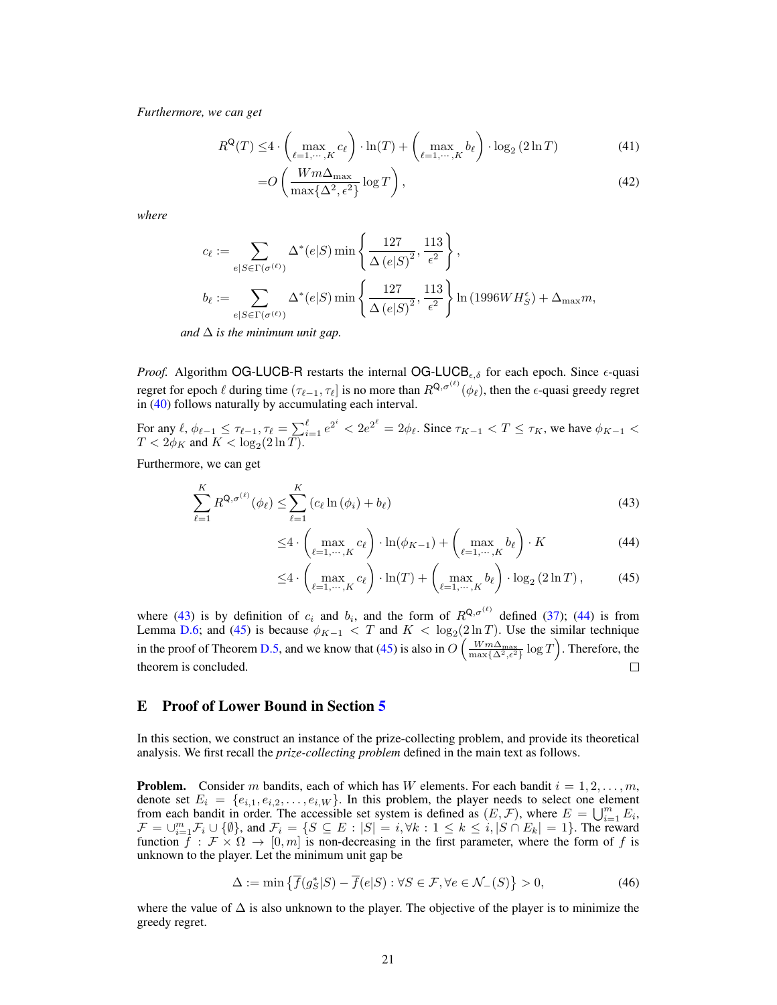*Furthermore, we can get*

$$
R^{Q}(T) \leq 4 \cdot \left( \max_{\ell=1,\cdots,K} c_{\ell} \right) \cdot \ln(T) + \left( \max_{\ell=1,\cdots,K} b_{\ell} \right) \cdot \log_2(2\ln T) \tag{41}
$$

$$
=O\left(\frac{Wm\Delta_{\max}}{\max\{\Delta^2,\epsilon^2\}}\log T\right),\tag{42}
$$

*where*

$$
c_{\ell} := \sum_{e|S \in \Gamma(\sigma^{(\ell)})} \Delta^*(e|S) \min\left\{\frac{127}{\Delta(e|S)^2}, \frac{113}{\epsilon^2}\right\},\
$$
  

$$
b_{\ell} := \sum_{e|S \in \Gamma(\sigma^{(\ell)})} \Delta^*(e|S) \min\left\{\frac{127}{\Delta(e|S)^2}, \frac{113}{\epsilon^2}\right\} \ln(1996WH_S^{\epsilon}) + \Delta_{\max} m,
$$

*and*  $\Delta$  *is the minimum unit gap.* 

*Proof.* Algorithm OG-LUCB-R restarts the internal OG-LUCB<sub> $\epsilon, \delta$ </sub> for each epoch. Since  $\epsilon$ -quasi regret for epoch  $\ell$  during time  $(\tau_{\ell-1}, \tau_{\ell}]$  is no more than  $R^{Q, \sigma^{(\ell)}}(\phi_{\ell})$ , then the  $\epsilon$ -quasi greedy regret in [\(40\)](#page-19-1) follows naturally by accumulating each interval.

For any  $\ell, \phi_{\ell-1} \leq \tau_{\ell-1}, \tau_{\ell} = \sum_{i=1}^{\ell} e^{2^i} < 2e^{2^{\ell}} = 2\phi_{\ell}$ . Since  $\tau_{K-1} < T \leq \tau_K$ , we have  $\phi_{K-1} <$  $T < 2\phi_K$  and  $K < \log_2(2\ln T)$ .

Furthermore, we can get

$$
\sum_{\ell=1}^{K} R^{\mathbf{Q}, \sigma^{(\ell)}}(\phi_{\ell}) \le \sum_{\ell=1}^{K} \left( c_{\ell} \ln \left( \phi_i \right) + b_{\ell} \right) \tag{43}
$$

<span id="page-20-1"></span>
$$
\leq 4 \cdot \left( \max_{\ell=1,\cdots,K} c_{\ell} \right) \cdot \ln(\phi_{K-1}) + \left( \max_{\ell=1,\cdots,K} b_{\ell} \right) \cdot K \tag{44}
$$

<span id="page-20-3"></span><span id="page-20-2"></span>
$$
\leq 4 \cdot \left( \max_{\ell=1,\cdots,K} c_{\ell} \right) \cdot \ln(T) + \left( \max_{\ell=1,\cdots,K} b_{\ell} \right) \cdot \log_2(2\ln T),\tag{45}
$$

where [\(43\)](#page-20-1) is by definition of  $c_i$  and  $b_i$ , and the form of  $R^{Q, \sigma^{(\ell)}}$  defined [\(37\)](#page-18-2); [\(44\)](#page-20-2) is from Lemma [D.6;](#page-19-2) and [\(45\)](#page-20-3) is because  $\phi_{K-1} < T$  and  $K < \log_2(2 \ln T)$ . Use the similar technique in the proof of Theorem [D.5,](#page-18-3) and we know that [\(45\)](#page-20-3) is also in  $O\left(\frac{Wm\Delta_{\max}}{\max\{\Delta^2,\epsilon^2\}}\log T\right)$ . Therefore, the theorem is concluded.  $\Box$ 

## <span id="page-20-0"></span>E Proof of Lower Bound in Section [5](#page-7-4)

In this section, we construct an instance of the prize-collecting problem, and provide its theoretical analysis. We first recall the *prize-collecting problem* defined in the main text as follows.

**Problem.** Consider m bandits, each of which has W elements. For each bandit  $i = 1, 2, \ldots, m$ , denote set  $E_i = \{e_{i,1}, e_{i,2}, \ldots, e_{i,W}\}\.$  In this problem, the player needs to select one element from each bandit in order. The accessible set system is defined as  $(E, \mathcal{F})$ , where  $E = \bigcup_{i=1}^{m} E_i$ ,  $\mathcal{F} = \bigcup_{i=1}^m \mathcal{F}_i \cup \{\emptyset\}$ , and  $\mathcal{F}_i = \{S \subseteq E : |S| = i, \forall k : 1 \le k \le i, |S \cap E_k| = 1\}$ . The reward function  $\overrightarrow{f}$  :  $\overrightarrow{F} \times \Omega \rightarrow [0, m]$  is non-decreasing in the first parameter, where the form of f is unknown to the player. Let the minimum unit gap be

$$
\Delta := \min \left\{ \overline{f}(g_S^*|S) - \overline{f}(e|S) : \forall S \in \mathcal{F}, \forall e \in \mathcal{N}_-(S) \right\} > 0,
$$
\n(46)

where the value of  $\Delta$  is also unknown to the player. The objective of the player is to minimize the greedy regret.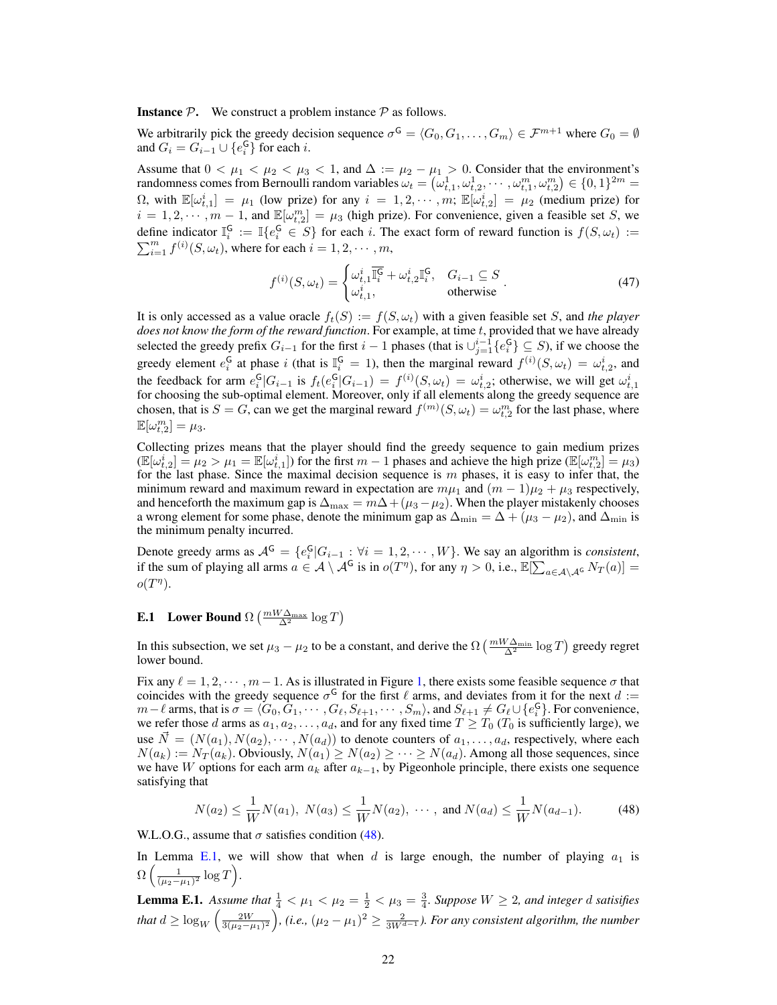**Instance**  $P$ . We construct a problem instance  $P$  as follows.

We arbitrarily pick the greedy decision sequence  $\sigma^G = \langle G_0, G_1, \ldots, G_m \rangle \in \mathcal{F}^{m+1}$  where  $G_0 = \emptyset$ and  $G_i = G_{i-1} \cup \{e_i^{\mathsf{G}}\}$  for each *i*.

Assume that  $0 < \mu_1 < \mu_2 < \mu_3 < 1$ , and  $\Delta := \mu_2 - \mu_1 > 0$ . Consider that the environment's randomness comes from Bernoulli random variables  $\omega_t = (\omega_{t,1}^1, \omega_{t,2}^1, \cdots, \omega_{t,1}^m, \omega_{t,2}^m) \in \{0,1\}^{2m} =$  $\Omega$ , with  $\mathbb{E}[\omega_{t,1}^i] = \mu_1$  (low prize) for any  $i = 1, 2, \cdots, m$ ;  $\mathbb{E}[\omega_{t,2}^i] = \mu_2$  (medium prize) for  $i = 1, 2, \dots, m - 1$ , and  $\mathbb{E}[\omega_{t,2}^m] = \mu_3$  (high prize). For convenience, given a feasible set S, we define indicator  $\mathbb{I}_i^{\mathsf{G}} := \mathbb{I}\{e_i^{\mathsf{G}} \in S\}$  for each i. The exact form of reward function is  $f(S, \omega_t) :=$  $\sum_{i=1}^{m} f^{(i)}(S, \omega_t)$ , where for each  $i = 1, 2, \cdots, m$ ,

$$
f^{(i)}(S,\omega_t) = \begin{cases} \omega_{t,1}^i \overline{\mathbb{I}_i^G} + \omega_{t,2}^i \mathbb{I}_i^G, & G_{i-1} \subseteq S \\ \omega_{t,1}^i, & \text{otherwise} \end{cases} . \tag{47}
$$

It is only accessed as a value oracle  $f_t(S) := f(S, \omega_t)$  with a given feasible set S, and *the player does not know the form of the reward function*. For example, at time t, provided that we have already selected the greedy prefix  $G_{i-1}$  for the first  $i-1$  phases (that is  $\cup_{j=1}^{i-1} \{e_i^{\mathsf{G}}\} \subseteq S$ ), if we choose the greedy element  $e_i^{\mathsf{G}}$  at phase i (that is  $\mathbb{I}_{i}^{\mathsf{G}} = 1$ ), then the marginal reward  $f^{(i)}(S, \omega_t) = \omega_{t,2}^i$ , and the feedback for arm  $e_i^{\mathsf{G}}|G_{i-1}$  is  $f_t(e_i^{\mathsf{G}}|G_{i-1}) = f^{(i)}(S, \omega_t) = \omega_{t,2}^i$ ; otherwise, we will get  $\omega_{t,1}^i$  for choosing the sub-optimal element. Moreover, only if all elements along the greedy sequence are chosen, that is  $S = G$ , can we get the marginal reward  $f^{(m)}(S, \omega_t) = \omega_{t,2}^m$  for the last phase, where  $\mathbb{E}[\omega_{t,2}^m] = \mu_3.$ 

Collecting prizes means that the player should find the greedy sequence to gain medium prizes  $(\mathbb{E}[\omega_{t,2}^i] = \mu_2 > \mu_1 = \mathbb{E}[\omega_{t,1}^i])$  for the first  $m-1$  phases and achieve the high prize  $(\mathbb{E}[\omega_{t,2}^m] = \mu_3)$ for the last phase. Since the maximal decision sequence is  $m$  phases, it is easy to infer that, the minimum reward and maximum reward in expectation are  $m\mu_1$  and  $(m - 1)\mu_2 + \mu_3$  respectively, and henceforth the maximum gap is  $\Delta_{\text{max}} = m\Delta + (\mu_3 - \mu_2)$ . When the player mistakenly chooses a wrong element for some phase, denote the minimum gap as  $\Delta_{\min} = \Delta + (\mu_3 - \mu_2)$ , and  $\Delta_{\min}$  is the minimum penalty incurred.

Denote greedy arms as  $A^G = \{e_i^G | G_{i-1} : \forall i = 1, 2, \cdots, W\}$ . We say an algorithm is *consistent*, if the sum of playing all arms  $a \in \mathcal{A} \setminus \mathcal{A}^{\mathsf{G}}$  is in  $o(T^{\eta})$ , for any  $\eta > 0$ , i.e.,  $\mathbb{E}[\sum_{a \in \mathcal{A} \setminus \mathcal{A}^{\mathsf{G}}} N_T(a)] =$  $o(T^{\eta}).$ 

# <span id="page-21-2"></span>**E.1** Lower Bound  $\Omega\left(\frac{mW\Delta_{\max}}{\Delta^2}\log T\right)$

In this subsection, we set  $\mu_3 - \mu_2$  to be a constant, and derive the  $\Omega\left(\frac{mW\Delta_{\min}}{\Delta^2}\log T\right)$  greedy regret lower bound.

Fix any  $\ell = 1, 2, \cdots, m - 1$  $\ell = 1, 2, \cdots, m - 1$  $\ell = 1, 2, \cdots, m - 1$ . As is illustrated in Figure 1, there exists some feasible sequence  $\sigma$  that coincides with the greedy sequence  $\sigma^G$  for the first  $\ell$  arms, and deviates from it for the next  $d :=$  $m-\ell$  arms, that is  $\sigma = \langle G_0, G_1, \cdots, G_\ell, S_{\ell+1}, \cdots, S_m \rangle$ , and  $S_{\ell+1} \neq G_\ell \cup \{e_i^{\mathsf{G}}\}$ . For convenience, we refer those d arms as  $a_1, a_2, \ldots, a_d$ , and for any fixed time  $T \geq T_0$  ( $T_0$  is sufficiently large), we use  $\vec{N} = (N(a_1), N(a_2), \cdots, N(a_d))$  to denote counters of  $a_1, \ldots, a_d$ , respectively, where each  $N(a_k) := N_T(a_k)$ . Obviously,  $N(a_1) \ge N(a_2) \ge \cdots \ge N(a_d)$ . Among all those sequences, since we have W options for each arm  $a_k$  after  $a_{k-1}$ , by Pigeonhole principle, there exists one sequence satisfying that

<span id="page-21-0"></span>
$$
N(a_2) \le \frac{1}{W} N(a_1), N(a_3) \le \frac{1}{W} N(a_2), \cdots, \text{ and } N(a_d) \le \frac{1}{W} N(a_{d-1}).
$$
 (48)

W.L.O.G., assume that  $\sigma$  satisfies condition [\(48\)](#page-21-0).

In Lemma [E.1,](#page-21-1) we will show that when d is large enough, the number of playing  $a_1$  is  $\Omega\left(\frac{1}{(\mu_2-\mu_1)^2}\log T\right)$ .

<span id="page-21-1"></span>**Lemma E.1.** Assume that  $\frac{1}{4} < \mu_1 < \mu_2 = \frac{1}{2} < \mu_3 = \frac{3}{4}$ . Suppose  $W \ge 2$ , and integer d satisifies that  $d \geq \log_W \left( \frac{2W}{3(\mu_2-\mu_1)^2} \right)$ , (i.e.,  $(\mu_2-\mu_1)^2 \geq \frac{2}{3W^{d-1}}$ ). For any consistent algorithm, the number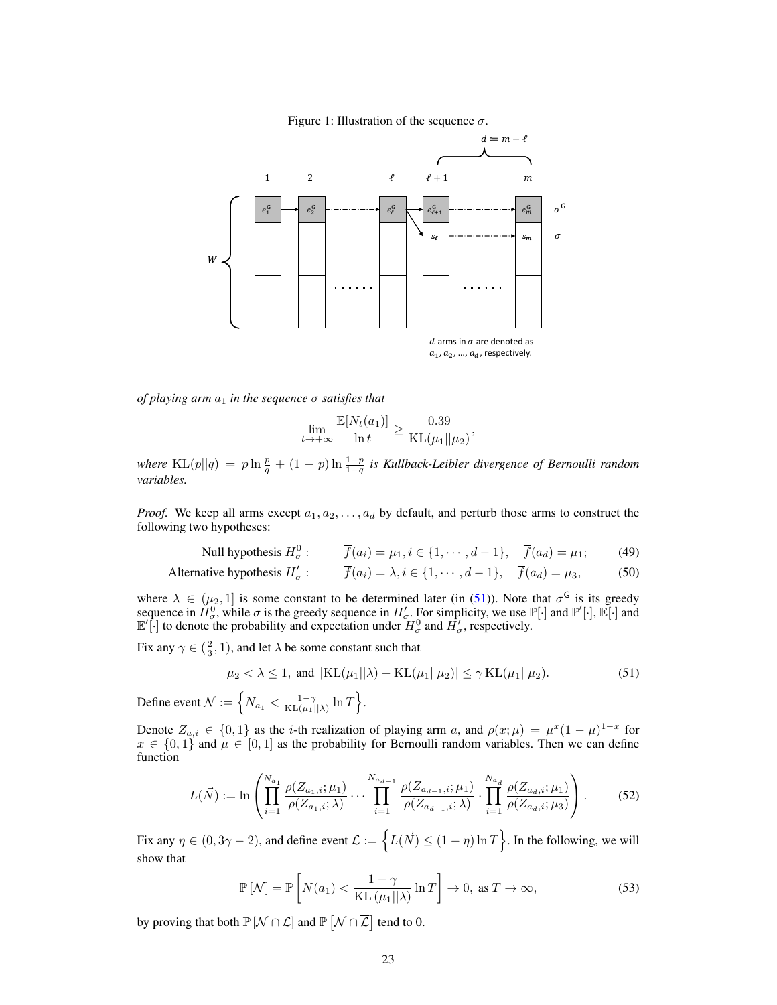

<span id="page-22-0"></span>Figure 1: Illustration of the sequence  $\sigma$ .

*of playing arm*  $a_1$  *in the sequence*  $\sigma$  *satisfies that* 

$$
\lim_{t \to +\infty} \frac{\mathbb{E}[N_t(a_1)]}{\ln t} \ge \frac{0.39}{\mathrm{KL}(\mu_1||\mu_2)},
$$

where  $KL(p||q) = p \ln \frac{p}{q} + (1-p) \ln \frac{1-p}{1-q}$  is Kullback-Leibler divergence of Bernoulli random *variables.*

*Proof.* We keep all arms except  $a_1, a_2, \ldots, a_d$  by default, and perturb those arms to construct the following two hypotheses:

Null hypothesis 
$$
H^0_\sigma
$$
:  $\overline{f}(a_i) = \mu_1, i \in \{1, \cdots, d-1\}, \quad \overline{f}(a_d) = \mu_1;$  (49)

Alternative hypothesis 
$$
H'_{\sigma}
$$
:  $\overline{f}(a_i) = \lambda, i \in \{1, \cdots, d-1\}, \quad \overline{f}(a_d) = \mu_3,$  (50)

where  $\lambda \in (\mu_2, 1]$  is some constant to be determined later (in [\(51\)](#page-22-1)). Note that  $\sigma^{\mathsf{G}}$  is its greedy sequence in  $\hat{H}_{\sigma}^0$ , while  $\sigma$  is the greedy sequence in  $H'_{\sigma}$ . For simplicity, we use  $\mathbb{P}[\cdot]$  and  $\mathbb{P}'[\cdot]$ ,  $\mathbb{E}[\cdot]$  and  $\mathbb{E}'[\cdot]$  to denote the probability and expectation under  $H^0_\sigma$  and  $H'_\sigma$ , respectively.

Fix any  $\gamma \in (\frac{2}{3}, 1)$ , and let  $\lambda$  be some constant such that

<span id="page-22-1"></span>
$$
\mu_2 < \lambda \le 1
$$
, and  $|KL(\mu_1||\lambda) - KL(\mu_1||\mu_2)| \le \gamma KL(\mu_1||\mu_2).$  (51)

Define event  $\mathcal{N} := \left\{ N_{a_1} < \frac{1-\gamma}{\mathrm{KL}(\mu_1||\lambda)} \ln T \right\}.$ 

Denote  $Z_{a,i} \in \{0,1\}$  as the *i*-th realization of playing arm a, and  $\rho(x;\mu) = \mu^x (1-\mu)^{1-x}$  for  $x \in \{0,1\}$  and  $\mu \in [0,1]$  as the probability for Bernoulli random variables. Then we can define function

$$
L(\vec{N}) := \ln \left( \prod_{i=1}^{N_{a_1}} \frac{\rho(Z_{a_1,i}; \mu_1)}{\rho(Z_{a_1,i}; \lambda)} \cdots \prod_{i=1}^{N_{a_{d-1}}} \frac{\rho(Z_{a_{d-1},i}; \mu_1)}{\rho(Z_{a_{d-1},i}; \lambda)} \cdot \prod_{i=1}^{N_{a_d}} \frac{\rho(Z_{a_d,i}; \mu_1)}{\rho(Z_{a_d,i}; \mu_3)} \right).
$$
(52)

Fix any  $\eta \in (0, 3\gamma - 2)$ , and define event  $\mathcal{L} := \{ L(\vec{N}) \le (1 - \eta) \ln T \}$ . In the following, we will show that

<span id="page-22-2"></span>
$$
\mathbb{P}\left[\mathcal{N}\right] = \mathbb{P}\left[N(a_1) < \frac{1-\gamma}{\text{KL}\left(\mu_1||\lambda\right)}\ln T\right] \to 0, \text{ as } T \to \infty,\tag{53}
$$

by proving that both  $\mathbb{P}[\mathcal{N} \cap \mathcal{L}]$  and  $\mathbb{P}[\mathcal{N} \cap \overline{\mathcal{L}}]$  tend to 0.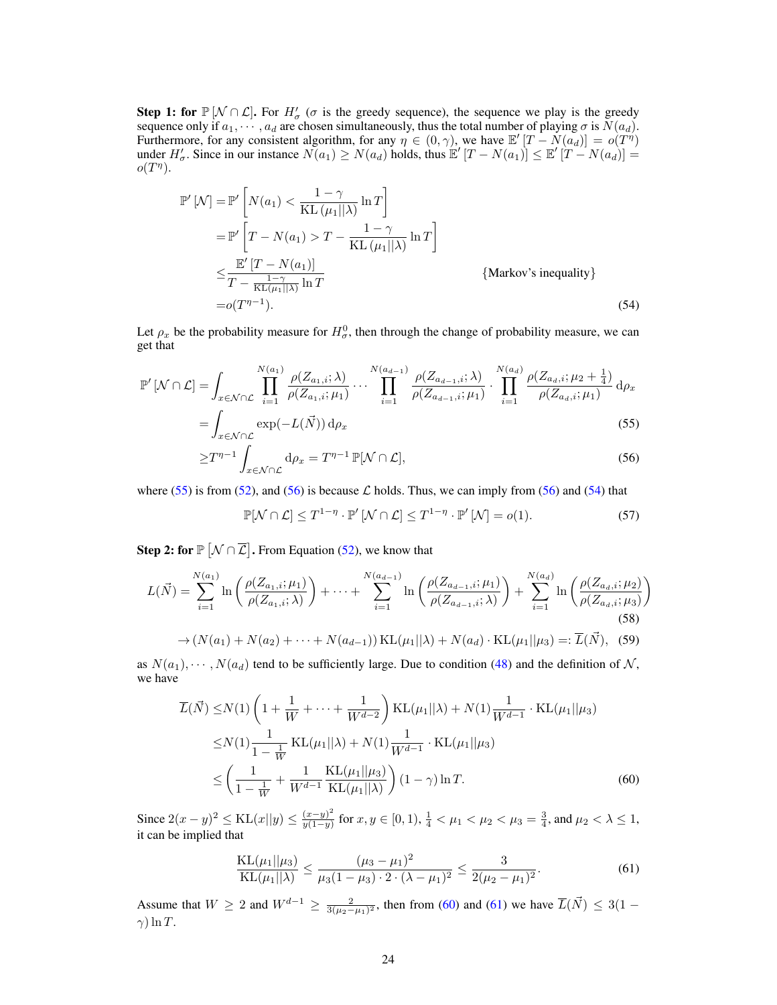**Step 1: for**  $\mathbb{P}[\mathcal{N} \cap \mathcal{L}]$ . For  $H'_{\sigma}(\sigma)$  is the greedy sequence), the sequence we play is the greedy sequence only if  $a_1, \dots, a_d$  are chosen simultaneously, thus the total number of playing  $\sigma$  is  $N(a_d)$ . Furthermore, for any consistent algorithm, for any  $\eta \in (0, \gamma)$ , we have  $\mathbb{E}'[T - N(a_d)] = o(T^{\eta})$ under  $H'_\sigma$ . Since in our instance  $N(a_1) \ge N(a_d)$  holds, thus  $\mathbb{E}'[T - N(a_1)] \le \mathbb{E}'[T - N(a_d)] =$  $o(T^{\eta}).$ 

$$
\mathbb{P}'\left[\mathcal{N}\right] = \mathbb{P}'\left[N(a_1) < \frac{1-\gamma}{KL\left(\mu_1||\lambda\right)}\ln T\right]
$$
\n
$$
= \mathbb{P}'\left[T - N(a_1) > T - \frac{1-\gamma}{KL\left(\mu_1||\lambda\right)}\ln T\right]
$$
\n
$$
\leq \frac{\mathbb{E}'\left[T - N(a_1)\right]}{T - \frac{1-\gamma}{KL\left(\mu_1||\lambda\right)}\ln T} \qquad \{\text{Markov's inequality}\}
$$
\n
$$
= o(T^{\eta - 1}). \tag{54}
$$

Let  $\rho_x$  be the probability measure for  $H^0_\sigma$ , then through the change of probability measure, we can get that

$$
\mathbb{P}'\left[\mathcal{N}\cap\mathcal{L}\right] = \int_{x \in \mathcal{N}\cap\mathcal{L}} \prod_{i=1}^{N(a_1)} \frac{\rho(Z_{a_1,i};\lambda)}{\rho(Z_{a_1,i};\mu_1)} \cdots \prod_{i=1}^{N(a_{d-1})} \frac{\rho(Z_{a_{d-1},i};\lambda)}{\rho(Z_{a_{d-1},i};\mu_1)} \cdot \prod_{i=1}^{N(a_d)} \frac{\rho(Z_{a_d,i};\mu_2 + \frac{1}{4})}{\rho(Z_{a_d,i};\mu_1)} d\rho_x
$$
\n
$$
= \int_{x \in \mathcal{N}\cap\mathcal{L}} \exp(-L(\vec{N})) d\rho_x
$$
\n(55)

$$
\geq T^{\eta-1} \int_{x \in \mathcal{N} \cap \mathcal{L}} \mathrm{d}\rho_x = T^{\eta-1} \, \mathbb{P}[\mathcal{N} \cap \mathcal{L}], \tag{56}
$$

where [\(55\)](#page-23-0) is from [\(52\)](#page-22-2), and [\(56\)](#page-23-1) is because  $\mathcal L$  holds. Thus, we can imply from (56) and [\(54\)](#page-23-2) that

<span id="page-23-6"></span><span id="page-23-5"></span><span id="page-23-2"></span><span id="page-23-1"></span><span id="page-23-0"></span> $\mathbb{P}[\mathcal{N} \cap \mathcal{L}] \leq T^{1-\eta} \cdot \mathbb{P}' \left[ \mathcal{N} \cap \mathcal{L} \right] \leq T^{1-\eta} \cdot \mathbb{P}' \left[ \mathcal{N} \right] = o(1).$  (57)

**Step 2: for**  $\mathbb{P}[\mathcal{N} \cap \overline{\mathcal{L}}]$ . From Equation [\(52\)](#page-22-2), we know that

$$
L(\vec{N}) = \sum_{i=1}^{N(a_1)} \ln\left(\frac{\rho(Z_{a_1,i}; \mu_1)}{\rho(Z_{a_1,i}; \lambda)}\right) + \dots + \sum_{i=1}^{N(a_{d-1})} \ln\left(\frac{\rho(Z_{a_{d-1},i}; \mu_1)}{\rho(Z_{a_{d-1},i}; \lambda)}\right) + \sum_{i=1}^{N(a_d)} \ln\left(\frac{\rho(Z_{a_d,i}; \mu_2)}{\rho(Z_{a_d,i}; \mu_3)}\right)
$$
\n
$$
\rightarrow (N(a_1) + N(a_2) + \dots + N(a_{d-1})) \text{ KL}(\mu_1 || \lambda) + N(a_d) \cdot \text{KL}(\mu_1 || \mu_3) =: \overline{L}(\vec{N}), \quad (59)
$$

as  $N(a_1), \cdots, N(a_d)$  tend to be sufficiently large. Due to condition [\(48\)](#page-21-0) and the definition of N, we have

$$
\overline{L}(\vec{N}) \le N(1) \left( 1 + \frac{1}{W} + \dots + \frac{1}{W^{d-2}} \right) \text{KL}(\mu_1 || \lambda) + N(1) \frac{1}{W^{d-1}} \cdot \text{KL}(\mu_1 || \mu_3)
$$
\n
$$
\le N(1) \frac{1}{1 - \frac{1}{W}} \text{KL}(\mu_1 || \lambda) + N(1) \frac{1}{W^{d-1}} \cdot \text{KL}(\mu_1 || \mu_3)
$$
\n
$$
\le \left( \frac{1}{1 - \frac{1}{W}} + \frac{1}{W^{d-1}} \frac{\text{KL}(\mu_1 || \mu_3)}{\text{KL}(\mu_1 || \lambda)} \right) (1 - \gamma) \ln T. \tag{60}
$$

Since  $2(x - y)^2 \leq KL(x||y) \leq \frac{(x-y)^2}{y(1-y)}$  $\frac{(x-y)^2}{y(1-y)}$  for  $x, y \in [0,1), \frac{1}{4} < \mu_1 < \mu_2 < \mu_3 = \frac{3}{4}$ , and  $\mu_2 < \lambda \le 1$ , it can be implied that

<span id="page-23-4"></span><span id="page-23-3"></span>
$$
\frac{\mathrm{KL}(\mu_1||\mu_3)}{\mathrm{KL}(\mu_1||\lambda)} \le \frac{(\mu_3 - \mu_1)^2}{\mu_3(1 - \mu_3) \cdot 2 \cdot (\lambda - \mu_1)^2} \le \frac{3}{2(\mu_2 - \mu_1)^2}.
$$
\n(61)

Assume that  $W \ge 2$  and  $W^{d-1} \ge \frac{2}{3(\mu_2 - \mu_1)^2}$ , then from [\(60\)](#page-23-3) and [\(61\)](#page-23-4) we have  $\overline{L}(\vec{N}) \le 3(1 \gamma$ ) ln T.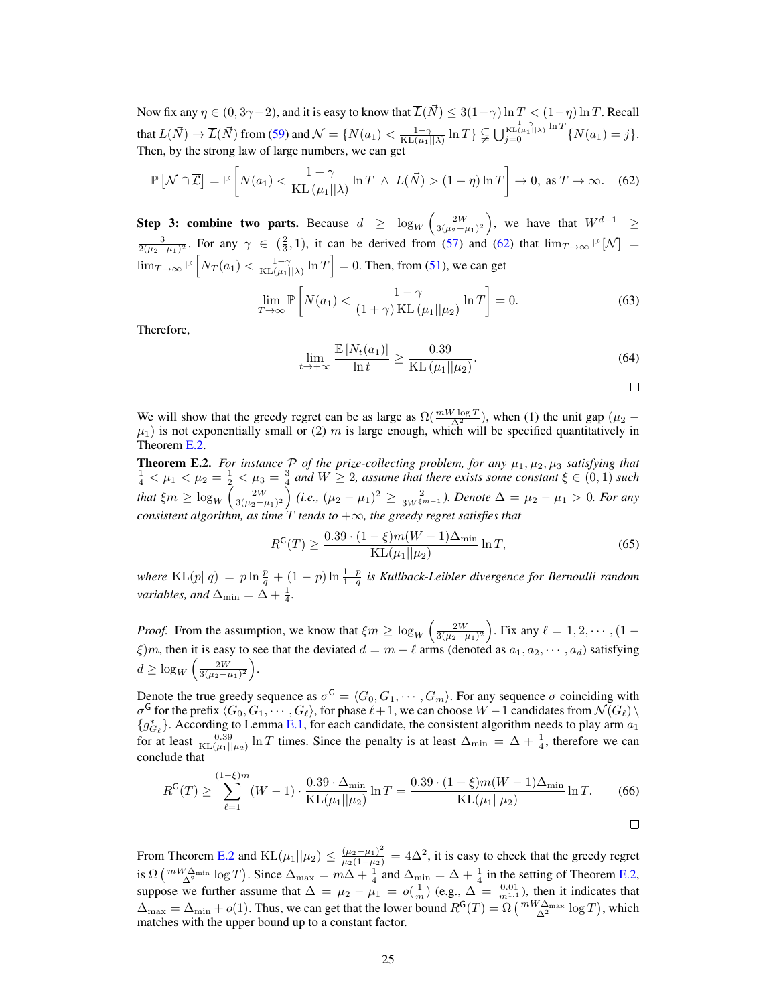Now fix any  $\eta \in (0, 3\gamma - 2)$ , and it is easy to know that  $\overline{L}(\vec{N}) \leq 3(1-\gamma) \ln T < (1-\eta) \ln T$ . Recall that  $L(\vec{N}) \to \overline{L}(\vec{N})$  from [\(59\)](#page-23-5) and  $\mathcal{N} = \{N(a_1) < \frac{1-\gamma}{KL(\mu_1||\lambda)}\ln T\} \subsetneqq \bigcup_{j=0}^{\frac{1-\gamma}{KL(\mu_1||\lambda)}\ln T} \{N(a_1) = j\}.$ Then, by the strong law of large numbers, we can get

$$
\mathbb{P}\left[\mathcal{N}\cap\overline{\mathcal{L}}\right] = \mathbb{P}\left[N(a_1) < \frac{1-\gamma}{\mathrm{KL}\left(\mu_1||\lambda\right)}\ln T \ \wedge \ L(\vec{N}) > (1-\eta)\ln T\right] \to 0, \text{ as } T \to \infty. \tag{62}
$$

Step 3: combine two parts. Because  $d \geq \log_W \left( \frac{2W}{3(\mu_2 - \mu_1)^2} \right)$ , we have that  $W^{d-1} \geq$  $\frac{3}{2(\mu_2-\mu_1)^2}$ . For any  $\gamma \in (\frac{2}{3},1)$ , it can be derived from [\(57\)](#page-23-6) and [\(62\)](#page-24-1) that  $\lim_{T\to\infty} \mathbb{P}[\mathcal{N}] =$  $\lim_{T\to\infty} \mathbb{P}\left[N_T(a_1)<\frac{1-\gamma}{\text{KL}(\mu_1||\lambda)}\ln T\right]=0.$  Then, from [\(51\)](#page-22-1), we can get

$$
\lim_{T \to \infty} \mathbb{P}\left[N(a_1) < \frac{1 - \gamma}{(1 + \gamma)\operatorname{KL}\left(\mu_1 \middle| \mu_2\right)} \ln T\right] = 0. \tag{63}
$$

Therefore,

$$
\lim_{t \to +\infty} \frac{\mathbb{E}\left[N_t(a_1)\right]}{\ln t} \ge \frac{0.39}{\mathrm{KL}\left(\mu_1 || \mu_2\right)}.\tag{64}
$$

<span id="page-24-2"></span><span id="page-24-1"></span>

We will show that the greedy regret can be as large as  $\Omega(\frac{mW \log T}{\Delta^2})$ , when (1) the unit gap ( $\mu_2$  –  $\mu_1$ ) is not exponentially small or (2) m is large enough, which will be specified quantitatively in Theorem [E.2.](#page-24-0)

<span id="page-24-0"></span>**Theorem E.2.** For instance  $P$  of the prize-collecting problem, for any  $\mu_1, \mu_2, \mu_3$  satisfying that  $\frac{1}{4} < \mu_1 < \mu_2 = \frac{1}{2} < \mu_3 = \frac{3}{4}$  and  $W \geq 2$ , assume that there exists some constant  $\xi \in (0,1)$  such *that*  $\xi m \ge \log_W \left( \frac{2W}{3(\mu_2 - \mu_1)^2} \right)$  (i.e.,  $(\mu_2 - \mu_1)^2 \ge \frac{2}{3W^{\xi m - 1}}$ ). Denote  $\Delta = \mu_2 - \mu_1 > 0$ . For any *consistent algorithm, as time*  $\overline{T}$  *tends to*  $+\infty$ *, the greedy regret satisfies that* 

$$
R^{G}(T) \ge \frac{0.39 \cdot (1 - \xi)m(W - 1)\Delta_{\min}}{KL(\mu_1||\mu_2)} \ln T,\tag{65}
$$

where  $KL(p||q) = p \ln \frac{p}{q} + (1-p) \ln \frac{1-p}{1-q}$  is Kullback-Leibler divergence for Bernoulli random *variables, and*  $\Delta_{\min} = \Delta + \frac{1}{4}$ .

*Proof.* From the assumption, we know that  $\xi m \ge \log_W \left( \frac{2W}{3(\mu_2 - \mu_1)^2} \right)$ . Fix any  $\ell = 1, 2, \cdots, (1 - \ell)$  $\xi$ )m, then it is easy to see that the deviated  $d = m - \ell$  arms (denoted as  $a_1, a_2, \cdots, a_d$ ) satisfying  $d \geq \log_W \left( \frac{2W}{3(\mu_2 - \mu_1)^2} \right)$ .

Denote the true greedy sequence as  $\sigma^{\mathsf{G}} = \langle G_0, G_1, \cdots, G_m \rangle$ . For any sequence  $\sigma$  coinciding with  $\sigma^{\sf G}$  for the prefix  $\langle G_0, G_1, \cdots, G_\ell\rangle$ , for phase  $\ell+1$ , we can choose  $W-1$  candidates from  $\mathcal{N}(G_\ell)\setminus\mathcal{N}(G_\ell)$  ${g_{G_\ell}^*}$ . According to Lemma [E.1,](#page-21-1) for each candidate, the consistent algorithm needs to play arm  $a_1$ for at least  $\frac{0.39}{KL(\mu_1||\mu_2)} \ln T$  times. Since the penalty is at least  $\Delta_{\min} = \Delta + \frac{1}{4}$ , therefore we can conclude that

$$
R^{G}(T) \ge \sum_{\ell=1}^{(1-\xi)m} (W-1) \cdot \frac{0.39 \cdot \Delta_{\min}}{\mathrm{KL}(\mu_1||\mu_2)} \ln T = \frac{0.39 \cdot (1-\xi)m(W-1)\Delta_{\min}}{\mathrm{KL}(\mu_1||\mu_2)} \ln T. \tag{66}
$$

From Theorem [E.2](#page-24-0) and  $KL(\mu_1||\mu_2) \leq \frac{(\mu_2 - \mu_1)^2}{\mu_2(1 - \mu_2)} = 4\Delta^2$ , it is easy to check that the greedy regret is  $\Omega\left(\frac{mW\Delta_{\min}}{\Delta^2}\log T\right)$ . Since  $\Delta_{\max} = m\Delta + \frac{1}{4}$  and  $\Delta_{\min} = \Delta + \frac{1}{4}$  in the setting of Theorem [E.2,](#page-24-0) suppose we further assume that  $\Delta = \mu_2 - \mu_1 = o(\frac{1}{m})$  (e.g.,  $\Delta = \frac{0.01}{m^{1.1}}$ ), then it indicates that  $\Delta_{\text{max}} = \Delta_{\text{min}} + o(1)$ . Thus, we can get that the lower bound  $R^{\text{G}}(T) = \Omega\left(\frac{mW\Delta_{\text{max}}}{\Delta^2}\log T\right)$ , which matches with the upper bound up to a constant factor.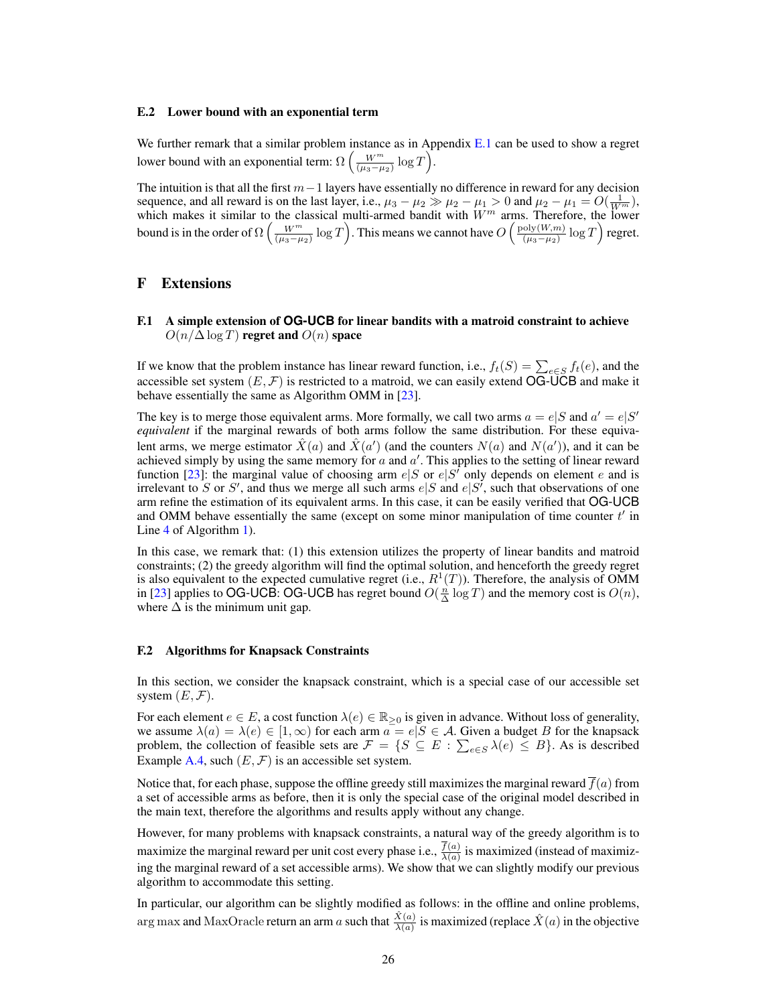#### E.2 Lower bound with an exponential term

We further remark that a similar problem instance as in Appendix [E.1](#page-21-2) can be used to show a regret lower bound with an exponential term:  $\Omega\left(\frac{W^m}{(\mu_3-\mu_2)}\log T\right)$ .

The intuition is that all the first  $m-1$  layers have essentially no difference in reward for any decision sequence, and all reward is on the last layer, i.e.,  $\mu_3 - \mu_2 \gg \mu_2 - \mu_1 > 0$  and  $\mu_2 - \mu_1 = O(\frac{1}{W^m})$ , which makes it similar to the classical multi-armed bandit with  $W<sup>m</sup>$  arms. Therefore, the lower bound is in the order of  $\Omega\left(\frac{W^m}{(\mu_3-\mu_2)}\log T\right)$ . This means we cannot have  $O\left(\frac{\text{poly}(W,m)}{(\mu_3-\mu_2)}\right)$  $\frac{\text{oly}(W,m)}{(\mu_3-\mu_2)}\log T$  regret.

## <span id="page-25-1"></span>F Extensions

<span id="page-25-0"></span>F.1 A simple extension of **OG-UCB** for linear bandits with a matroid constraint to achieve  $O(n/\Delta \log T)$  regret and  $O(n)$  space

If we know that the problem instance has linear reward function, i.e.,  $f_t(S) = \sum_{e \in S} f_t(e)$ , and the accessible set system  $(E, \mathcal{F})$  is restricted to a matroid, we can easily extend OG-UCB and make it behave essentially the same as Algorithm OMM in [\[23\]](#page-8-22).

The key is to merge those equivalent arms. More formally, we call two arms  $a = e|S$  and  $a' = e|S'$ *equivalent* if the marginal rewards of both arms follow the same distribution. For these equivalent arms, we merge estimator  $\hat{X}(a)$  and  $\hat{X}(a')$  (and the counters  $N(a)$  and  $N(a')$ ), and it can be achieved simply by using the same memory for  $a$  and  $a'$ . This applies to the setting of linear reward function [\[23\]](#page-8-22): the marginal value of choosing arm  $e|S$  or  $e|S'$  only depends on element e and is irrelevant to S or S', and thus we merge all such arms  $e|S$  and  $e|S'$ , such that observations of one arm refine the estimation of its equivalent arms. In this case, it can be easily verified that OG-UCB and OMM behave essentially the same (except on some minor manipulation of time counter  $t'$  in Line [4](#page-4-8) of Algorithm [1\)](#page-4-1).

In this case, we remark that: (1) this extension utilizes the property of linear bandits and matroid constraints; (2) the greedy algorithm will find the optimal solution, and henceforth the greedy regret is also equivalent to the expected cumulative regret (i.e.,  $R^1(T)$ ). Therefore, the analysis of OMM in [\[23\]](#page-8-22) applies to OG-UCB: OG-UCB has regret bound  $O(\frac{n}{\Delta} \log T)$  and the memory cost is  $O(n)$ , where  $\Delta$  is the minimum unit gap.

## F.2 Algorithms for Knapsack Constraints

In this section, we consider the knapsack constraint, which is a special case of our accessible set system  $(E, \mathcal{F})$ .

For each element  $e \in E$ , a cost function  $\lambda(e) \in \mathbb{R}_{\geq 0}$  is given in advance. Without loss of generality, we assume  $\lambda(a) = \lambda(e) \in [1, \infty)$  for each arm  $a = e|S \in \mathcal{A}$ . Given a budget B for the knapsack problem, the collection of feasible sets are  $\mathcal{F} = \{ S \subseteq E : \sum_{e \in S} \lambda(e) \leq B \}$ . As is described Example [A.4,](#page-11-3) such  $(E, \mathcal{F})$  is an accessible set system.

Notice that, for each phase, suppose the offline greedy still maximizes the marginal reward  $\overline{f}(a)$  from a set of accessible arms as before, then it is only the special case of the original model described in the main text, therefore the algorithms and results apply without any change.

However, for many problems with knapsack constraints, a natural way of the greedy algorithm is to maximize the marginal reward per unit cost every phase i.e.,  $\frac{f(a)}{\lambda(a)}$  is maximized (instead of maximizing the marginal reward of a set accessible arms). We show that we can slightly modify our previous algorithm to accommodate this setting.

In particular, our algorithm can be slightly modified as follows: in the offline and online problems, arg max and MaxOracle return an arm  $a$  such that  $\frac{\hat{X}(a)}{\lambda(a)}$  is maximized (replace  $\hat{X}(a)$  in the objective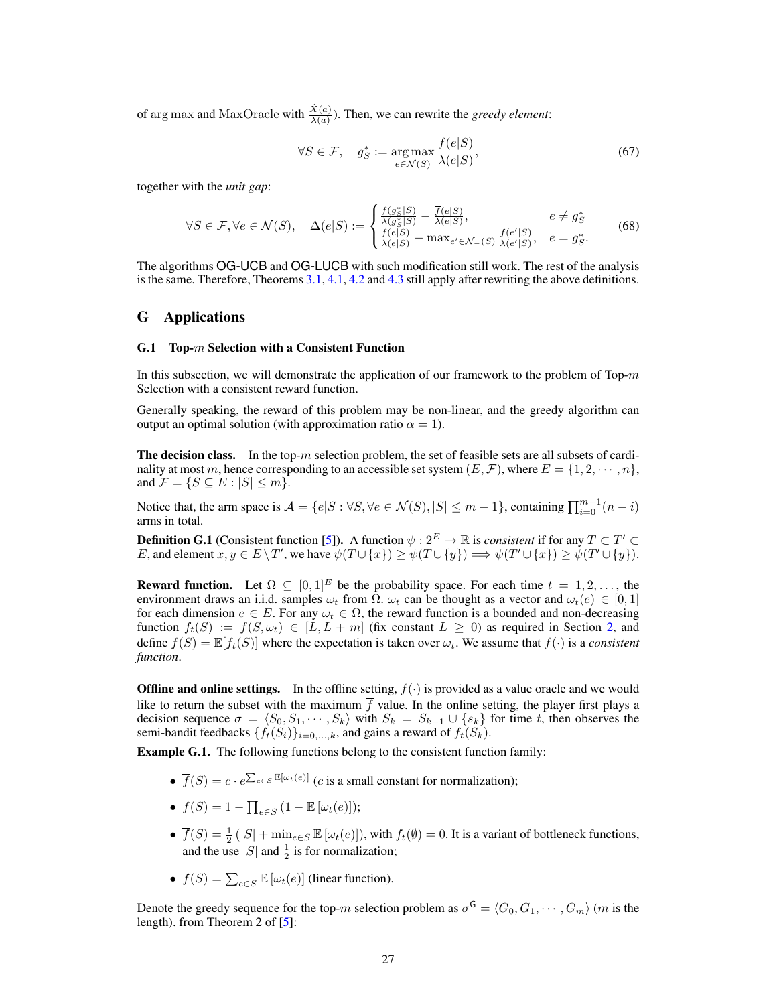of arg max and MaxOracle with  $\frac{\hat{X}(a)}{\lambda(a)}$ ). Then, we can rewrite the *greedy element*:

$$
\forall S \in \mathcal{F}, \quad g_S^* := \underset{e \in \mathcal{N}(S)}{\arg \max} \frac{\overline{f}(e|S)}{\lambda(e|S)},\tag{67}
$$

together with the *unit gap*:

$$
\forall S \in \mathcal{F}, \forall e \in \mathcal{N}(S), \quad \Delta(e|S) := \begin{cases} \frac{\overline{f}(g_S^*|S)}{\lambda(g_S^*|S)} - \frac{\overline{f}(e|S)}{\lambda(e|S)}, & e \neq g_S^* \\ \frac{\overline{f}(e|S)}{\lambda(e|S)} - \max_{e' \in \mathcal{N}_-(S)} \frac{\overline{f}(e'|S)}{\lambda(e'|S)}, & e = g_S^*. \end{cases} \tag{68}
$$

The algorithms OG-UCB and OG-LUCB with such modification still work. The rest of the analysis is the same. Therefore, Theorems [3.1,](#page-5-2) [4.1,](#page-6-5) [4.2](#page-6-3) and [4.3](#page-7-3) still apply after rewriting the above definitions.

## <span id="page-26-0"></span>G Applications

#### G.1 Top-m Selection with a Consistent Function

In this subsection, we will demonstrate the application of our framework to the problem of Top- $m$ Selection with a consistent reward function.

Generally speaking, the reward of this problem may be non-linear, and the greedy algorithm can output an optimal solution (with approximation ratio  $\alpha = 1$ ).

**The decision class.** In the top-m selection problem, the set of feasible sets are all subsets of cardinality at most m, hence corresponding to an accessible set system  $(E, \mathcal{F})$ , where  $E = \{1, 2, \dots, n\}$ , and  $\mathcal{F} = \{ S \subseteq E : |S| \le m \}.$ 

Notice that, the arm space is  $A = \{e|S : \forall S, \forall e \in \mathcal{N}(S), |S| \le m - 1\}$ , containing  $\prod_{i=0}^{m-1} (n - i)$ arms in total.

**Definition G.1** (Consistent function [\[5\]](#page-8-19)). A function  $\psi : 2^E \to \mathbb{R}$  is *consistent* if for any  $T \subset T' \subset$ E, and element  $x, y \in E \setminus T'$ , we have  $\psi(T \cup \{x\}) \ge \psi(T \cup \{y\}) \Longrightarrow \psi(T' \cup \{x\}) \ge \psi(T' \cup \{y\}).$ 

**Reward function.** Let  $\Omega \subseteq [0,1]^E$  be the probability space. For each time  $t = 1, 2, \ldots$ , the environment draws an i.i.d. samples  $\omega_t$  from  $\overline{\Omega}$ .  $\omega_t$  can be thought as a vector and  $\omega_t(e) \in [0,1]$ for each dimension  $e \in E$ . For any  $\omega_t \in \Omega$ , the reward function is a bounded and non-decreasing function  $f_t(S) := f(S, \omega_t) \in [L, L + m]$  (fix constant  $L \geq 0$ ) as required in Section [2,](#page-2-0) and define  $\overline{f}(S) = \mathbb{E}[f_t(S)]$  where the expectation is taken over  $\omega_t$ . We assume that  $\overline{f}(\cdot)$  is a *consistent function*.

**Offline and online settings.** In the offline setting,  $\overline{f}(\cdot)$  is provided as a value oracle and we would like to return the subset with the maximum  $\overline{f}$  value. In the online setting, the player first plays a decision sequence  $\sigma = \langle S_0, S_1, \cdots, S_k \rangle$  with  $S_k = S_{k-1} \cup \{s_k\}$  for time t, then observes the semi-bandit feedbacks  $\{f_t(S_i)\}_{i=0,\ldots,k}$ , and gains a reward of  $f_t(S_k)$ .

Example G.1. The following functions belong to the consistent function family:

- $\overline{f}(S) = c \cdot e^{\sum_{e \in S} \mathbb{E}[\omega_t(e)]}$  (*c* is a small constant for normalization);
- $\overline{f}(S) = 1 \prod_{e \in S} (1 \mathbb{E}[\omega_t(e)]);$
- $\overline{f}(S) = \frac{1}{2} (|S| + \min_{e \in S} \mathbb{E}[\omega_t(e)]),$  with  $f_t(\emptyset) = 0$ . It is a variant of bottleneck functions, and the use |S| and  $\frac{1}{2}$  is for normalization;
- $\overline{f}(S) = \sum_{e \in S} \mathbb{E} [\omega_t(e)]$  (linear function).

<span id="page-26-1"></span>Denote the greedy sequence for the top-m selection problem as  $\sigma^{\mathsf{G}} = \langle G_0, G_1, \cdots, G_m \rangle$  (m is the length). from Theorem 2 of [\[5\]](#page-8-19):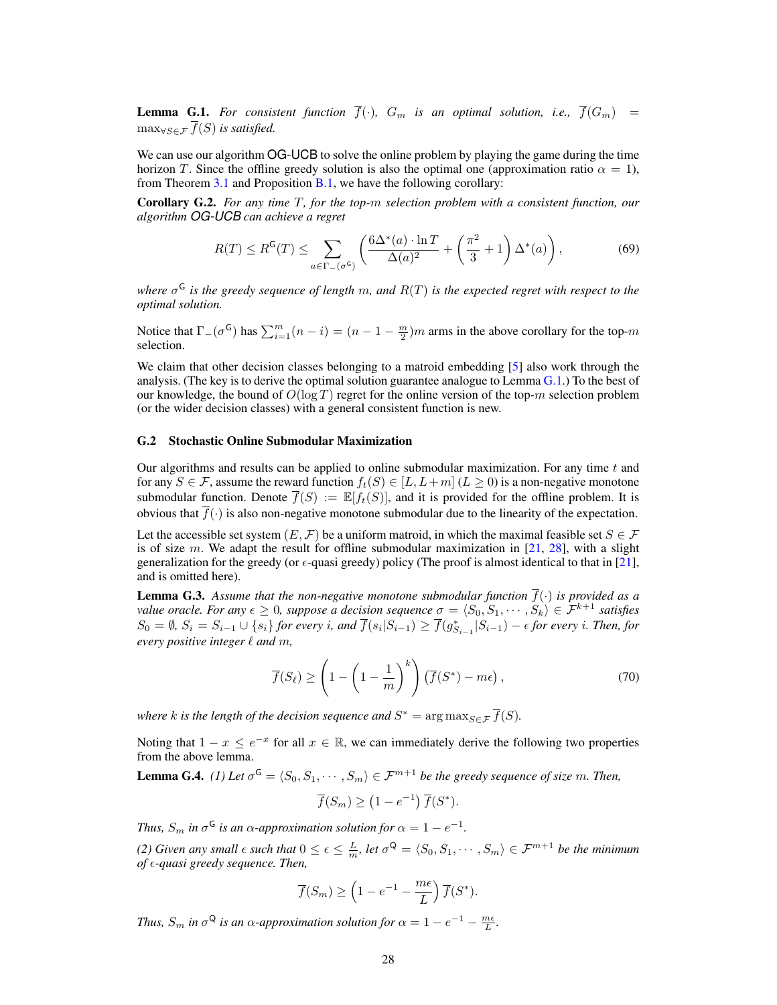**Lemma G.1.** For consistent function  $\overline{f}(\cdot)$ ,  $G_m$  is an optimal solution, i.e.,  $\overline{f}(G_m)$  =  $\max_{\forall S \in \mathcal{F}} \overline{f}(S)$  *is satisfied.* 

We can use our algorithm OG-UCB to solve the online problem by playing the game during the time horizon T. Since the offline greedy solution is also the optimal one (approximation ratio  $\alpha = 1$ ), from Theorem  $3.1$  and Proposition  $B.1$ , we have the following corollary:

Corollary G.2. *For any time* T*, for the top-*m *selection problem with a consistent function, our algorithm OG-UCB can achieve a regret*

$$
R(T) \le R^{\mathsf{G}}(T) \le \sum_{a \in \Gamma_{-}(\sigma^{\mathsf{G}})} \left( \frac{6\Delta^{*}(a) \cdot \ln T}{\Delta(a)^{2}} + \left(\frac{\pi^{2}}{3} + 1\right) \Delta^{*}(a) \right),\tag{69}
$$

*where* σ <sup>G</sup> *is the greedy sequence of length* m*, and* R(T) *is the expected regret with respect to the optimal solution.*

Notice that  $\Gamma_-(\sigma^G)$  has  $\sum_{i=1}^m (n-i) = (n-1-\frac{m}{2})m$  arms in the above corollary for the top-m selection.

We claim that other decision classes belonging to a matroid embedding [\[5\]](#page-8-19) also work through the analysis. (The key is to derive the optimal solution guarantee analogue to Lemma  $G(1)$ .) To the best of our knowledge, the bound of  $O(\log T)$  regret for the online version of the top-m selection problem (or the wider decision classes) with a general consistent function is new.

#### <span id="page-27-0"></span>G.2 Stochastic Online Submodular Maximization

Our algorithms and results can be applied to online submodular maximization. For any time  $t$  and for any  $S \in \mathcal{F}$ , assume the reward function  $f_t(S) \in [L, L+m]$  ( $L \ge 0$ ) is a non-negative monotone submodular function. Denote  $\overline{f}(S) := \mathbb{E}[f_t(S)]$ , and it is provided for the offline problem. It is obvious that  $f(\cdot)$  is also non-negative monotone submodular due to the linearity of the expectation.

Let the accessible set system  $(E, \mathcal{F})$  be a uniform matroid, in which the maximal feasible set  $S \in \mathcal{F}$ is of size m. We adapt the result for offline submodular maximization in  $[21, 28]$  $[21, 28]$  $[21, 28]$ , with a slight generalization for the greedy (or  $\epsilon$ -quasi greedy) policy (The proof is almost identical to that in [\[21\]](#page-8-27), and is omitted here).

**Lemma G.3.** Assume that the non-negative monotone submodular function  $\overline{f}(\cdot)$  is provided as a *value oracle. For any*  $\epsilon \geq 0$ , suppose a decision sequence  $\sigma = \langle S_0, S_1, \cdots, S_k \rangle \in \mathcal{F}^{k+1}$  satisfies  $S_0 = \emptyset$ ,  $S_i = S_{i-1} \cup \{s_i\}$  for every i, and  $\overline{f}(s_i|S_{i-1}) \ge \overline{f}(g_{S_{i-1}}^*|S_{i-1}) - \epsilon$  for every i. Then, for *every positive integer*  $\ell$  *and*  $m$ *,* 

$$
\overline{f}(S_{\ell}) \ge \left(1 - \left(1 - \frac{1}{m}\right)^{k}\right) \left(\overline{f}(S^{*}) - m\epsilon\right),\tag{70}
$$

where k is the length of the decision sequence and  $S^* = \argmax_{S \in \mathcal{F}} \overline{f}(S)$ .

Noting that  $1 - x \le e^{-x}$  for all  $x \in \mathbb{R}$ , we can immediately derive the following two properties from the above lemma.

**Lemma G.4.** (1) Let  $\sigma^{\mathsf{G}} = \langle S_0, S_1, \cdots, S_m \rangle \in \mathcal{F}^{m+1}$  be the greedy sequence of size m. Then,

$$
\overline{f}(S_m) \ge (1 - e^{-1}) \overline{f}(S^*).
$$

*Thus,*  $S_m$  *in*  $\sigma$ <sup>G</sup> *is an*  $\alpha$ -approximation solution for  $\alpha = 1 - e^{-1}$ .

*(2) Given any small*  $\epsilon$  such that  $0 \le \epsilon \le \frac{L}{m}$ , let  $\sigma^{\mathsf{Q}} = \langle S_0, S_1, \cdots, S_m \rangle \in \mathcal{F}^{m+1}$  be the minimum *of -quasi greedy sequence. Then,*

$$
\overline{f}(S_m) \ge \left(1 - e^{-1} - \frac{m\epsilon}{L}\right) \overline{f}(S^*).
$$

*Thus,*  $S_m$  *in*  $\sigma^{\mathsf{Q}}$  *is an*  $\alpha$ *-approximation solution for*  $\alpha = 1 - e^{-1} - \frac{m\epsilon}{L}$ *.*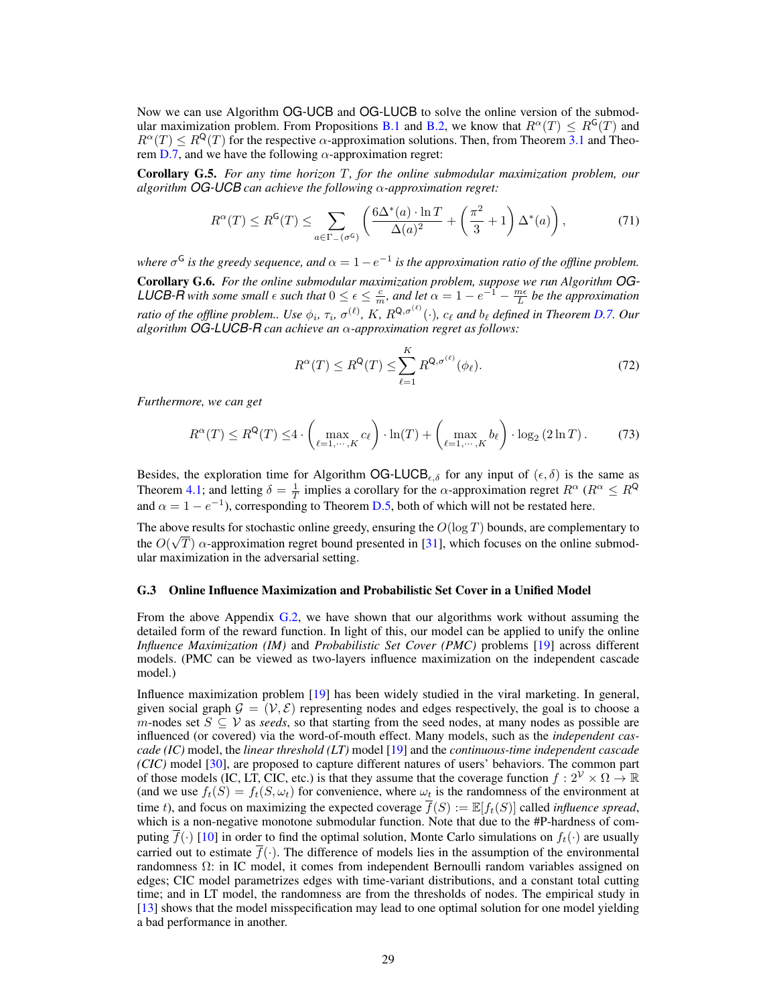Now we can use Algorithm OG-UCB and OG-LUCB to solve the online version of the submod-ular maximization problem. From Propositions [B.1](#page-11-4) and [B.2,](#page-11-5) we know that  $R^{\alpha}(T) \leq R^{G}(T)$  and  $R^{\alpha}(T) \leq R^{Q}(T)$  for the respective  $\alpha$ -approximation solutions. Then, from Theorem [3.1](#page-5-2) and Theo-rem [D.7,](#page-19-0) and we have the following  $\alpha$ -approximation regret:

Corollary G.5. *For any time horizon* T*, for the online submodular maximization problem, our algorithm OG-UCB can achieve the following* α*-approximation regret:*

$$
R^{\alpha}(T) \le R^{\mathsf{G}}(T) \le \sum_{a \in \Gamma_{-}(\sigma^{\mathsf{G}})} \left( \frac{6\Delta^{*}(a) \cdot \ln T}{\Delta(a)^{2}} + \left(\frac{\pi^{2}}{3} + 1\right) \Delta^{*}(a) \right),\tag{71}
$$

where  $\sigma$ <sup>G</sup> is the greedy sequence, and  $\alpha = 1 - e^{-1}$  is the approximation ratio of the offline problem. Corollary G.6. *For the online submodular maximization problem, suppose we run Algorithm OG-LUCB-R with some small*  $\epsilon$  *such that*  $0 \le \epsilon \le \frac{c}{m}$ *, and let*  $\alpha = 1 - e^{-1} - \frac{m\epsilon}{L}$  *be the approximation* L *ratio of the offline problem.. Use*  $\phi_i$ ,  $\tau_i$ ,  $\sigma^{(\ell)}$ ,  $K$ ,  $R^{Q,\sigma^{(\ell)}}(\cdot)$ ,  $c_\ell$  and  $b_\ell$  defined in Theorem [D.7.](#page-19-0) Our *algorithm OG-LUCB-R can achieve an* α*-approximation regret as follows:*

$$
R^{\alpha}(T) \le R^{\mathsf{Q}}(T) \le \sum_{\ell=1}^{K} R^{\mathsf{Q}, \sigma^{(\ell)}}(\phi_{\ell}).
$$
\n(72)

*Furthermore, we can get*

$$
R^{\alpha}(T) \le R^{\mathsf{Q}}(T) \le 4 \cdot \left( \max_{\ell=1,\cdots,K} c_{\ell} \right) \cdot \ln(T) + \left( \max_{\ell=1,\cdots,K} b_{\ell} \right) \cdot \log_2\left(2\ln T\right). \tag{73}
$$

Besides, the exploration time for Algorithm OG-LUCB<sub> $\epsilon,\delta$ </sub> for any input of  $(\epsilon,\delta)$  is the same as Theorem [4.1;](#page-6-5) and letting  $\delta = \frac{1}{T}$  implies a corollary for the  $\alpha$ -approximation regret  $R^{\alpha}$  ( $R^{\alpha} \le R^{\mathsf{Q}}$ and  $\alpha = 1 - e^{-1}$ ), corresponding to Theorem [D.5,](#page-18-3) both of which will not be restated here.

The above results for stochastic online greedy, ensuring the  $O(\log T)$  bounds, are complementary to the  $O(\sqrt{T})$   $\alpha$ -approximation regret bound presented in [\[31\]](#page-8-23), which focuses on the online submodular maximization in the adversarial setting.

#### G.3 Online Influence Maximization and Probabilistic Set Cover in a Unified Model

From the above Appendix [G.2,](#page-27-0) we have shown that our algorithms work without assuming the detailed form of the reward function. In light of this, our model can be applied to unify the online *Influence Maximization (IM)* and *Probabilistic Set Cover (PMC)* problems [\[19\]](#page-8-3) across different models. (PMC can be viewed as two-layers influence maximization on the independent cascade model.)

Influence maximization problem [\[19\]](#page-8-3) has been widely studied in the viral marketing. In general, given social graph  $\mathcal{G} = (\mathcal{V}, \mathcal{E})$  representing nodes and edges respectively, the goal is to choose a m-nodes set  $S \subseteq V$  as *seeds*, so that starting from the seed nodes, at many nodes as possible are influenced (or covered) via the word-of-mouth effect. Many models, such as the *independent cascade (IC)* model, the *linear threshold (LT)* model [\[19\]](#page-8-3) and the *continuous-time independent cascade (CIC)* model [\[30\]](#page-8-29), are proposed to capture different natures of users' behaviors. The common part of those models (IC, LT, CIC, etc.) is that they assume that the coverage function  $f: 2^{\mathcal{V}} \times \Omega \to \mathbb{R}$ (and we use  $f_t(S) = f_t(S, \omega_t)$  for convenience, where  $\omega_t$  is the randomness of the environment at time t), and focus on maximizing the expected coverage  $\overline{f}(S) := \mathbb{E}[f_t(S)]$  called *influence spread*, which is a non-negative monotone submodular function. Note that due to the #P-hardness of computing  $\overline{f}(\cdot)$  [\[10\]](#page-8-30) in order to find the optimal solution, Monte Carlo simulations on  $f_t(\cdot)$  are usually carried out to estimate  $\overline{f}(\cdot)$ . The difference of models lies in the assumption of the environmental randomness Ω: in IC model, it comes from independent Bernoulli random variables assigned on edges; CIC model parametrizes edges with time-variant distributions, and a constant total cutting time; and in LT model, the randomness are from the thresholds of nodes. The empirical study in [\[13\]](#page-8-31) shows that the model misspecification may lead to one optimal solution for one model yielding a bad performance in another.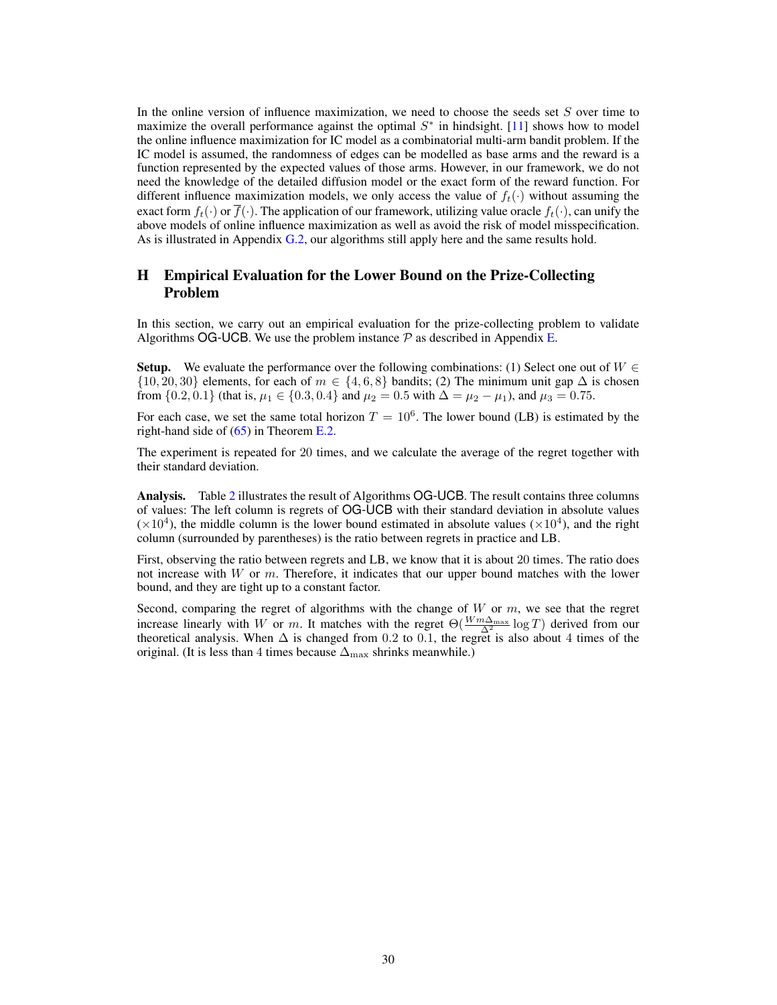In the online version of influence maximization, we need to choose the seeds set  $S$  over time to maximize the overall performance against the optimal  $S^*$  in hindsight. [\[11\]](#page-8-16) shows how to model the online influence maximization for IC model as a combinatorial multi-arm bandit problem. If the IC model is assumed, the randomness of edges can be modelled as base arms and the reward is a function represented by the expected values of those arms. However, in our framework, we do not need the knowledge of the detailed diffusion model or the exact form of the reward function. For different influence maximization models, we only access the value of  $f_t(\cdot)$  without assuming the exact form  $f_t(\cdot)$  or  $\overline{f}(\cdot)$ . The application of our framework, utilizing value oracle  $f_t(\cdot)$ , can unify the above models of online influence maximization as well as avoid the risk of model misspecification. As is illustrated in Appendix [G.2,](#page-27-0) our algorithms still apply here and the same results hold.

# <span id="page-29-0"></span>H Empirical Evaluation for the Lower Bound on the Prize-Collecting Problem

In this section, we carry out an empirical evaluation for the prize-collecting problem to validate Algorithms OG-UCB. We use the problem instance  $P$  as described in Appendix [E.](#page-20-0)

**Setup.** We evaluate the performance over the following combinations: (1) Select one out of  $W \in$  $\{10, 20, 30\}$  elements, for each of  $m \in \{4, 6, 8\}$  bandits; (2) The minimum unit gap  $\Delta$  is chosen from  $\{0.2, 0.1\}$  (that is,  $\mu_1 \in \{0.3, 0.4\}$  and  $\mu_2 = 0.5$  with  $\Delta = \mu_2 - \mu_1$ ), and  $\mu_3 = 0.75$ .

For each case, we set the same total horizon  $T = 10^6$ . The lower bound (LB) is estimated by the right-hand side of [\(65\)](#page-24-2) in Theorem [E.2.](#page-24-0)

The experiment is repeated for 20 times, and we calculate the average of the regret together with their standard deviation.

Analysis. Table [2](#page-30-0) illustrates the result of Algorithms OG-UCB. The result contains three columns of values: The left column is regrets of OG-UCB with their standard deviation in absolute values  $(\times 10^4)$ , the middle column is the lower bound estimated in absolute values ( $\times 10^4$ ), and the right column (surrounded by parentheses) is the ratio between regrets in practice and LB.

First, observing the ratio between regrets and LB, we know that it is about 20 times. The ratio does not increase with  $W$  or  $m$ . Therefore, it indicates that our upper bound matches with the lower bound, and they are tight up to a constant factor.

Second, comparing the regret of algorithms with the change of  $W$  or  $m$ , we see that the regret increase linearly with W or m. It matches with the regret  $\Theta(\frac{Wm\Delta_{\text{max}}}{\Delta^2})$  derived from our theoretical analysis. When  $\Delta$  is changed from 0.2 to 0.1, the regret is also about 4 times of the original. (It is less than 4 times because  $\Delta_{\text{max}}$  shrinks meanwhile.)